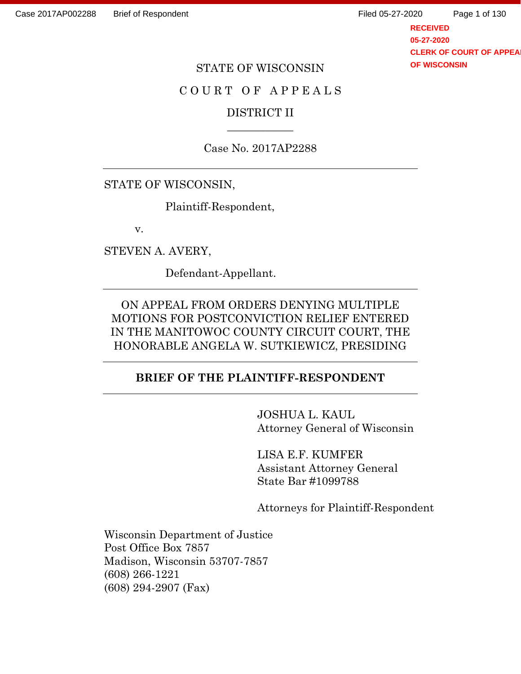**RECEIVED 05-27-2020 CLERK OF COURT OF APPEA OF WISCONSIN** Page 1 of 130

#### STATE OF WISCONSIN

### C O U R T O F A P P E A L S

## DISTRICT II  $\overline{\phantom{a}}$

Case No. 2017AP2288

## STATE OF WISCONSIN,

Plaintiff-Respondent,

v.

STEVEN A. AVERY,

Defendant-Appellant.

ON APPEAL FROM ORDERS DENYING MULTIPLE MOTIONS FOR POSTCONVICTION RELIEF ENTERED IN THE MANITOWOC COUNTY CIRCUIT COURT, THE HONORABLE ANGELA W. SUTKIEWICZ, PRESIDING

### **BRIEF OF THE PLAINTIFF-RESPONDENT**

JOSHUA L. KAUL Attorney General of Wisconsin

LISA E.F. KUMFER Assistant Attorney General State Bar #1099788

Attorneys for Plaintiff-Respondent

Wisconsin Department of Justice Post Office Box 7857 Madison, Wisconsin 53707-7857 (608) 266-1221 (608) 294-2907 (Fax)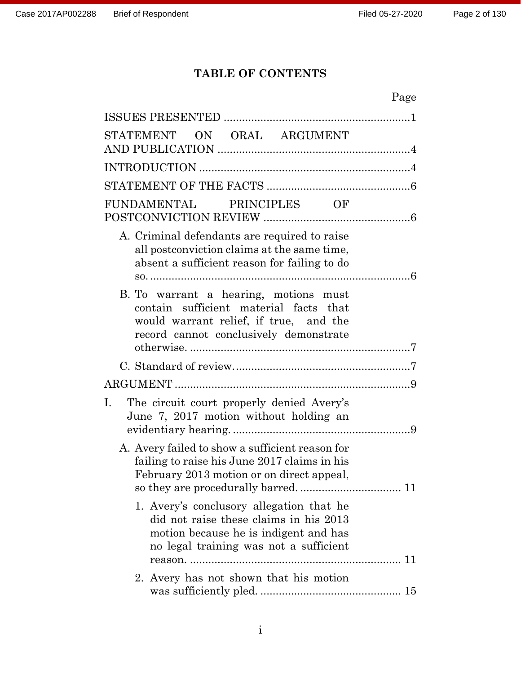# **TABLE OF CONTENTS**

| Page                                                                                                                                                                  |
|-----------------------------------------------------------------------------------------------------------------------------------------------------------------------|
|                                                                                                                                                                       |
| STATEMENT ON ORAL ARGUMENT                                                                                                                                            |
|                                                                                                                                                                       |
|                                                                                                                                                                       |
| PRINCIPLES OF<br>FUNDAMENTAL                                                                                                                                          |
| A. Criminal defendants are required to raise<br>all postconviction claims at the same time,<br>absent a sufficient reason for failing to do                           |
| B. To warrant a hearing, motions must<br>contain sufficient material facts that<br>would warrant relief, if true, and the<br>record cannot conclusively demonstrate   |
|                                                                                                                                                                       |
|                                                                                                                                                                       |
| Ι.<br>The circuit court properly denied Avery's<br>June 7, 2017 motion without holding an                                                                             |
| A. Avery failed to show a sufficient reason for<br>failing to raise his June 2017 claims in his<br>February 2013 motion or on direct appeal,                          |
| 1. Avery's conclusory allegation that he<br>did not raise these claims in his 2013<br>motion because he is indigent and has<br>no legal training was not a sufficient |
| 2. Avery has not shown that his motion                                                                                                                                |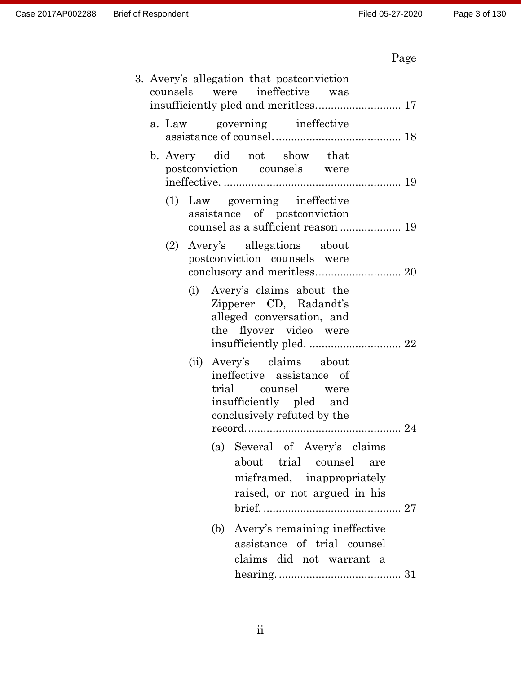|  |     | 3. Avery's allegation that postconviction<br>counsels were ineffective was                                                             |
|--|-----|----------------------------------------------------------------------------------------------------------------------------------------|
|  |     | a. Law governing ineffective                                                                                                           |
|  |     | b. Avery did not show that<br>postconviction counsels were                                                                             |
|  |     | (1) Law governing ineffective<br>assistance of postconviction                                                                          |
|  | (2) | Avery's allegations about<br>postconviction counsels were<br>conclusory and meritless 20                                               |
|  |     | (i) Avery's claims about the<br>Zipperer CD, Radandt's<br>alleged conversation, and<br>the flyover video were                          |
|  |     | (ii) Avery's claims about<br>ineffective assistance of<br>trial counsel were<br>insufficiently pled and<br>conclusively refuted by the |
|  |     | (a) Several of Avery's claims<br>about trial counsel are<br>misframed, inappropriately<br>raised, or not argued in his                 |
|  |     | Avery's remaining ineffective<br>(b)<br>assistance of trial counsel<br>claims did not warrant a                                        |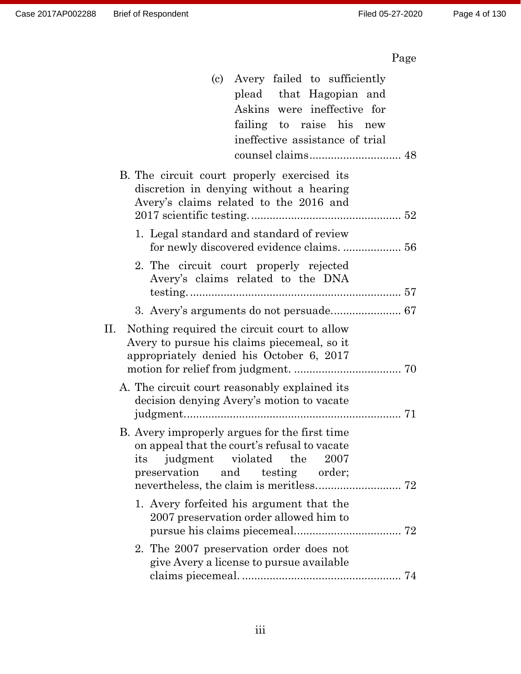| (c) Avery failed to sufficiently                                                                                                                                            |
|-----------------------------------------------------------------------------------------------------------------------------------------------------------------------------|
| plead that Hagopian and                                                                                                                                                     |
| Askins were ineffective for                                                                                                                                                 |
| failing to raise his new                                                                                                                                                    |
| ineffective assistance of trial                                                                                                                                             |
|                                                                                                                                                                             |
| B. The circuit court properly exercised its<br>discretion in denying without a hearing<br>Avery's claims related to the 2016 and                                            |
| 1. Legal standard and standard of review                                                                                                                                    |
| 2. The circuit court properly rejected<br>Avery's claims related to the DNA                                                                                                 |
|                                                                                                                                                                             |
| П.<br>Nothing required the circuit court to allow<br>Avery to pursue his claims piecemeal, so it<br>appropriately denied his October 6, 2017                                |
| A. The circuit court reasonably explained its                                                                                                                               |
| decision denying Avery's motion to vacate                                                                                                                                   |
|                                                                                                                                                                             |
| B. Avery improperly argues for the first time<br>on appeal that the court's refusal to vacate<br>judgment violated the<br>-- 2007<br>its<br>preservation and testing order; |
| 1. Avery forfeited his argument that the<br>2007 preservation order allowed him to                                                                                          |
| 2. The 2007 preservation order does not<br>give Avery a license to pursue available                                                                                         |
|                                                                                                                                                                             |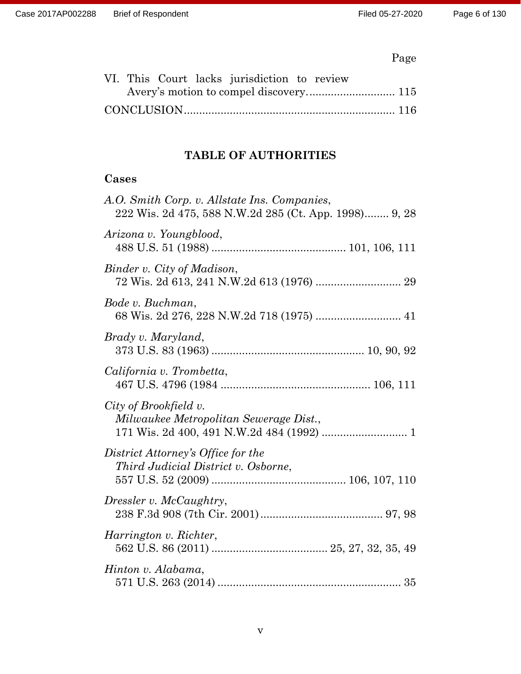|  |  | VI. This Court lacks jurisdiction to review |  |  |
|--|--|---------------------------------------------|--|--|
|  |  |                                             |  |  |
|  |  |                                             |  |  |

# **TABLE OF AUTHORITIES**

# **Cases**

| A.O. Smith Corp. v. Allstate Ins. Companies,<br>222 Wis. 2d 475, 588 N.W.2d 285 (Ct. App. 1998) 9, 28 |
|-------------------------------------------------------------------------------------------------------|
| Arizona v. Youngblood,                                                                                |
| Binder v. City of Madison,                                                                            |
| Bode v. Buchman,<br>68 Wis. 2d 276, 228 N.W.2d 718 (1975)  41                                         |
| Brady v. Maryland,                                                                                    |
| California v. Trombetta,                                                                              |
| City of Brookfield v.<br>Milwaukee Metropolitan Sewerage Dist.,                                       |
| District Attorney's Office for the<br>Third Judicial District v. Osborne,                             |
| Dressler v. McCaughtry,                                                                               |
| Harrington v. Richter,                                                                                |
| Hinton v. Alabama,                                                                                    |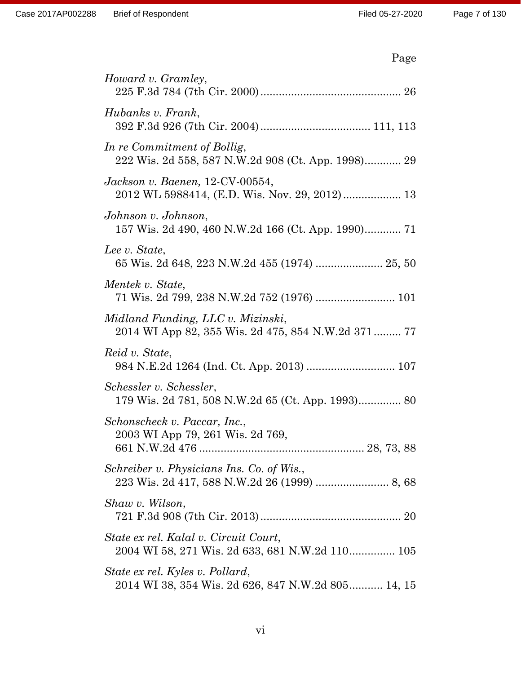|--|

| Howard v. Gramley,                                                                        |
|-------------------------------------------------------------------------------------------|
| Hubanks v. Frank,                                                                         |
| In re Commitment of Bollig,<br>222 Wis. 2d 558, 587 N.W.2d 908 (Ct. App. 1998) 29         |
| Jackson v. Baenen, $12$ -CV-00554,<br>2012 WL 5988414, (E.D. Wis. Nov. 29, 2012) 13       |
| Johnson v. Johnson,                                                                       |
| Lee v. State,<br>65 Wis. 2d 648, 223 N.W.2d 455 (1974)  25, 50                            |
| Mentek v. State,<br>71 Wis. 2d 799, 238 N.W.2d 752 (1976)  101                            |
| Midland Funding, LLC v. Mizinski,                                                         |
| Reid v. State,<br>984 N.E.2d 1264 (Ind. Ct. App. 2013)  107                               |
| Schessler v. Schessler,<br>179 Wis. 2d 781, 508 N.W.2d 65 (Ct. App. 1993) 80              |
| Schonscheck v. Paccar, Inc.,<br>2003 WI App 79, 261 Wis. 2d 769,                          |
| Schreiber v. Physicians Ins. Co. of Wis.,<br>223 Wis. 2d 417, 588 N.W.2d 26 (1999)  8, 68 |
| Shaw v. Wilson,                                                                           |
| State ex rel. Kalal v. Circuit Court,<br>2004 WI 58, 271 Wis. 2d 633, 681 N.W.2d 110 105  |
| State ex rel. Kyles v. Pollard,<br>2014 WI 38, 354 Wis. 2d 626, 847 N.W.2d 805 14, 15     |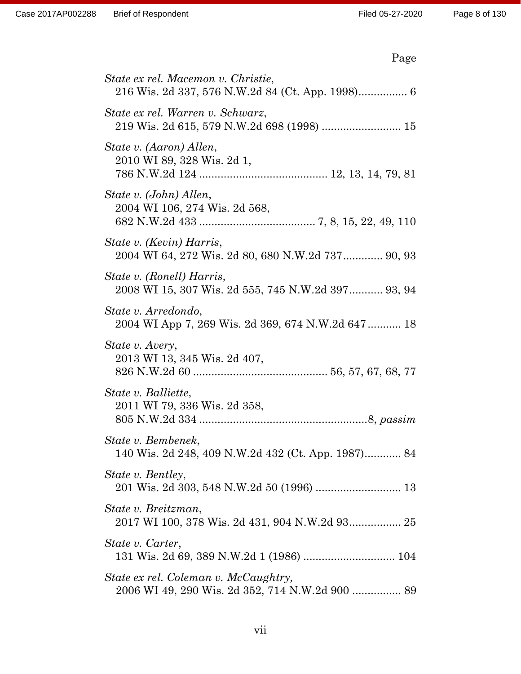|--|

| State ex rel. Macemon v. Christie,                                              |
|---------------------------------------------------------------------------------|
| State ex rel. Warren v. Schwarz,<br>219 Wis. 2d 615, 579 N.W.2d 698 (1998)  15  |
| State v. (Aaron) Allen,<br>2010 WI 89, 328 Wis. 2d 1,                           |
| State v. (John) Allen,<br>2004 WI 106, 274 Wis. 2d 568,                         |
| State v. (Kevin) Harris,<br>2004 WI 64, 272 Wis. 2d 80, 680 N.W.2d 737 90, 93   |
| State v. (Ronell) Harris,<br>2008 WI 15, 307 Wis. 2d 555, 745 N.W.2d 397 93, 94 |
| State v. Arredondo,<br>2004 WI App 7, 269 Wis. 2d 369, 674 N.W.2d 647 18        |
| State v. Avery,<br>2013 WI 13, 345 Wis. 2d 407,                                 |
| State v. Balliette,<br>2011 WI 79, 336 Wis. 2d 358,                             |
| State v. Bembenek,<br>140 Wis. 2d 248, 409 N.W.2d 432 (Ct. App. 1987) 84        |
| State v. Bentley,                                                               |
| State v. Breitzman,                                                             |
| State v. Carter,                                                                |
| State ex rel. Coleman v. McCaughtry,                                            |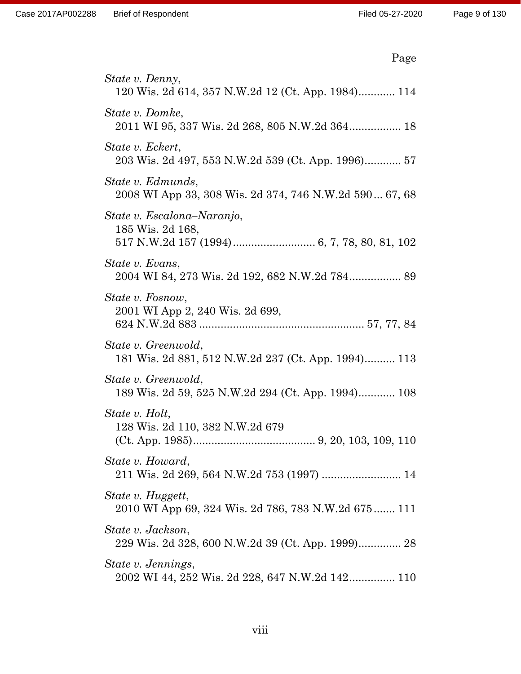| Page                                                                        |
|-----------------------------------------------------------------------------|
| State v. Denny,<br>120 Wis. 2d 614, 357 N.W.2d 12 (Ct. App. 1984) 114       |
| State v. Domke,<br>2011 WI 95, 337 Wis. 2d 268, 805 N.W.2d 364 18           |
| State v. Eckert,<br>203 Wis. 2d 497, 553 N.W.2d 539 (Ct. App. 1996) 57      |
| State v. Edmunds,<br>2008 WI App 33, 308 Wis. 2d 374, 746 N.W.2d 590 67, 68 |
| State v. Escalona–Naranjo,<br>185 Wis. 2d 168,                              |
| State v. Evans,<br>2004 WI 84, 273 Wis. 2d 192, 682 N.W.2d 784 89           |
| State v. Fosnow,<br>2001 WI App 2, 240 Wis. 2d 699,                         |
| State v. Greenwold,<br>181 Wis. 2d 881, 512 N.W.2d 237 (Ct. App. 1994) 113  |
| State v. Greenwold,<br>189 Wis. 2d 59, 525 N.W.2d 294 (Ct. App. 1994) 108   |
| State v. Holt,<br>128 Wis. 2d 110, 382 N.W.2d 679                           |
| State v. Howard,<br>211 Wis. 2d 269, 564 N.W.2d 753 (1997)  14              |
| State v. Huggett,<br>2010 WI App 69, 324 Wis. 2d 786, 783 N.W.2d 675 111    |
| State v. Jackson,                                                           |
| State v. Jennings,<br>2002 WI 44, 252 Wis. 2d 228, 647 N.W.2d 142 110       |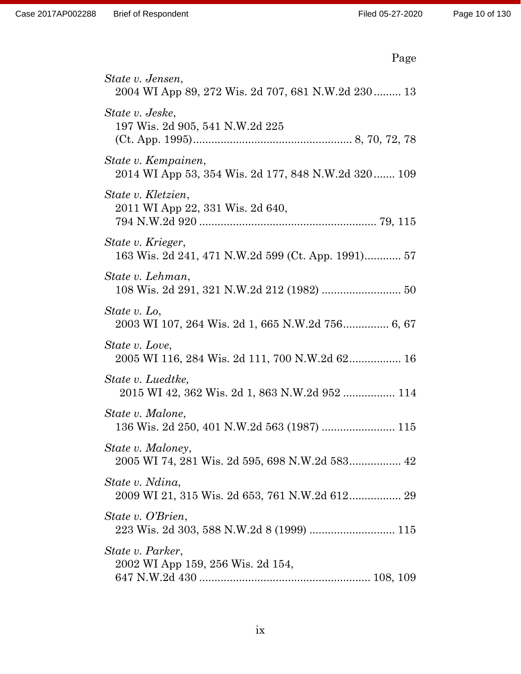| Page                                                                       |
|----------------------------------------------------------------------------|
| State v. Jensen,<br>2004 WI App 89, 272 Wis. 2d 707, 681 N.W.2d 230 13     |
| State v. Jeske,<br>197 Wis. 2d 905, 541 N.W.2d 225                         |
| State v. Kempainen,<br>2014 WI App 53, 354 Wis. 2d 177, 848 N.W.2d 320 109 |
| State v. Kletzien,<br>2011 WI App 22, 331 Wis. 2d 640,                     |
| State v. Krieger,<br>163 Wis. 2d 241, 471 N.W.2d 599 (Ct. App. 1991) 57    |
| State v. Lehman,<br>108 Wis. 2d 291, 321 N.W.2d 212 (1982)  50             |
| State v. Lo,                                                               |
| State v. Love,<br>2005 WI 116, 284 Wis. 2d 111, 700 N.W.2d 62 16           |
| State v. Luedtke,<br>2015 WI 42, 362 Wis. 2d 1, 863 N.W.2d 952  114        |
| State v. Malone,                                                           |
| State v. Maloney,<br>2005 WI 74, 281 Wis. 2d 595, 698 N.W.2d 583 42        |
| State v. Ndina,<br>2009 WI 21, 315 Wis. 2d 653, 761 N.W.2d 612 29          |
| State v. O'Brien,                                                          |
| State v. Parker,<br>2002 WI App 159, 256 Wis. 2d 154,                      |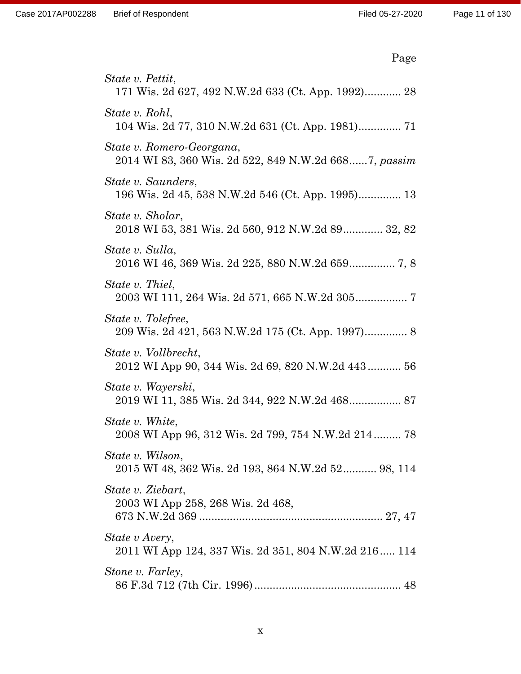| Page                                                                              |
|-----------------------------------------------------------------------------------|
| State v. Pettit,<br>171 Wis. 2d 627, 492 N.W.2d 633 (Ct. App. 1992) 28            |
| State v. Rohl,<br>104 Wis. 2d 77, 310 N.W.2d 631 (Ct. App. 1981) 71               |
| State v. Romero-Georgana,<br>2014 WI 83, 360 Wis. 2d 522, 849 N.W.2d 6687, passim |
| State v. Saunders,<br>196 Wis. 2d 45, 538 N.W.2d 546 (Ct. App. 1995) 13           |
| State v. Sholar,<br>2018 WI 53, 381 Wis. 2d 560, 912 N.W.2d 89 32, 82             |
| State v. Sulla,<br>2016 WI 46, 369 Wis. 2d 225, 880 N.W.2d 659 7, 8               |
| State v. Thiel,                                                                   |
| State v. Tolefree,<br>209 Wis. 2d 421, 563 N.W.2d 175 (Ct. App. 1997) 8           |
| State v. Vollbrecht,<br>2012 WI App 90, 344 Wis. 2d 69, 820 N.W.2d 443 56         |
| State v. Wayerski,<br>2019 WI 11, 385 Wis. 2d 344, 922 N.W.2d 468 87              |
| State v. White,<br>2008 WI App 96, 312 Wis. 2d 799, 754 N.W.2d 214 78             |
| State v. Wilson,<br>2015 WI 48, 362 Wis. 2d 193, 864 N.W.2d 52 98, 114            |
| State v. Ziebart,<br>2003 WI App 258, 268 Wis. 2d 468,                            |
| State v Avery,<br>2011 WI App 124, 337 Wis. 2d 351, 804 N.W.2d 216 114            |
| Stone v. Farley,                                                                  |

86 F.3d 712 (7th Cir. 1996)................................................ 48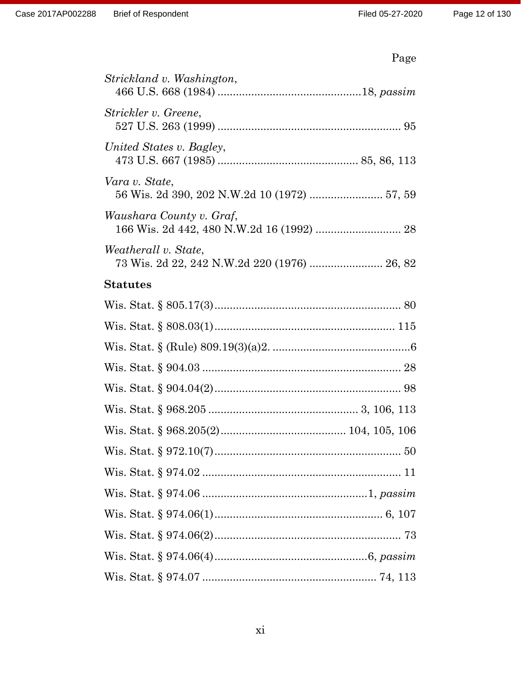| Page                                                                 |
|----------------------------------------------------------------------|
| Strickland v. Washington,                                            |
| Strickler v. Greene,                                                 |
| United States v. Bagley,                                             |
| Vara v. State,                                                       |
| Waushara County v. Graf,                                             |
| Weatherall v. State,<br>73 Wis. 2d 22, 242 N.W.2d 220 (1976)  26, 82 |
| <b>Statutes</b>                                                      |
|                                                                      |
|                                                                      |
|                                                                      |
|                                                                      |
|                                                                      |
|                                                                      |
|                                                                      |
|                                                                      |
|                                                                      |
|                                                                      |
|                                                                      |
|                                                                      |
|                                                                      |
|                                                                      |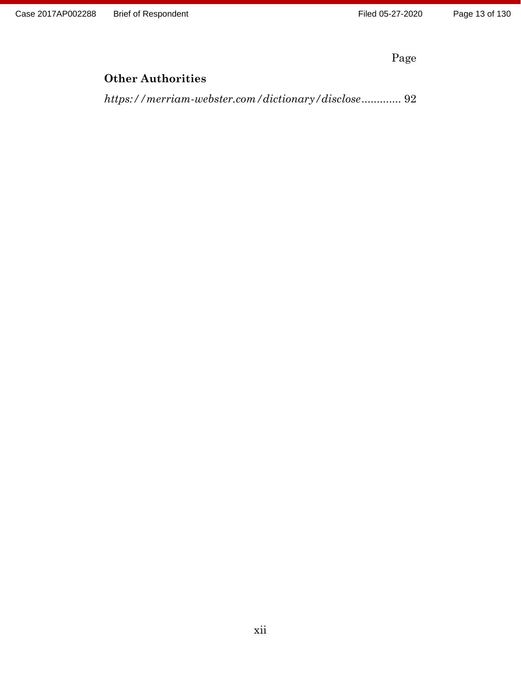Case 2017AP002288 Brief of Respondent Filed 05-27-2020

Page

# **Other Authorities**

*<https://merriam-webster.com/dictionary/disclose>*............. 92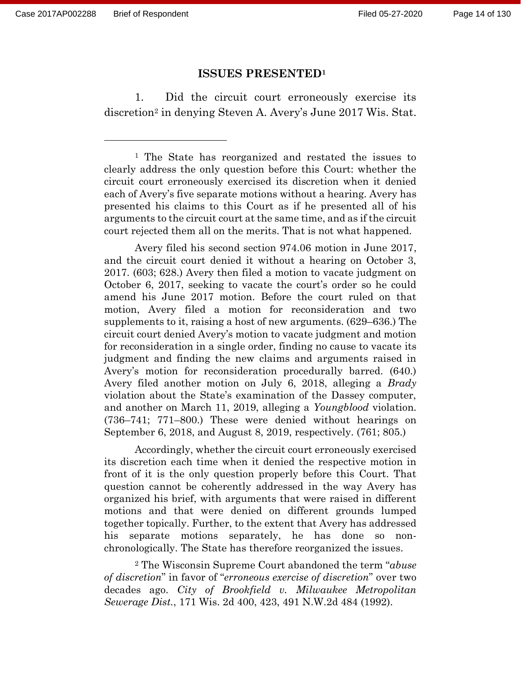#### **ISSUES PRESENTED<sup>1</sup>**

1. Did the circuit court erroneously exercise its discretion<sup>2</sup> in denying Steven A. Avery's June 2017 Wis. Stat.

<sup>1</sup> The State has reorganized and restated the issues to clearly address the only question before this Court: whether the circuit court erroneously exercised its discretion when it denied each of Avery's five separate motions without a hearing. Avery has presented his claims to this Court as if he presented all of his arguments to the circuit court at the same time, and as if the circuit court rejected them all on the merits. That is not what happened.

Avery filed his second section 974.06 motion in June 2017, and the circuit court denied it without a hearing on October 3, 2017. (603; 628.) Avery then filed a motion to vacate judgment on October 6, 2017, seeking to vacate the court's order so he could amend his June 2017 motion. Before the court ruled on that motion, Avery filed a motion for reconsideration and two supplements to it, raising a host of new arguments. (629–636.) The circuit court denied Avery's motion to vacate judgment and motion for reconsideration in a single order, finding no cause to vacate its judgment and finding the new claims and arguments raised in Avery's motion for reconsideration procedurally barred. (640.) Avery filed another motion on July 6, 2018, alleging a *Brady*  violation about the State's examination of the Dassey computer, and another on March 11, 2019, alleging a *Youngblood* violation. (736–741; 771–800.) These were denied without hearings on September 6, 2018, and August 8, 2019, respectively. (761; 805.)

Accordingly, whether the circuit court erroneously exercised its discretion each time when it denied the respective motion in front of it is the only question properly before this Court. That question cannot be coherently addressed in the way Avery has organized his brief, with arguments that were raised in different motions and that were denied on different grounds lumped together topically. Further, to the extent that Avery has addressed his separate motions separately, he has done so nonchronologically. The State has therefore reorganized the issues.

<sup>2</sup> The Wisconsin Supreme Court abandoned the term "*abuse of discretion*" in favor of "*erroneous exercise of discretion*" over two decades ago. *City of Brookfield v. Milwaukee Metropolitan Sewerage Dist.*, 171 Wis. 2d 400, 423, 491 N.W.2d 484 (1992).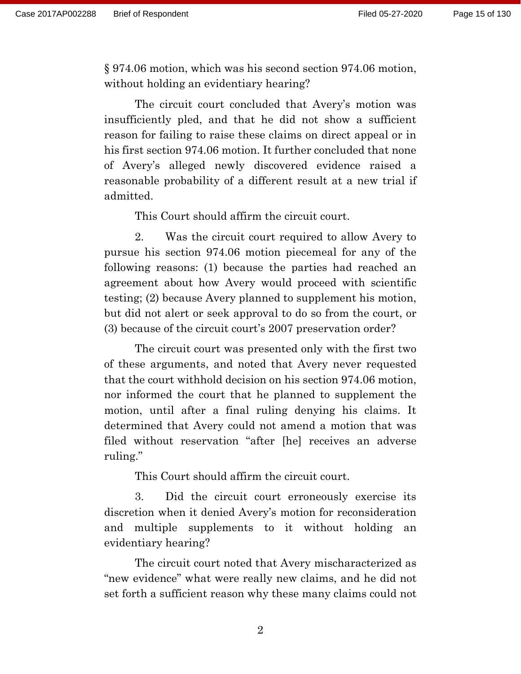§ 974.06 motion, which was his second section 974.06 motion, without holding an evidentiary hearing?

The circuit court concluded that Avery's motion was insufficiently pled, and that he did not show a sufficient reason for failing to raise these claims on direct appeal or in his first section 974.06 motion. It further concluded that none of Avery's alleged newly discovered evidence raised a reasonable probability of a different result at a new trial if admitted.

This Court should affirm the circuit court.

2. Was the circuit court required to allow Avery to pursue his section 974.06 motion piecemeal for any of the following reasons: (1) because the parties had reached an agreement about how Avery would proceed with scientific testing; (2) because Avery planned to supplement his motion, but did not alert or seek approval to do so from the court, or (3) because of the circuit court's 2007 preservation order?

The circuit court was presented only with the first two of these arguments, and noted that Avery never requested that the court withhold decision on his section 974.06 motion, nor informed the court that he planned to supplement the motion, until after a final ruling denying his claims. It determined that Avery could not amend a motion that was filed without reservation "after [he] receives an adverse ruling."

This Court should affirm the circuit court.

3. Did the circuit court erroneously exercise its discretion when it denied Avery's motion for reconsideration and multiple supplements to it without holding an evidentiary hearing?

The circuit court noted that Avery mischaracterized as "new evidence" what were really new claims, and he did not set forth a sufficient reason why these many claims could not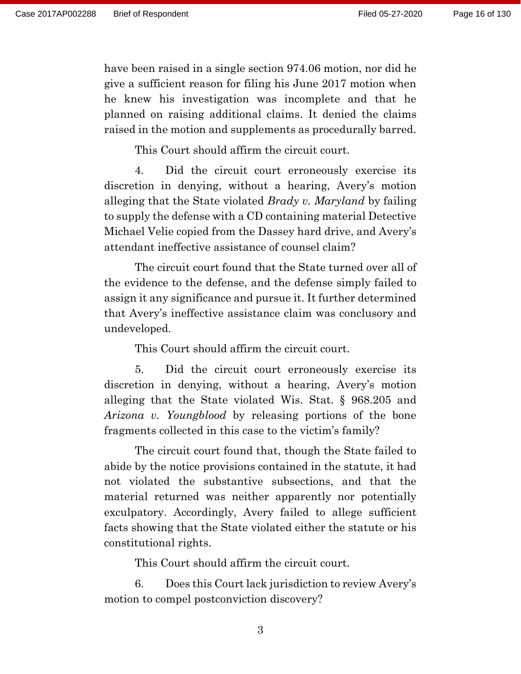have been raised in a single section 974.06 motion, nor did he give a sufficient reason for filing his June 2017 motion when he knew his investigation was incomplete and that he planned on raising additional claims. It denied the claims raised in the motion and supplements as procedurally barred.

This Court should affirm the circuit court.

4. Did the circuit court erroneously exercise its discretion in denying, without a hearing, Avery's motion alleging that the State violated *Brady v. Maryland* by failing to supply the defense with a CD containing material Detective Michael Velie copied from the Dassey hard drive, and Avery's attendant ineffective assistance of counsel claim?

The circuit court found that the State turned over all of the evidence to the defense, and the defense simply failed to assign it any significance and pursue it. It further determined that Avery's ineffective assistance claim was conclusory and undeveloped.

This Court should affirm the circuit court.

5. Did the circuit court erroneously exercise its discretion in denying, without a hearing, Avery's motion alleging that the State violated Wis. Stat. § 968.205 and *Arizona v. Youngblood* by releasing portions of the bone fragments collected in this case to the victim's family?

The circuit court found that, though the State failed to abide by the notice provisions contained in the statute, it had not violated the substantive subsections, and that the material returned was neither apparently nor potentially exculpatory. Accordingly, Avery failed to allege sufficient facts showing that the State violated either the statute or his constitutional rights.

This Court should affirm the circuit court.

6. Does this Court lack jurisdiction to review Avery's motion to compel postconviction discovery?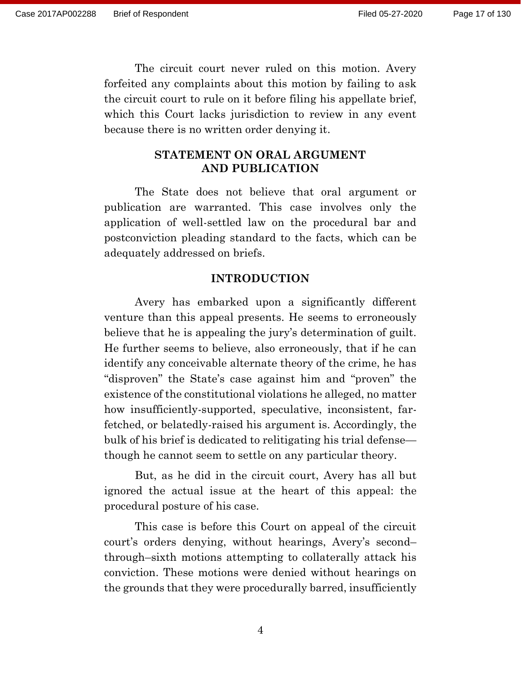The circuit court never ruled on this motion. Avery forfeited any complaints about this motion by failing to ask the circuit court to rule on it before filing his appellate brief, which this Court lacks jurisdiction to review in any event because there is no written order denying it.

## **STATEMENT ON ORAL ARGUMENT AND PUBLICATION**

The State does not believe that oral argument or publication are warranted. This case involves only the application of well-settled law on the procedural bar and postconviction pleading standard to the facts, which can be adequately addressed on briefs.

### **INTRODUCTION**

Avery has embarked upon a significantly different venture than this appeal presents. He seems to erroneously believe that he is appealing the jury's determination of guilt. He further seems to believe, also erroneously, that if he can identify any conceivable alternate theory of the crime, he has "disproven" the State's case against him and "proven" the existence of the constitutional violations he alleged, no matter how insufficiently-supported, speculative, inconsistent, farfetched, or belatedly-raised his argument is. Accordingly, the bulk of his brief is dedicated to relitigating his trial defense though he cannot seem to settle on any particular theory.

But, as he did in the circuit court, Avery has all but ignored the actual issue at the heart of this appeal: the procedural posture of his case.

This case is before this Court on appeal of the circuit court's orders denying, without hearings, Avery's second– through–sixth motions attempting to collaterally attack his conviction. These motions were denied without hearings on the grounds that they were procedurally barred, insufficiently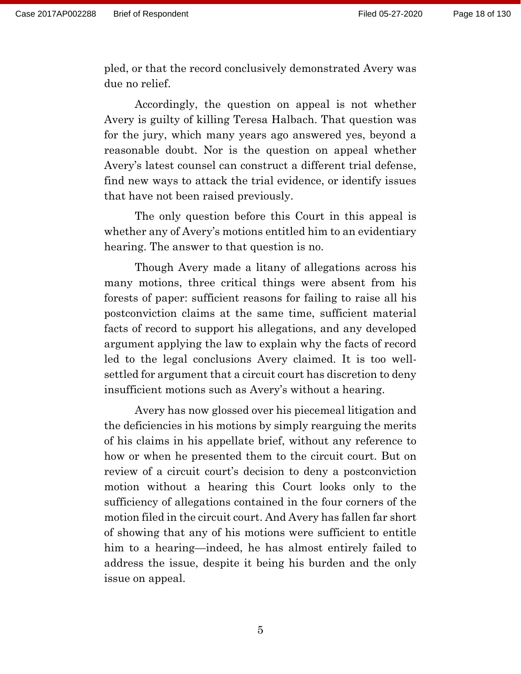pled, or that the record conclusively demonstrated Avery was due no relief.

Accordingly, the question on appeal is not whether Avery is guilty of killing Teresa Halbach. That question was for the jury, which many years ago answered yes, beyond a reasonable doubt. Nor is the question on appeal whether Avery's latest counsel can construct a different trial defense, find new ways to attack the trial evidence, or identify issues that have not been raised previously.

The only question before this Court in this appeal is whether any of Avery's motions entitled him to an evidentiary hearing. The answer to that question is no.

Though Avery made a litany of allegations across his many motions, three critical things were absent from his forests of paper: sufficient reasons for failing to raise all his postconviction claims at the same time, sufficient material facts of record to support his allegations, and any developed argument applying the law to explain why the facts of record led to the legal conclusions Avery claimed. It is too wellsettled for argument that a circuit court has discretion to deny insufficient motions such as Avery's without a hearing.

Avery has now glossed over his piecemeal litigation and the deficiencies in his motions by simply rearguing the merits of his claims in his appellate brief, without any reference to how or when he presented them to the circuit court. But on review of a circuit court's decision to deny a postconviction motion without a hearing this Court looks only to the sufficiency of allegations contained in the four corners of the motion filed in the circuit court. And Avery has fallen far short of showing that any of his motions were sufficient to entitle him to a hearing—indeed, he has almost entirely failed to address the issue, despite it being his burden and the only issue on appeal.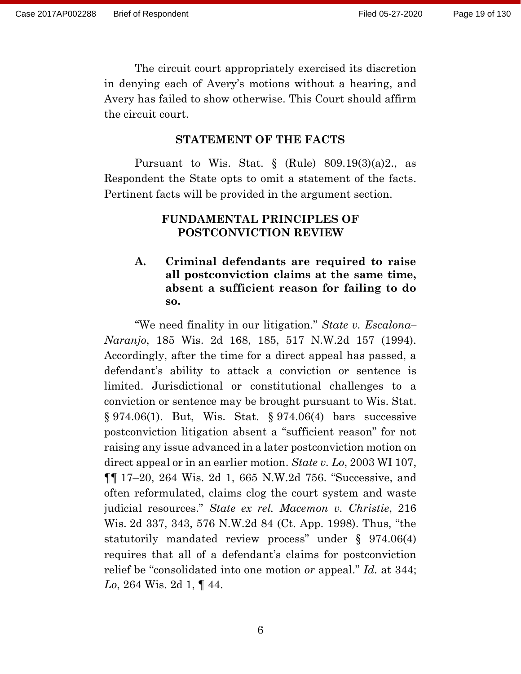The circuit court appropriately exercised its discretion in denying each of Avery's motions without a hearing, and Avery has failed to show otherwise. This Court should affirm the circuit court.

#### **STATEMENT OF THE FACTS**

Pursuant to Wis. Stat.  $\S$  (Rule) 809.19(3)(a)2., as Respondent the State opts to omit a statement of the facts. Pertinent facts will be provided in the argument section.

### **FUNDAMENTAL PRINCIPLES OF POSTCONVICTION REVIEW**

# **A. Criminal defendants are required to raise all postconviction claims at the same time, absent a sufficient reason for failing to do so.**

"We need finality in our litigation." *State v. Escalona– Naranjo*, 185 Wis. 2d 168, 185, 517 N.W.2d 157 (1994). Accordingly, after the time for a direct appeal has passed, a defendant's ability to attack a conviction or sentence is limited. Jurisdictional or constitutional challenges to a conviction or sentence may be brought pursuant to Wis. Stat. § 974.06(1). But, Wis. Stat. § 974.06(4) bars successive postconviction litigation absent a "sufficient reason" for not raising any issue advanced in a later postconviction motion on direct appeal or in an earlier motion. *State v. Lo*, 2003 WI 107, ¶¶ 17–20, 264 Wis. 2d 1, 665 N.W.2d 756. "Successive, and often reformulated, claims clog the court system and waste judicial resources." *State ex rel. Macemon v. Christie*, 216 Wis. 2d 337, 343, 576 N.W.2d 84 (Ct. App. 1998). Thus, "the statutorily mandated review process" under § 974.06(4) requires that all of a defendant's claims for postconviction relief be "consolidated into one motion *or* appeal." *Id.* at 344; *Lo*, 264 Wis. 2d 1, ¶ 44.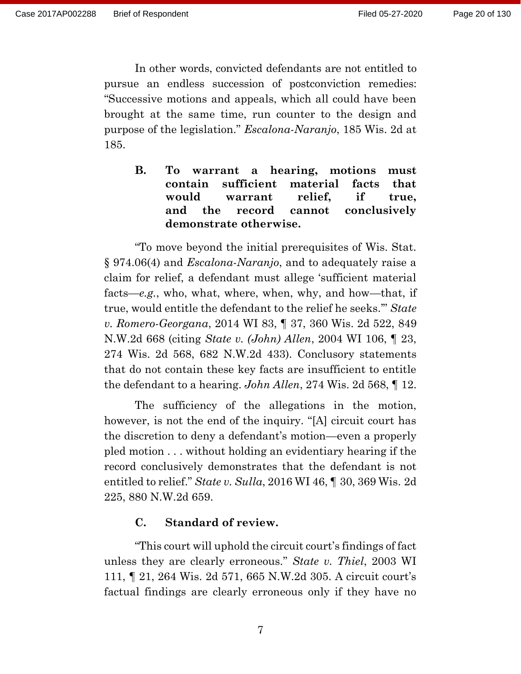In other words, convicted defendants are not entitled to pursue an endless succession of postconviction remedies: "Successive motions and appeals, which all could have been brought at the same time, run counter to the design and purpose of the legislation." *Escalona-Naranjo*, 185 Wis. 2d at 185.

**B. To warrant a hearing, motions must contain sufficient material facts that would warrant relief, if true, and the record cannot conclusively demonstrate otherwise.**

"To move beyond the initial prerequisites of Wis. Stat. § 974.06(4) and *Escalona-Naranjo*, and to adequately raise a claim for relief, a defendant must allege 'sufficient material facts—*e.g.*, who, what, where, when, why, and how—that, if true, would entitle the defendant to the relief he seeks.'" *State v. Romero-Georgana*, 2014 WI 83, ¶ 37, 360 Wis. 2d 522, 849 N.W.2d 668 (citing *State v. (John) Allen*, 2004 WI 106, ¶ 23, 274 Wis. 2d 568, 682 N.W.2d 433). Conclusory statements that do not contain these key facts are insufficient to entitle the defendant to a hearing. *John Allen*, 274 Wis. 2d 568, ¶ 12.

The sufficiency of the allegations in the motion, however, is not the end of the inquiry. "[A] circuit court has the discretion to deny a defendant's motion—even a properly pled motion . . . without holding an evidentiary hearing if the record conclusively demonstrates that the defendant is not entitled to relief." *State v. Sulla*, 2016 WI 46, ¶ 30, 369 Wis. 2d 225, 880 N.W.2d 659.

#### **C. Standard of review.**

"This court will uphold the circuit court's findings of fact unless they are clearly erroneous." *State v. Thiel*, 2003 WI 111, ¶ 21, 264 Wis. 2d 571, 665 N.W.2d 305. A circuit court's factual findings are clearly erroneous only if they have no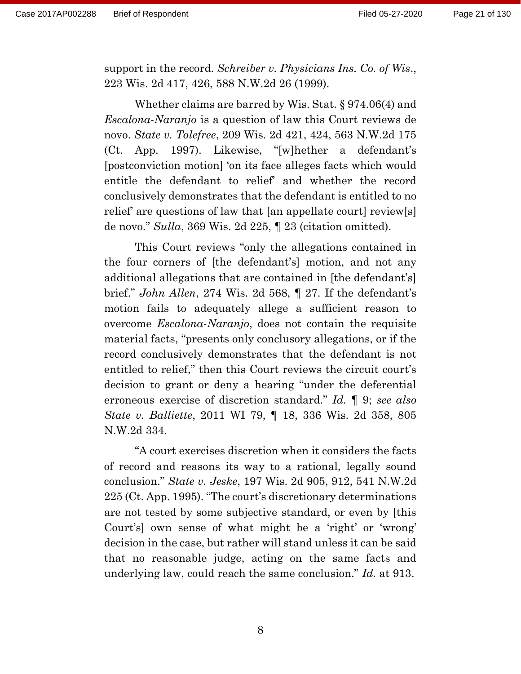support in the record. *Schreiber v. Physicians Ins. Co. of Wis*., 223 Wis. 2d 417, 426, 588 N.W.2d 26 (1999).

Whether claims are barred by Wis. Stat. § 974.06(4) and *Escalona-Naranjo* is a question of law this Court reviews de novo. *State v. Tolefree*, 209 Wis. 2d 421, 424, 563 N.W.2d 175 (Ct. App. 1997). Likewise, "[w]hether a defendant's [postconviction motion] 'on its face alleges facts which would entitle the defendant to relief' and whether the record conclusively demonstrates that the defendant is entitled to no relief' are questions of law that [an appellate court] review[s] de novo." *Sulla*, 369 Wis. 2d 225, ¶ 23 (citation omitted).

This Court reviews "only the allegations contained in the four corners of [the defendant's] motion, and not any additional allegations that are contained in [the defendant's] brief." *John Allen*, 274 Wis. 2d 568, ¶ 27. If the defendant's motion fails to adequately allege a sufficient reason to overcome *Escalona-Naranjo*, does not contain the requisite material facts, "presents only conclusory allegations, or if the record conclusively demonstrates that the defendant is not entitled to relief," then this Court reviews the circuit court's decision to grant or deny a hearing "under the deferential erroneous exercise of discretion standard." *Id.* ¶ 9; *see also State v. Balliette*, 2011 WI 79, ¶ 18, 336 Wis. 2d 358, 805 N.W.2d 334.

"A court exercises discretion when it considers the facts of record and reasons its way to a rational, legally sound conclusion." *State v. Jeske*, 197 Wis. 2d 905, 912, 541 N.W.2d 225 (Ct. App. 1995). "The court's discretionary determinations are not tested by some subjective standard, or even by [this Court's] own sense of what might be a 'right' or 'wrong' decision in the case, but rather will stand unless it can be said that no reasonable judge, acting on the same facts and underlying law, could reach the same conclusion." *Id.* at 913.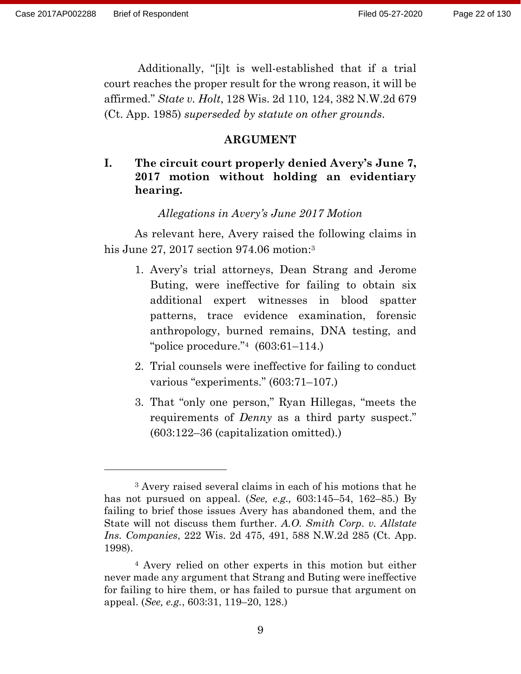Additionally, "[i]t is well-established that if a trial court reaches the proper result for the wrong reason, it will be affirmed." *State v. Holt*, 128 Wis. 2d 110, 124, 382 N.W.2d 679 (Ct. App. 1985) *superseded by statute on other grounds*.

#### **ARGUMENT**

# **I. The circuit court properly denied Avery's June 7, 2017 motion without holding an evidentiary hearing.**

#### *Allegations in Avery's June 2017 Motion*

As relevant here, Avery raised the following claims in his June 27, 2017 section 974.06 motion:<sup>3</sup>

- 1. Avery's trial attorneys, Dean Strang and Jerome Buting, were ineffective for failing to obtain six additional expert witnesses in blood spatter patterns, trace evidence examination, forensic anthropology, burned remains, DNA testing, and "police procedure."<sup>4</sup>  $(603:61-114.)$
- 2. Trial counsels were ineffective for failing to conduct various "experiments." (603:71–107.)
- 3. That "only one person," Ryan Hillegas, "meets the requirements of *Denny* as a third party suspect." (603:122–36 (capitalization omitted).)

<sup>3</sup> Avery raised several claims in each of his motions that he has not pursued on appeal. (*See, e.g.,* 603:145–54, 162–85.) By failing to brief those issues Avery has abandoned them, and the State will not discuss them further. *A.O. Smith Corp*. *v. Allstate Ins. Companies*, 222 Wis. 2d 475, 491, 588 N.W.2d 285 (Ct. App. 1998).

<sup>4</sup> Avery relied on other experts in this motion but either never made any argument that Strang and Buting were ineffective for failing to hire them, or has failed to pursue that argument on appeal. (*See, e.g.*, 603:31, 119–20, 128.)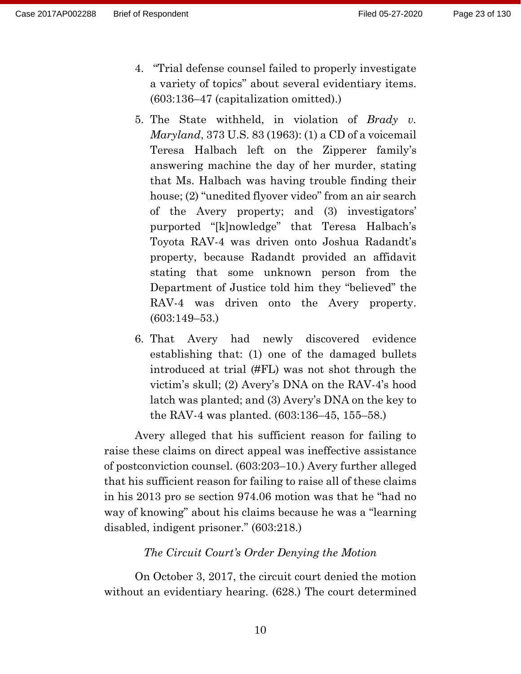- 4. "Trial defense counsel failed to properly investigate a variety of topics" about several evidentiary items. (603:136–47 (capitalization omitted).)
- 5. The State withheld, in violation of *Brady v. Maryland*, 373 U.S. 83 (1963): (1) a CD of a voicemail Teresa Halbach left on the Zipperer family's answering machine the day of her murder, stating that Ms. Halbach was having trouble finding their house; (2) "unedited flyover video" from an air search of the Avery property; and (3) investigators' purported "[k]nowledge" that Teresa Halbach's Toyota RAV-4 was driven onto Joshua Radandt's property, because Radandt provided an affidavit stating that some unknown person from the Department of Justice told him they "believed" the RAV-4 was driven onto the Avery property. (603:149–53.)
- 6. That Avery had newly discovered evidence establishing that: (1) one of the damaged bullets introduced at trial (#FL) was not shot through the victim's skull; (2) Avery's DNA on the RAV-4's hood latch was planted; and (3) Avery's DNA on the key to the RAV-4 was planted. (603:136–45, 155–58.)

Avery alleged that his sufficient reason for failing to raise these claims on direct appeal was ineffective assistance of postconviction counsel. (603:203–10.) Avery further alleged that his sufficient reason for failing to raise all of these claims in his 2013 pro se section 974.06 motion was that he "had no way of knowing" about his claims because he was a "learning disabled, indigent prisoner." (603:218.)

#### *The Circuit Court's Order Denying the Motion*

On October 3, 2017, the circuit court denied the motion without an evidentiary hearing. (628.) The court determined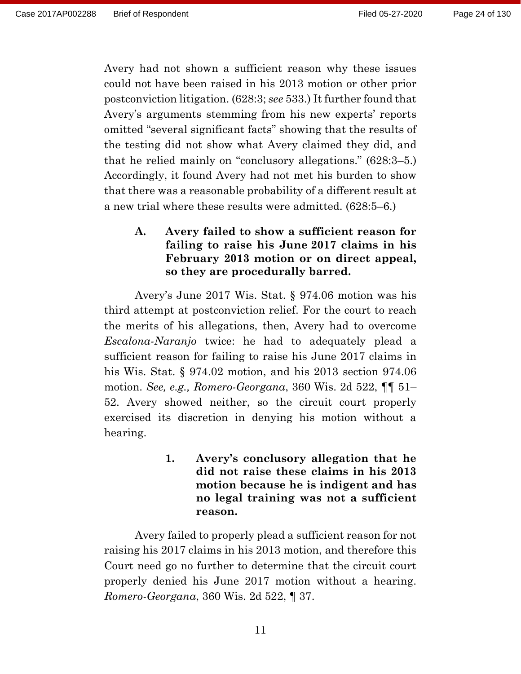Avery had not shown a sufficient reason why these issues could not have been raised in his 2013 motion or other prior postconviction litigation. (628:3; *see* 533.) It further found that Avery's arguments stemming from his new experts' reports omitted "several significant facts" showing that the results of the testing did not show what Avery claimed they did, and that he relied mainly on "conclusory allegations." (628:3–5.) Accordingly, it found Avery had not met his burden to show that there was a reasonable probability of a different result at a new trial where these results were admitted. (628:5–6.)

# **A. Avery failed to show a sufficient reason for failing to raise his June 2017 claims in his February 2013 motion or on direct appeal, so they are procedurally barred.**

Avery's June 2017 Wis. Stat. § 974.06 motion was his third attempt at postconviction relief. For the court to reach the merits of his allegations, then, Avery had to overcome *Escalona-Naranjo* twice: he had to adequately plead a sufficient reason for failing to raise his June 2017 claims in his Wis. Stat. § 974.02 motion, and his 2013 section 974.06 motion. *See, e.g., Romero-Georgana*, 360 Wis. 2d 522, ¶¶ 51– 52. Avery showed neither, so the circuit court properly exercised its discretion in denying his motion without a hearing.

> **1. Avery's conclusory allegation that he did not raise these claims in his 2013 motion because he is indigent and has no legal training was not a sufficient reason.**

Avery failed to properly plead a sufficient reason for not raising his 2017 claims in his 2013 motion, and therefore this Court need go no further to determine that the circuit court properly denied his June 2017 motion without a hearing. *Romero-Georgana*, 360 Wis. 2d 522, ¶ 37.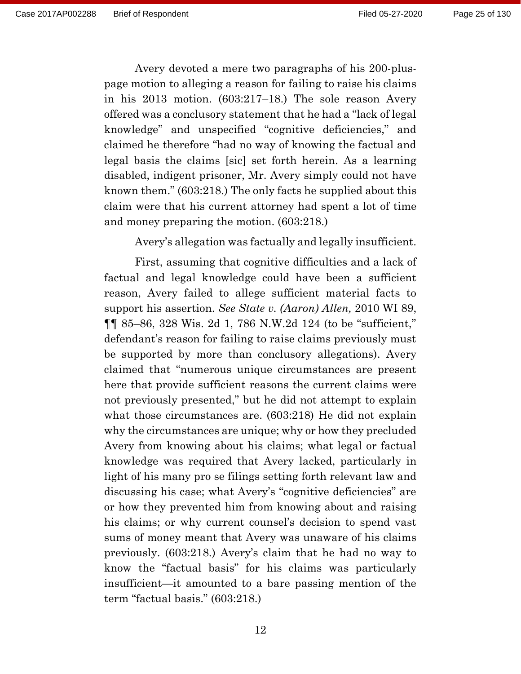Avery devoted a mere two paragraphs of his 200-pluspage motion to alleging a reason for failing to raise his claims in his 2013 motion. (603:217–18.) The sole reason Avery offered was a conclusory statement that he had a "lack of legal knowledge" and unspecified "cognitive deficiencies," and claimed he therefore "had no way of knowing the factual and legal basis the claims [sic] set forth herein. As a learning disabled, indigent prisoner, Mr. Avery simply could not have known them." (603:218.) The only facts he supplied about this claim were that his current attorney had spent a lot of time and money preparing the motion. (603:218.)

Avery's allegation was factually and legally insufficient.

First, assuming that cognitive difficulties and a lack of factual and legal knowledge could have been a sufficient reason, Avery failed to allege sufficient material facts to support his assertion. *See State v. (Aaron) Allen,* 2010 WI 89, ¶¶ 85–86, 328 Wis. 2d 1, 786 N.W.2d 124 (to be "sufficient," defendant's reason for failing to raise claims previously must be supported by more than conclusory allegations). Avery claimed that "numerous unique circumstances are present here that provide sufficient reasons the current claims were not previously presented," but he did not attempt to explain what those circumstances are. (603:218) He did not explain why the circumstances are unique; why or how they precluded Avery from knowing about his claims; what legal or factual knowledge was required that Avery lacked, particularly in light of his many pro se filings setting forth relevant law and discussing his case; what Avery's "cognitive deficiencies" are or how they prevented him from knowing about and raising his claims; or why current counsel's decision to spend vast sums of money meant that Avery was unaware of his claims previously. (603:218.) Avery's claim that he had no way to know the "factual basis" for his claims was particularly insufficient—it amounted to a bare passing mention of the term "factual basis." (603:218.)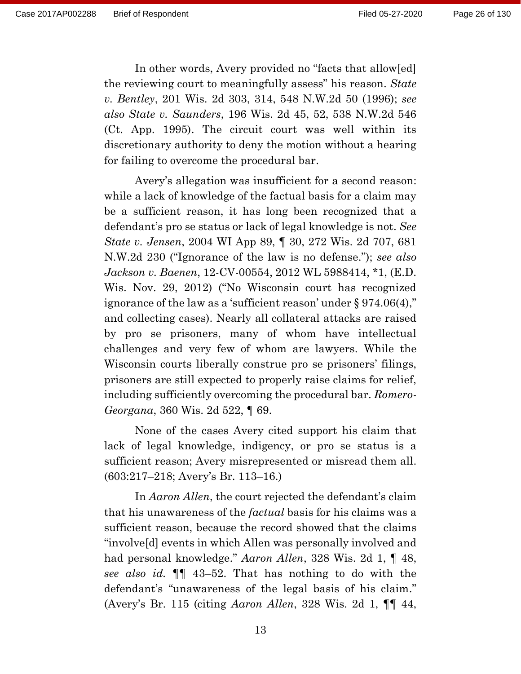In other words, Avery provided no "facts that allow[ed] the reviewing court to meaningfully assess" his reason. *State v. Bentley*, 201 Wis. 2d 303, 314, 548 N.W.2d 50 (1996); *see also State v. Saunders*, 196 Wis. 2d 45, 52, 538 N.W.2d 546 (Ct. App. 1995). The circuit court was well within its discretionary authority to deny the motion without a hearing for failing to overcome the procedural bar.

Avery's allegation was insufficient for a second reason: while a lack of knowledge of the factual basis for a claim may be a sufficient reason, it has long been recognized that a defendant's pro se status or lack of legal knowledge is not. *See State v. Jensen*, 2004 WI App 89, ¶ 30, 272 Wis. 2d 707, 681 N.W.2d 230 ("Ignorance of the law is no defense."); *see also Jackson v. Baenen*, 12-CV-00554, 2012 WL 5988414, \*1, (E.D. Wis. Nov. 29, 2012) ("No Wisconsin court has recognized ignorance of the law as a 'sufficient reason' under § 974.06(4)," and collecting cases). Nearly all collateral attacks are raised by pro se prisoners, many of whom have intellectual challenges and very few of whom are lawyers. While the Wisconsin courts liberally construe pro se prisoners' filings, prisoners are still expected to properly raise claims for relief, including sufficiently overcoming the procedural bar. *Romero-Georgana*, 360 Wis. 2d 522, ¶ 69.

None of the cases Avery cited support his claim that lack of legal knowledge, indigency, or pro se status is a sufficient reason; Avery misrepresented or misread them all. (603:217–218; Avery's Br. 113–16.)

In *Aaron Allen*, the court rejected the defendant's claim that his unawareness of the *factual* basis for his claims was a sufficient reason, because the record showed that the claims "involve[d] events in which Allen was personally involved and had personal knowledge." *Aaron Allen*, 328 Wis. 2d 1, ¶ 48, *see also id.* ¶¶ 43–52. That has nothing to do with the defendant's "unawareness of the legal basis of his claim." (Avery's Br. 115 (citing *Aaron Allen*, 328 Wis. 2d 1, ¶¶ 44,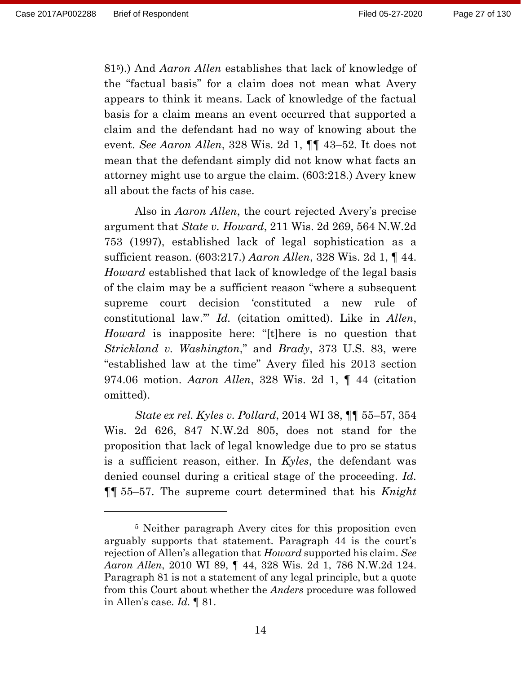815).) And *Aaron Allen* establishes that lack of knowledge of the "factual basis" for a claim does not mean what Avery appears to think it means. Lack of knowledge of the factual basis for a claim means an event occurred that supported a claim and the defendant had no way of knowing about the event. *See Aaron Allen*, 328 Wis. 2d 1, ¶¶ 43–52*.* It does not mean that the defendant simply did not know what facts an attorney might use to argue the claim. (603:218.) Avery knew all about the facts of his case.

Also in *Aaron Allen*, the court rejected Avery's precise argument that *State v. Howard*, 211 Wis. 2d 269, 564 N.W.2d 753 (1997), established lack of legal sophistication as a sufficient reason. (603:217.) *Aaron Allen*, 328 Wis. 2d 1, ¶ 44. *Howard* established that lack of knowledge of the legal basis of the claim may be a sufficient reason "where a subsequent supreme court decision 'constituted a new rule of constitutional law.'" *Id.* (citation omitted). Like in *Allen*, *Howard* is inapposite here: "[t]here is no question that *Strickland v. Washington*," and *Brady*, 373 U.S. 83, were "established law at the time" Avery filed his 2013 section 974.06 motion. *Aaron Allen*, 328 Wis. 2d 1, ¶ 44 (citation omitted).

*State ex rel. Kyles v. Pollard*, 2014 WI 38, ¶¶ 55–57, 354 Wis. 2d 626, 847 N.W.2d 805, does not stand for the proposition that lack of legal knowledge due to pro se status is a sufficient reason, either. In *Kyles*, the defendant was denied counsel during a critical stage of the proceeding. *Id.* ¶¶ 55–57. The supreme court determined that his *Knight*

<sup>5</sup> Neither paragraph Avery cites for this proposition even arguably supports that statement. Paragraph 44 is the court's rejection of Allen's allegation that *Howard* supported his claim. *See Aaron Allen*, 2010 WI 89, ¶ 44, 328 Wis. 2d 1, 786 N.W.2d 124. Paragraph 81 is not a statement of any legal principle, but a quote from this Court about whether the *Anders* procedure was followed in Allen's case. *Id.* ¶ 81.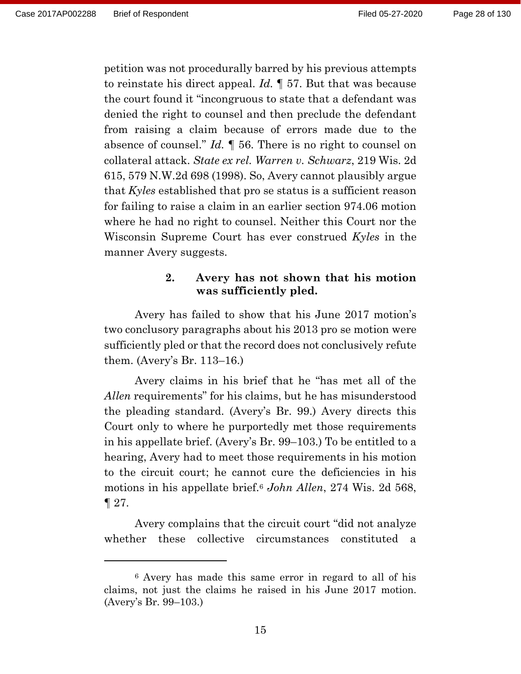petition was not procedurally barred by his previous attempts to reinstate his direct appeal. *Id.* ¶ 57. But that was because the court found it "incongruous to state that a defendant was denied the right to counsel and then preclude the defendant from raising a claim because of errors made due to the absence of counsel." *Id.* ¶ 56. There is no right to counsel on collateral attack. *State ex rel. Warren v. Schwarz*, 219 Wis. 2d 615, 579 N.W.2d 698 (1998). So, Avery cannot plausibly argue that *Kyles* established that pro se status is a sufficient reason for failing to raise a claim in an earlier section 974.06 motion where he had no right to counsel. Neither this Court nor the Wisconsin Supreme Court has ever construed *Kyles* in the manner Avery suggests.

# **2. Avery has not shown that his motion was sufficiently pled.**

Avery has failed to show that his June 2017 motion's two conclusory paragraphs about his 2013 pro se motion were sufficiently pled or that the record does not conclusively refute them. (Avery's Br. 113–16.)

Avery claims in his brief that he "has met all of the *Allen* requirements" for his claims, but he has misunderstood the pleading standard. (Avery's Br. 99.) Avery directs this Court only to where he purportedly met those requirements in his appellate brief. (Avery's Br. 99–103.) To be entitled to a hearing, Avery had to meet those requirements in his motion to the circuit court; he cannot cure the deficiencies in his motions in his appellate brief.<sup>6</sup> *John Allen*, 274 Wis. 2d 568,  $\P$  27.

Avery complains that the circuit court "did not analyze whether these collective circumstances constituted a

<sup>6</sup> Avery has made this same error in regard to all of his claims, not just the claims he raised in his June 2017 motion. (Avery's Br. 99–103.)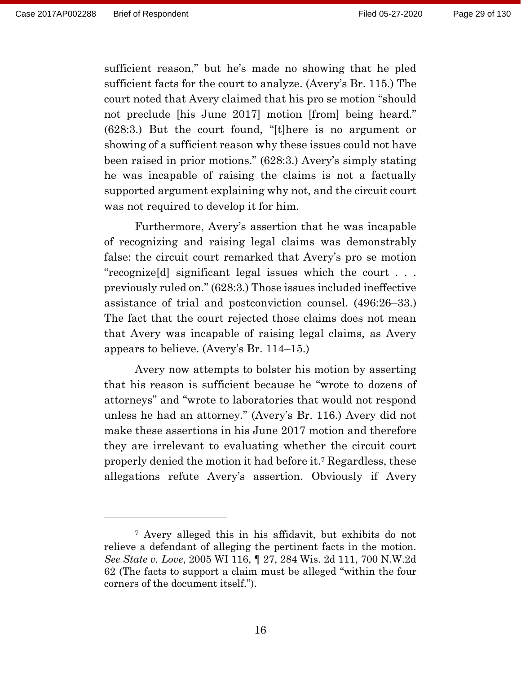sufficient reason," but he's made no showing that he pled sufficient facts for the court to analyze. (Avery's Br. 115.) The court noted that Avery claimed that his pro se motion "should not preclude [his June 2017] motion [from] being heard." (628:3.) But the court found, "[t]here is no argument or showing of a sufficient reason why these issues could not have been raised in prior motions." (628:3.) Avery's simply stating he was incapable of raising the claims is not a factually supported argument explaining why not, and the circuit court was not required to develop it for him.

Furthermore, Avery's assertion that he was incapable of recognizing and raising legal claims was demonstrably false: the circuit court remarked that Avery's pro se motion "recognize[d] significant legal issues which the court . . . previously ruled on." (628:3.) Those issues included ineffective assistance of trial and postconviction counsel. (496:26–33.) The fact that the court rejected those claims does not mean that Avery was incapable of raising legal claims, as Avery appears to believe. (Avery's Br. 114–15.)

Avery now attempts to bolster his motion by asserting that his reason is sufficient because he "wrote to dozens of attorneys" and "wrote to laboratories that would not respond unless he had an attorney." (Avery's Br. 116.) Avery did not make these assertions in his June 2017 motion and therefore they are irrelevant to evaluating whether the circuit court properly denied the motion it had before it. <sup>7</sup> Regardless, these allegations refute Avery's assertion. Obviously if Avery

<sup>7</sup> Avery alleged this in his affidavit, but exhibits do not relieve a defendant of alleging the pertinent facts in the motion. *See State v. Love*, 2005 WI 116, ¶ 27, 284 Wis. 2d 111, 700 N.W.2d 62 (The facts to support a claim must be alleged "within the four corners of the document itself.").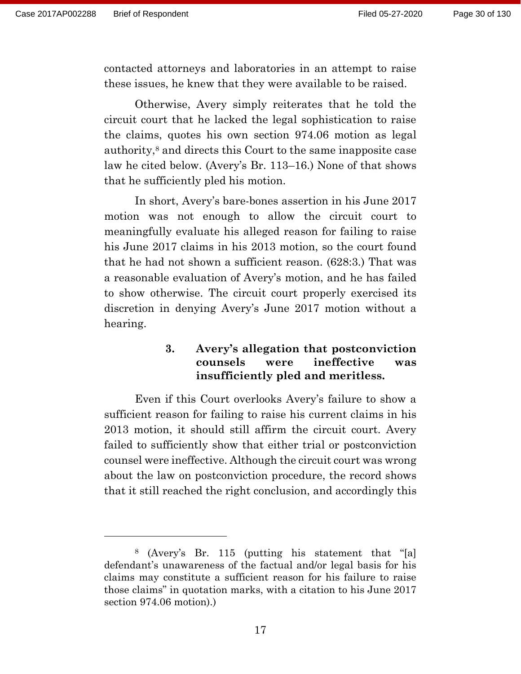contacted attorneys and laboratories in an attempt to raise these issues, he knew that they were available to be raised.

Otherwise, Avery simply reiterates that he told the circuit court that he lacked the legal sophistication to raise the claims, quotes his own section 974.06 motion as legal authority,<sup>8</sup> and directs this Court to the same inapposite case law he cited below. (Avery's Br. 113–16.) None of that shows that he sufficiently pled his motion.

In short, Avery's bare-bones assertion in his June 2017 motion was not enough to allow the circuit court to meaningfully evaluate his alleged reason for failing to raise his June 2017 claims in his 2013 motion, so the court found that he had not shown a sufficient reason. (628:3.) That was a reasonable evaluation of Avery's motion, and he has failed to show otherwise. The circuit court properly exercised its discretion in denying Avery's June 2017 motion without a hearing.

### **3. Avery's allegation that postconviction counsels were ineffective was insufficiently pled and meritless.**

Even if this Court overlooks Avery's failure to show a sufficient reason for failing to raise his current claims in his 2013 motion, it should still affirm the circuit court. Avery failed to sufficiently show that either trial or postconviction counsel were ineffective. Although the circuit court was wrong about the law on postconviction procedure, the record shows that it still reached the right conclusion, and accordingly this

<sup>8</sup> (Avery's Br. 115 (putting his statement that "[a] defendant's unawareness of the factual and/or legal basis for his claims may constitute a sufficient reason for his failure to raise those claims" in quotation marks, with a citation to his June 2017 section 974.06 motion).)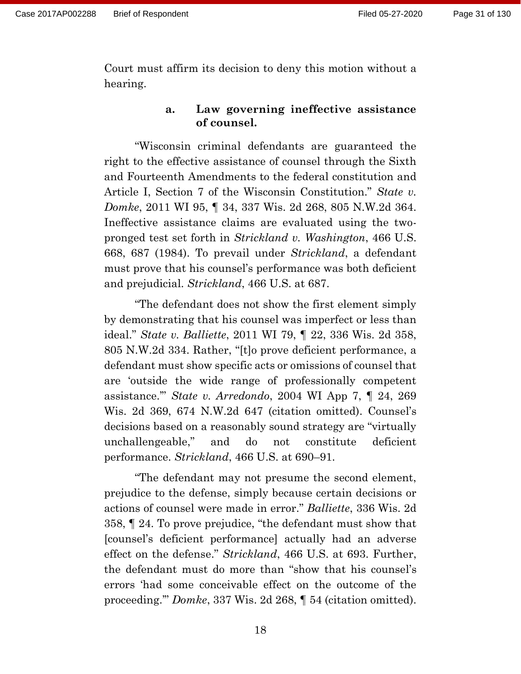Court must affirm its decision to deny this motion without a hearing.

### **a. Law governing ineffective assistance of counsel.**

"Wisconsin criminal defendants are guaranteed the right to the effective assistance of counsel through the Sixth and Fourteenth Amendments to the federal constitution and Article I, Section 7 of the Wisconsin Constitution." *State v. Domke*, 2011 WI 95, ¶ 34, 337 Wis. 2d 268, 805 N.W.2d 364. Ineffective assistance claims are evaluated using the twopronged test set forth in *Strickland v. Washington*, 466 U.S. 668, 687 (1984). To prevail under *Strickland*, a defendant must prove that his counsel's performance was both deficient and prejudicial. *Strickland*, 466 U.S. at 687.

"The defendant does not show the first element simply by demonstrating that his counsel was imperfect or less than ideal." *State v. Balliette*, 2011 WI 79, ¶ 22, 336 Wis. 2d 358, 805 N.W.2d 334. Rather, "[t]o prove deficient performance, a defendant must show specific acts or omissions of counsel that are 'outside the wide range of professionally competent assistance.'" *State v. Arredondo*, 2004 WI App 7, ¶ 24, 269 Wis. 2d 369, 674 N.W.2d 647 (citation omitted). Counsel's decisions based on a reasonably sound strategy are "virtually unchallengeable," and do not constitute deficient performance. *Strickland*, 466 U.S. at 690–91.

"The defendant may not presume the second element, prejudice to the defense, simply because certain decisions or actions of counsel were made in error." *Balliette*, 336 Wis. 2d 358, ¶ 24. To prove prejudice, "the defendant must show that [counsel's deficient performance] actually had an adverse effect on the defense." *Strickland*, 466 U.S. at 693. Further, the defendant must do more than "show that his counsel's errors 'had some conceivable effect on the outcome of the proceeding.'" *Domke*, 337 Wis. 2d 268, ¶ 54 (citation omitted).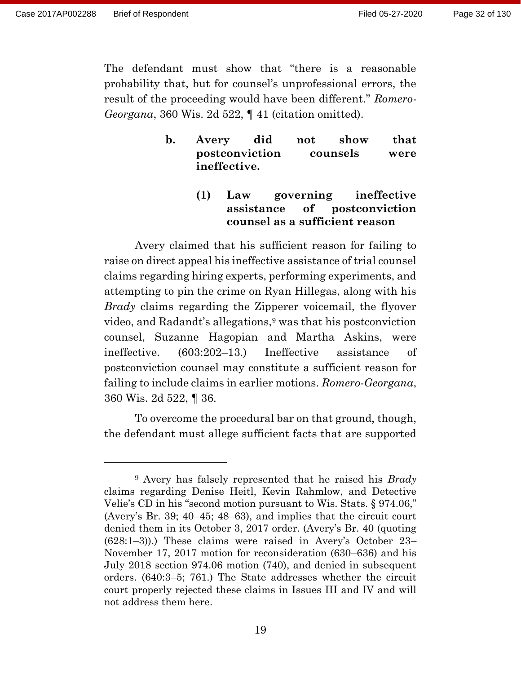The defendant must show that "there is a reasonable probability that, but for counsel's unprofessional errors, the result of the proceeding would have been different." *Romero-Georgana*, 360 Wis. 2d 522, ¶ 41 (citation omitted).

## **b. Avery did not show that postconviction counsels were ineffective.**

# **(1) Law governing ineffective assistance of postconviction counsel as a sufficient reason**

Avery claimed that his sufficient reason for failing to raise on direct appeal his ineffective assistance of trial counsel claims regarding hiring experts, performing experiments, and attempting to pin the crime on Ryan Hillegas, along with his *Brady* claims regarding the Zipperer voicemail, the flyover video, and Radandt's allegations,<sup>9</sup> was that his postconviction counsel, Suzanne Hagopian and Martha Askins, were ineffective. (603:202–13.) Ineffective assistance of postconviction counsel may constitute a sufficient reason for failing to include claims in earlier motions. *Romero-Georgana*, 360 Wis. 2d 522, ¶ 36.

To overcome the procedural bar on that ground, though, the defendant must allege sufficient facts that are supported

<sup>9</sup> Avery has falsely represented that he raised his *Brady* claims regarding Denise Heitl, Kevin Rahmlow, and Detective Velie's CD in his "second motion pursuant to Wis. Stats. § 974.06," (Avery's Br. 39; 40–45; 48–63), and implies that the circuit court denied them in its October 3, 2017 order. (Avery's Br. 40 (quoting (628:1–3)).) These claims were raised in Avery's October 23– November 17, 2017 motion for reconsideration (630–636) and his July 2018 section 974.06 motion (740), and denied in subsequent orders. (640:3–5; 761.) The State addresses whether the circuit court properly rejected these claims in Issues III and IV and will not address them here.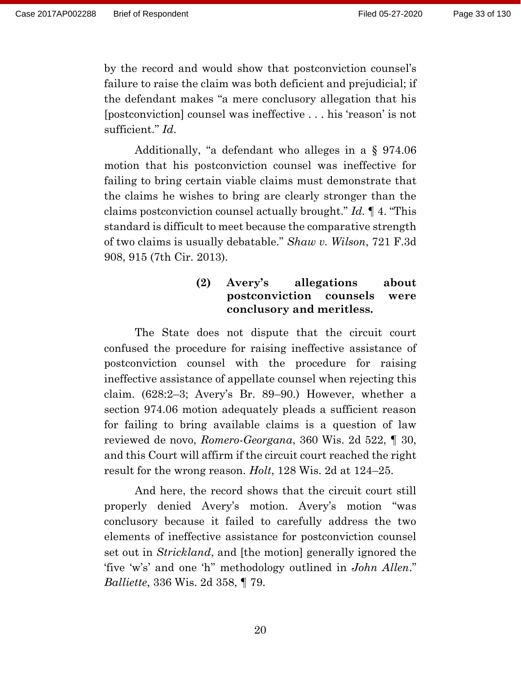by the record and would show that postconviction counsel's failure to raise the claim was both deficient and prejudicial; if the defendant makes "a mere conclusory allegation that his [postconviction] counsel was ineffective . . . his 'reason' is not sufficient." *Id*.

Additionally, "a defendant who alleges in a § 974.06 motion that his postconviction counsel was ineffective for failing to bring certain viable claims must demonstrate that the claims he wishes to bring are clearly stronger than the claims postconviction counsel actually brought." *Id.* ¶ 4. "This standard is difficult to meet because the comparative strength of two claims is usually debatable." *Shaw v. Wilson*, 721 F.3d 908, 915 (7th Cir. 2013).

# **(2) Avery's allegations about postconviction counsels were conclusory and meritless.**

The State does not dispute that the circuit court confused the procedure for raising ineffective assistance of postconviction counsel with the procedure for raising ineffective assistance of appellate counsel when rejecting this claim. (628:2–3; Avery's Br. 89–90.) However, whether a section 974.06 motion adequately pleads a sufficient reason for failing to bring available claims is a question of law reviewed de novo, *Romero-Georgana*, 360 Wis. 2d 522, ¶ 30, and this Court will affirm if the circuit court reached the right result for the wrong reason. *Holt*, 128 Wis. 2d at 124–25.

And here, the record shows that the circuit court still properly denied Avery's motion. Avery's motion "was conclusory because it failed to carefully address the two elements of ineffective assistance for postconviction counsel set out in *Strickland*, and [the motion] generally ignored the 'five 'w's' and one 'h'' methodology outlined in *John Allen*." *Balliette*, 336 Wis. 2d 358, ¶ 79.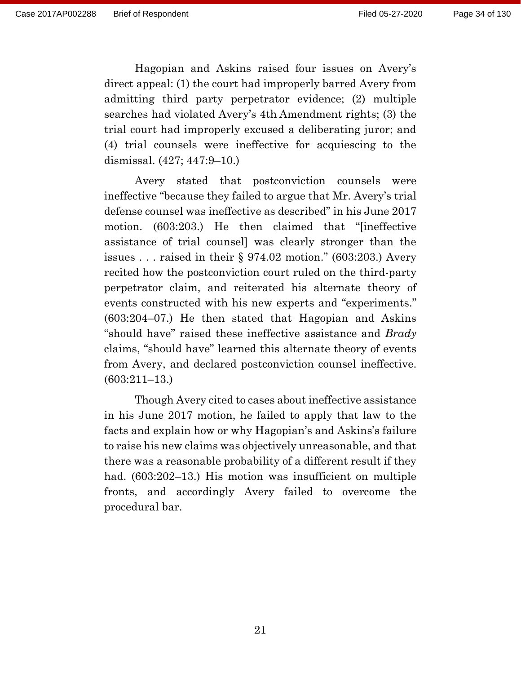Hagopian and Askins raised four issues on Avery's direct appeal: (1) the court had improperly barred Avery from admitting third party perpetrator evidence; (2) multiple searches had violated Avery's 4th Amendment rights; (3) the trial court had improperly excused a deliberating juror; and (4) trial counsels were ineffective for acquiescing to the dismissal. (427; 447:9–10.)

Avery stated that postconviction counsels were ineffective "because they failed to argue that Mr. Avery's trial defense counsel was ineffective as described" in his June 2017 motion. (603:203.) He then claimed that "[ineffective assistance of trial counsel] was clearly stronger than the issues . . . raised in their § 974.02 motion." (603:203.) Avery recited how the postconviction court ruled on the third-party perpetrator claim, and reiterated his alternate theory of events constructed with his new experts and "experiments." (603:204–07.) He then stated that Hagopian and Askins "should have" raised these ineffective assistance and *Brady* claims, "should have" learned this alternate theory of events from Avery, and declared postconviction counsel ineffective. (603:211–13.)

Though Avery cited to cases about ineffective assistance in his June 2017 motion, he failed to apply that law to the facts and explain how or why Hagopian's and Askins's failure to raise his new claims was objectively unreasonable, and that there was a reasonable probability of a different result if they had. (603:202–13.) His motion was insufficient on multiple fronts, and accordingly Avery failed to overcome the procedural bar.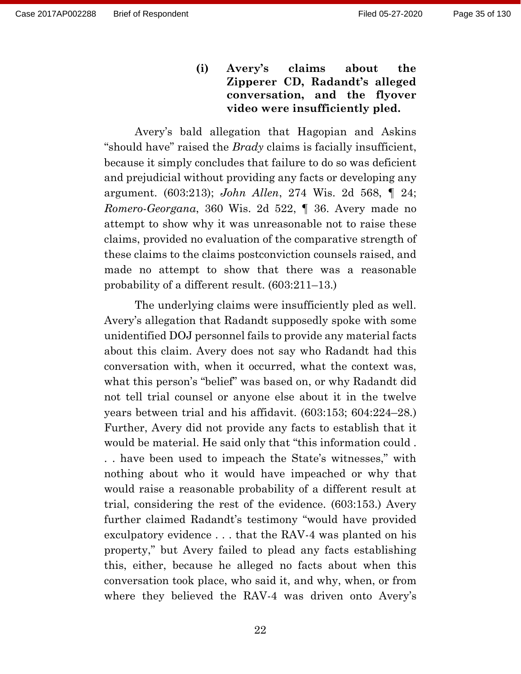**(i) Avery's claims about the Zipperer CD, Radandt's alleged conversation, and the flyover video were insufficiently pled.** 

Avery's bald allegation that Hagopian and Askins "should have" raised the *Brady* claims is facially insufficient, because it simply concludes that failure to do so was deficient and prejudicial without providing any facts or developing any argument. (603:213); *John Allen*, 274 Wis. 2d 568, ¶ 24; *Romero-Georgana*, 360 Wis. 2d 522, ¶ 36. Avery made no attempt to show why it was unreasonable not to raise these claims, provided no evaluation of the comparative strength of these claims to the claims postconviction counsels raised, and made no attempt to show that there was a reasonable probability of a different result. (603:211–13.)

The underlying claims were insufficiently pled as well. Avery's allegation that Radandt supposedly spoke with some unidentified DOJ personnel fails to provide any material facts about this claim. Avery does not say who Radandt had this conversation with, when it occurred, what the context was, what this person's "belief" was based on, or why Radandt did not tell trial counsel or anyone else about it in the twelve years between trial and his affidavit. (603:153; 604:224–28.) Further, Avery did not provide any facts to establish that it would be material. He said only that "this information could . . . have been used to impeach the State's witnesses," with nothing about who it would have impeached or why that would raise a reasonable probability of a different result at trial, considering the rest of the evidence. (603:153.) Avery further claimed Radandt's testimony "would have provided exculpatory evidence . . . that the RAV-4 was planted on his property," but Avery failed to plead any facts establishing this, either, because he alleged no facts about when this conversation took place, who said it, and why, when, or from where they believed the RAV-4 was driven onto Avery's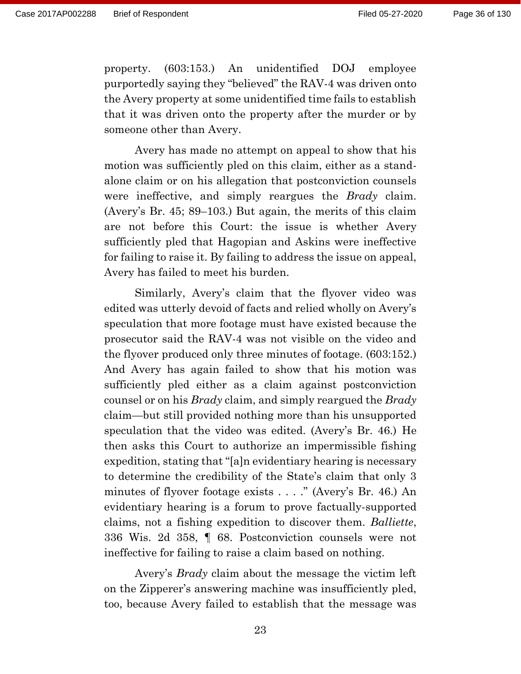property. (603:153.) An unidentified DOJ employee purportedly saying they "believed" the RAV-4 was driven onto the Avery property at some unidentified time fails to establish that it was driven onto the property after the murder or by someone other than Avery.

Avery has made no attempt on appeal to show that his motion was sufficiently pled on this claim, either as a standalone claim or on his allegation that postconviction counsels were ineffective, and simply reargues the *Brady* claim. (Avery's Br. 45; 89–103.) But again, the merits of this claim are not before this Court: the issue is whether Avery sufficiently pled that Hagopian and Askins were ineffective for failing to raise it. By failing to address the issue on appeal, Avery has failed to meet his burden.

Similarly, Avery's claim that the flyover video was edited was utterly devoid of facts and relied wholly on Avery's speculation that more footage must have existed because the prosecutor said the RAV-4 was not visible on the video and the flyover produced only three minutes of footage. (603:152.) And Avery has again failed to show that his motion was sufficiently pled either as a claim against postconviction counsel or on his *Brady* claim, and simply reargued the *Brady* claim—but still provided nothing more than his unsupported speculation that the video was edited. (Avery's Br. 46.) He then asks this Court to authorize an impermissible fishing expedition, stating that "[a]n evidentiary hearing is necessary to determine the credibility of the State's claim that only 3 minutes of flyover footage exists . . . ." (Avery's Br. 46.) An evidentiary hearing is a forum to prove factually-supported claims, not a fishing expedition to discover them. *Balliette*, 336 Wis. 2d 358, ¶ 68. Postconviction counsels were not ineffective for failing to raise a claim based on nothing.

Avery's *Brady* claim about the message the victim left on the Zipperer's answering machine was insufficiently pled, too, because Avery failed to establish that the message was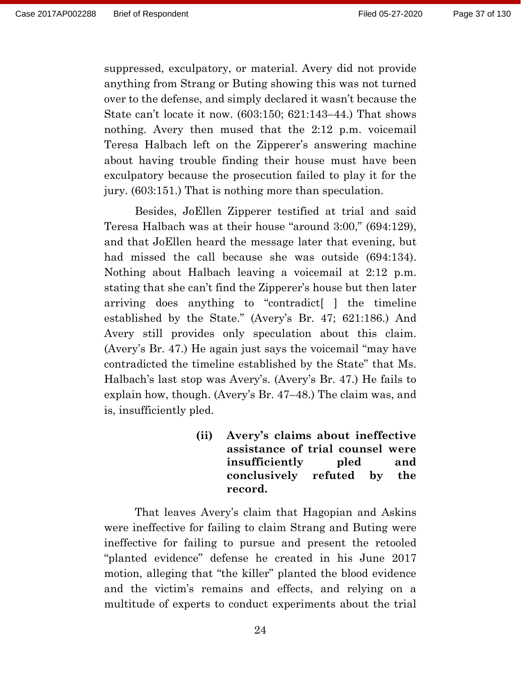suppressed, exculpatory, or material. Avery did not provide anything from Strang or Buting showing this was not turned over to the defense, and simply declared it wasn't because the State can't locate it now. (603:150; 621:143–44.) That shows nothing. Avery then mused that the 2:12 p.m. voicemail Teresa Halbach left on the Zipperer's answering machine about having trouble finding their house must have been exculpatory because the prosecution failed to play it for the jury. (603:151.) That is nothing more than speculation.

Besides, JoEllen Zipperer testified at trial and said Teresa Halbach was at their house "around 3:00," (694:129), and that JoEllen heard the message later that evening, but had missed the call because she was outside (694:134). Nothing about Halbach leaving a voicemail at 2:12 p.m. stating that she can't find the Zipperer's house but then later arriving does anything to "contradict[ ] the timeline established by the State." (Avery's Br. 47; 621:186.) And Avery still provides only speculation about this claim. (Avery's Br. 47.) He again just says the voicemail "may have contradicted the timeline established by the State" that Ms. Halbach's last stop was Avery's. (Avery's Br. 47.) He fails to explain how, though. (Avery's Br. 47–48.) The claim was, and is, insufficiently pled.

> **(ii) Avery's claims about ineffective assistance of trial counsel were insufficiently pled and conclusively refuted by the record.**

That leaves Avery's claim that Hagopian and Askins were ineffective for failing to claim Strang and Buting were ineffective for failing to pursue and present the retooled "planted evidence" defense he created in his June 2017 motion, alleging that "the killer" planted the blood evidence and the victim's remains and effects, and relying on a multitude of experts to conduct experiments about the trial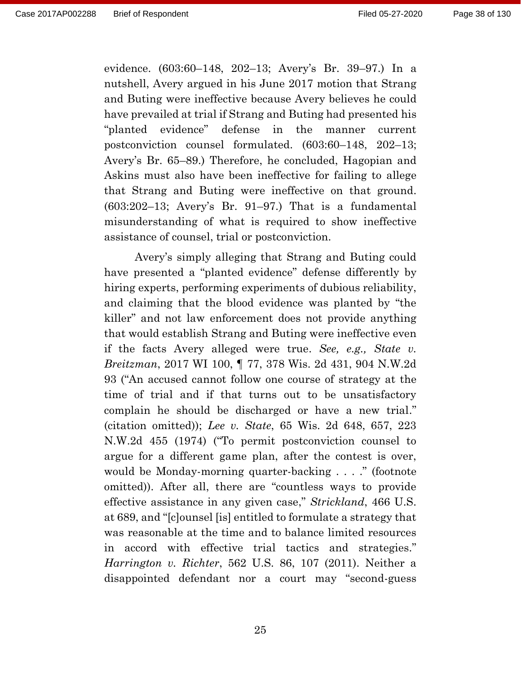evidence. (603:60–148, 202–13; Avery's Br. 39–97.) In a nutshell, Avery argued in his June 2017 motion that Strang and Buting were ineffective because Avery believes he could have prevailed at trial if Strang and Buting had presented his "planted evidence" defense in the manner current postconviction counsel formulated. (603:60–148, 202–13; Avery's Br. 65–89.) Therefore, he concluded, Hagopian and Askins must also have been ineffective for failing to allege that Strang and Buting were ineffective on that ground. (603:202–13; Avery's Br. 91–97.) That is a fundamental misunderstanding of what is required to show ineffective assistance of counsel, trial or postconviction.

Avery's simply alleging that Strang and Buting could have presented a "planted evidence" defense differently by hiring experts, performing experiments of dubious reliability, and claiming that the blood evidence was planted by "the killer" and not law enforcement does not provide anything that would establish Strang and Buting were ineffective even if the facts Avery alleged were true. *See, e.g., State v. Breitzman*, 2017 WI 100, ¶ 77, 378 Wis. 2d 431, 904 N.W.2d 93 ("An accused cannot follow one course of strategy at the time of trial and if that turns out to be unsatisfactory complain he should be discharged or have a new trial." (citation omitted)); *Lee v. State*, 65 Wis. 2d 648, 657, 223 N.W.2d 455 (1974) ("To permit postconviction counsel to argue for a different game plan, after the contest is over, would be Monday-morning quarter-backing . . . ." (footnote omitted)). After all, there are "countless ways to provide effective assistance in any given case," *Strickland*, 466 U.S. at 689, and "[c]ounsel [is] entitled to formulate a strategy that was reasonable at the time and to balance limited resources in accord with effective trial tactics and strategies." *Harrington v. Richter*, 562 U.S. 86, 107 (2011). Neither a disappointed defendant nor a court may "second-guess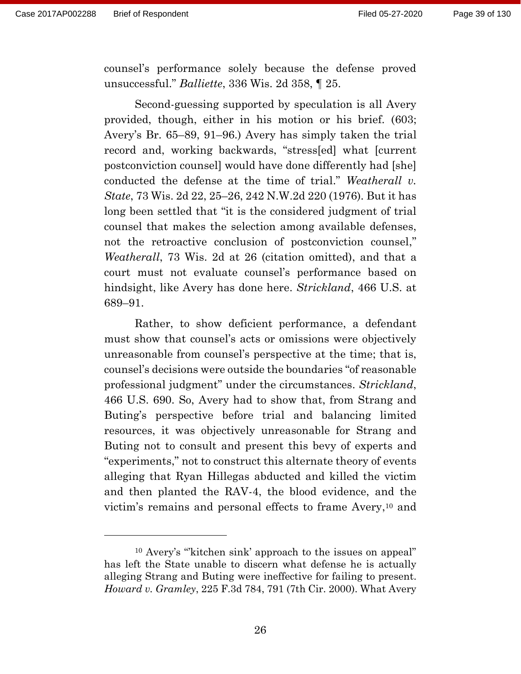counsel's performance solely because the defense proved unsuccessful." *Balliette*, 336 Wis. 2d 358, ¶ 25.

Second-guessing supported by speculation is all Avery provided, though, either in his motion or his brief. (603; Avery's Br. 65–89, 91–96.) Avery has simply taken the trial record and, working backwards, "stress[ed] what [current postconviction counsel] would have done differently had [she] conducted the defense at the time of trial." *Weatherall v. State*, 73 Wis. 2d 22, 25–26, 242 N.W.2d 220 (1976). But it has long been settled that "it is the considered judgment of trial counsel that makes the selection among available defenses, not the retroactive conclusion of postconviction counsel," *Weatherall*, 73 Wis. 2d at 26 (citation omitted), and that a court must not evaluate counsel's performance based on hindsight, like Avery has done here. *Strickland*, 466 U.S. at 689–91.

Rather, to show deficient performance, a defendant must show that counsel's acts or omissions were objectively unreasonable from counsel's perspective at the time; that is, counsel's decisions were outside the boundaries "of reasonable professional judgment" under the circumstances. *Strickland*, 466 U.S. 690. So, Avery had to show that, from Strang and Buting's perspective before trial and balancing limited resources, it was objectively unreasonable for Strang and Buting not to consult and present this bevy of experts and "experiments," not to construct this alternate theory of events alleging that Ryan Hillegas abducted and killed the victim and then planted the RAV-4, the blood evidence, and the victim's remains and personal effects to frame Avery, <sup>10</sup> and

<sup>10</sup> Avery's "'kitchen sink' approach to the issues on appeal" has left the State unable to discern what defense he is actually alleging Strang and Buting were ineffective for failing to present. *Howard v. Gramley*, 225 F.3d 784, 791 (7th Cir. 2000). What Avery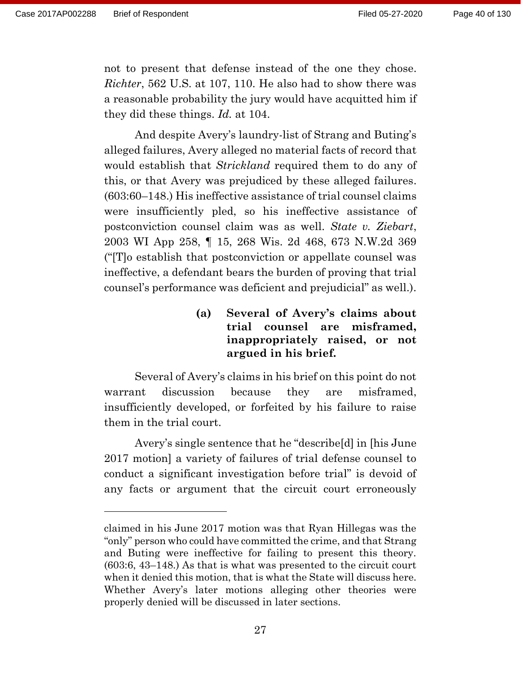not to present that defense instead of the one they chose. *Richter*, 562 U.S. at 107, 110. He also had to show there was a reasonable probability the jury would have acquitted him if they did these things. *Id.* at 104.

And despite Avery's laundry-list of Strang and Buting's alleged failures, Avery alleged no material facts of record that would establish that *Strickland* required them to do any of this, or that Avery was prejudiced by these alleged failures. (603:60–148.) His ineffective assistance of trial counsel claims were insufficiently pled, so his ineffective assistance of postconviction counsel claim was as well. *State v. Ziebart*, 2003 WI App 258, ¶ 15, 268 Wis. 2d 468, 673 N.W.2d 369 ("[T]o establish that postconviction or appellate counsel was ineffective, a defendant bears the burden of proving that trial counsel's performance was deficient and prejudicial" as well.).

> **(a) Several of Avery's claims about trial counsel are misframed, inappropriately raised, or not argued in his brief.**

Several of Avery's claims in his brief on this point do not warrant discussion because they are misframed, insufficiently developed, or forfeited by his failure to raise them in the trial court.

Avery's single sentence that he "describe[d] in [his June 2017 motion] a variety of failures of trial defense counsel to conduct a significant investigation before trial" is devoid of any facts or argument that the circuit court erroneously

claimed in his June 2017 motion was that Ryan Hillegas was the "only" person who could have committed the crime, and that Strang and Buting were ineffective for failing to present this theory. (603:6, 43–148.) As that is what was presented to the circuit court when it denied this motion, that is what the State will discuss here. Whether Avery's later motions alleging other theories were properly denied will be discussed in later sections.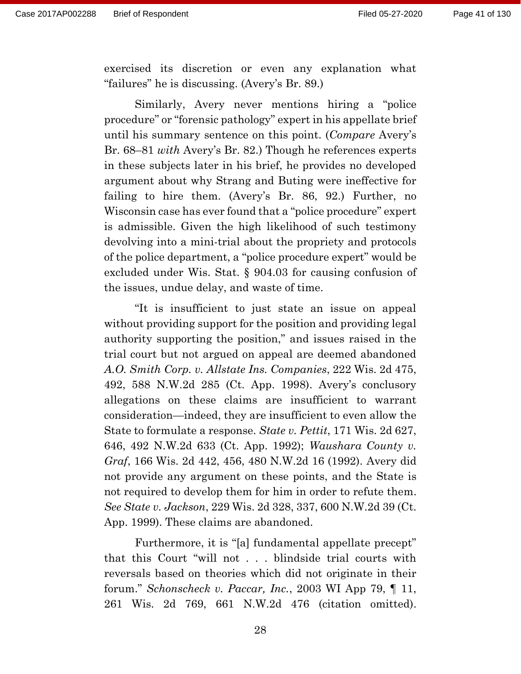exercised its discretion or even any explanation what "failures" he is discussing. (Avery's Br. 89.)

Similarly, Avery never mentions hiring a "police procedure" or "forensic pathology" expert in his appellate brief until his summary sentence on this point. (*Compare* Avery's Br. 68–81 *with* Avery's Br. 82.) Though he references experts in these subjects later in his brief, he provides no developed argument about why Strang and Buting were ineffective for failing to hire them. (Avery's Br. 86, 92.) Further, no Wisconsin case has ever found that a "police procedure" expert is admissible. Given the high likelihood of such testimony devolving into a mini-trial about the propriety and protocols of the police department, a "police procedure expert" would be excluded under Wis. Stat. § 904.03 for causing confusion of the issues, undue delay, and waste of time.

"It is insufficient to just state an issue on appeal without providing support for the position and providing legal authority supporting the position," and issues raised in the trial court but not argued on appeal are deemed abandoned *A.O. Smith Corp. v. Allstate Ins. Companies*, 222 Wis. 2d 475, 492, 588 N.W.2d 285 (Ct. App. 1998). Avery's conclusory allegations on these claims are insufficient to warrant consideration—indeed, they are insufficient to even allow the State to formulate a response. *State v. Pettit*, 171 Wis. 2d 627, 646, 492 N.W.2d 633 (Ct. App. 1992); *Waushara County v. Graf*, 166 Wis. 2d 442, 456, 480 N.W.2d 16 (1992). Avery did not provide any argument on these points, and the State is not required to develop them for him in order to refute them. *See State v. Jackson*, 229 Wis. 2d 328, 337, 600 N.W.2d 39 (Ct. App. 1999). These claims are abandoned.

Furthermore, it is "[a] fundamental appellate precept" that this Court "will not . . . blindside trial courts with reversals based on theories which did not originate in their forum." *Schonscheck v. Paccar, Inc.*, 2003 WI App 79, ¶ 11, 261 Wis. 2d 769, 661 N.W.2d 476 (citation omitted).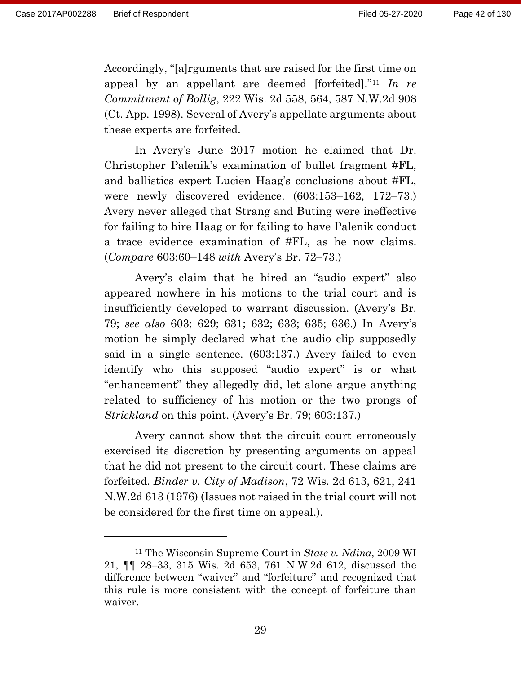Accordingly, "[a]rguments that are raised for the first time on appeal by an appellant are deemed [forfeited]."<sup>11</sup> *In re Commitment of Bollig*, 222 Wis. 2d 558, 564, 587 N.W.2d 908 (Ct. App. 1998). Several of Avery's appellate arguments about these experts are forfeited.

In Avery's June 2017 motion he claimed that Dr. Christopher Palenik's examination of bullet fragment #FL, and ballistics expert Lucien Haag's conclusions about #FL, were newly discovered evidence. (603:153–162, 172–73.) Avery never alleged that Strang and Buting were ineffective for failing to hire Haag or for failing to have Palenik conduct a trace evidence examination of #FL, as he now claims. (*Compare* 603:60–148 *with* Avery's Br. 72–73.)

Avery's claim that he hired an "audio expert" also appeared nowhere in his motions to the trial court and is insufficiently developed to warrant discussion. (Avery's Br. 79; *see also* 603; 629; 631; 632; 633; 635; 636.) In Avery's motion he simply declared what the audio clip supposedly said in a single sentence. (603:137.) Avery failed to even identify who this supposed "audio expert" is or what "enhancement" they allegedly did, let alone argue anything related to sufficiency of his motion or the two prongs of *Strickland* on this point. (Avery's Br. 79; 603:137.)

Avery cannot show that the circuit court erroneously exercised its discretion by presenting arguments on appeal that he did not present to the circuit court. These claims are forfeited. *Binder v. City of Madison*, 72 Wis. 2d 613, 621, 241 N.W.2d 613 (1976) (Issues not raised in the trial court will not be considered for the first time on appeal.).

<sup>11</sup> The Wisconsin Supreme Court in *State v. Ndina*, 2009 WI 21, ¶¶ 28–33, 315 Wis. 2d 653, 761 N.W.2d 612, discussed the difference between "waiver" and "forfeiture" and recognized that this rule is more consistent with the concept of forfeiture than waiver.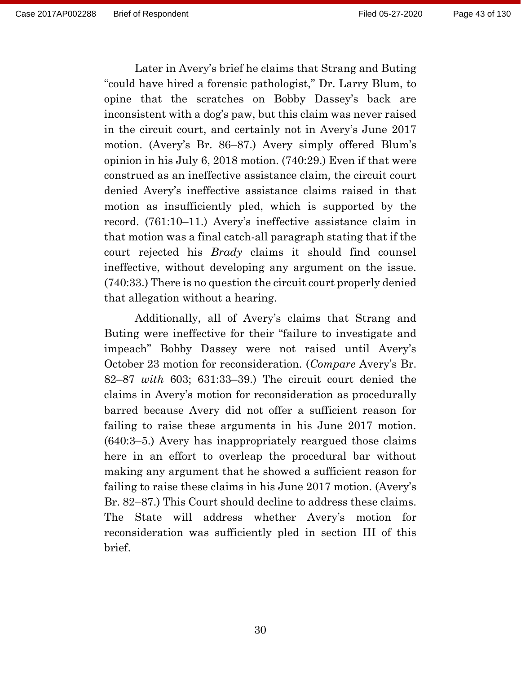Later in Avery's brief he claims that Strang and Buting "could have hired a forensic pathologist," Dr. Larry Blum, to opine that the scratches on Bobby Dassey's back are inconsistent with a dog's paw, but this claim was never raised in the circuit court, and certainly not in Avery's June 2017 motion. (Avery's Br. 86–87.) Avery simply offered Blum's opinion in his July 6, 2018 motion. (740:29.) Even if that were construed as an ineffective assistance claim, the circuit court denied Avery's ineffective assistance claims raised in that motion as insufficiently pled, which is supported by the record. (761:10–11.) Avery's ineffective assistance claim in that motion was a final catch-all paragraph stating that if the court rejected his *Brady* claims it should find counsel ineffective, without developing any argument on the issue. (740:33.) There is no question the circuit court properly denied that allegation without a hearing.

Additionally, all of Avery's claims that Strang and Buting were ineffective for their "failure to investigate and impeach" Bobby Dassey were not raised until Avery's October 23 motion for reconsideration. (*Compare* Avery's Br. 82–87 *with* 603; 631:33–39.) The circuit court denied the claims in Avery's motion for reconsideration as procedurally barred because Avery did not offer a sufficient reason for failing to raise these arguments in his June 2017 motion. (640:3–5.) Avery has inappropriately reargued those claims here in an effort to overleap the procedural bar without making any argument that he showed a sufficient reason for failing to raise these claims in his June 2017 motion. (Avery's Br. 82–87.) This Court should decline to address these claims. The State will address whether Avery's motion for reconsideration was sufficiently pled in section III of this brief.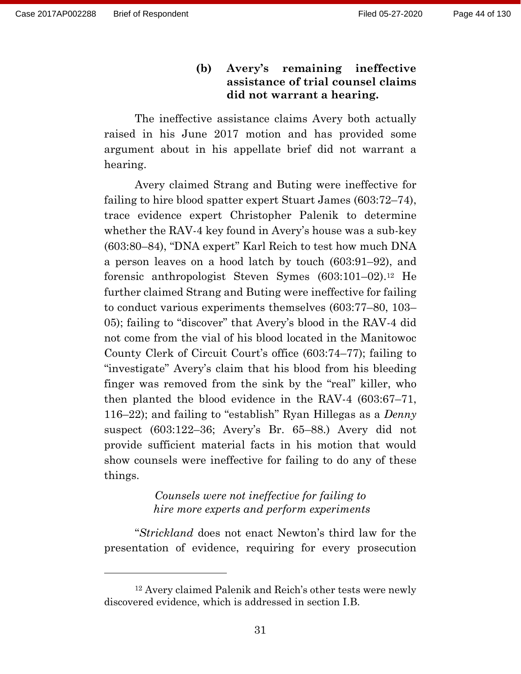## **(b) Avery's remaining ineffective assistance of trial counsel claims did not warrant a hearing.**

The ineffective assistance claims Avery both actually raised in his June 2017 motion and has provided some argument about in his appellate brief did not warrant a hearing.

Avery claimed Strang and Buting were ineffective for failing to hire blood spatter expert Stuart James (603:72–74), trace evidence expert Christopher Palenik to determine whether the RAV-4 key found in Avery's house was a sub-key (603:80–84), "DNA expert" Karl Reich to test how much DNA a person leaves on a hood latch by touch (603:91–92), and forensic anthropologist Steven Symes (603:101–02). <sup>12</sup> He further claimed Strang and Buting were ineffective for failing to conduct various experiments themselves (603:77–80, 103– 05); failing to "discover" that Avery's blood in the RAV-4 did not come from the vial of his blood located in the Manitowoc County Clerk of Circuit Court's office (603:74–77); failing to "investigate" Avery's claim that his blood from his bleeding finger was removed from the sink by the "real" killer, who then planted the blood evidence in the RAV-4 (603:67–71, 116–22); and failing to "establish" Ryan Hillegas as a *Denny* suspect (603:122–36; Avery's Br. 65–88.) Avery did not provide sufficient material facts in his motion that would show counsels were ineffective for failing to do any of these things.

### *Counsels were not ineffective for failing to hire more experts and perform experiments*

"*Strickland* does not enact Newton's third law for the presentation of evidence, requiring for every prosecution

<sup>12</sup> Avery claimed Palenik and Reich's other tests were newly discovered evidence, which is addressed in section I.B.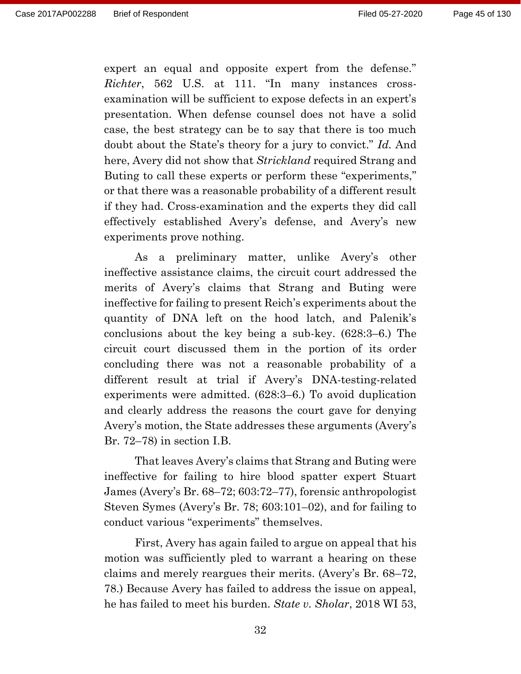expert an equal and opposite expert from the defense." *Richter*, 562 U.S. at 111. "In many instances crossexamination will be sufficient to expose defects in an expert's presentation. When defense counsel does not have a solid case, the best strategy can be to say that there is too much doubt about the State's theory for a jury to convict." *Id.* And here, Avery did not show that *Strickland* required Strang and Buting to call these experts or perform these "experiments," or that there was a reasonable probability of a different result if they had. Cross-examination and the experts they did call effectively established Avery's defense, and Avery's new experiments prove nothing.

As a preliminary matter, unlike Avery's other ineffective assistance claims, the circuit court addressed the merits of Avery's claims that Strang and Buting were ineffective for failing to present Reich's experiments about the quantity of DNA left on the hood latch, and Palenik's conclusions about the key being a sub-key. (628:3–6.) The circuit court discussed them in the portion of its order concluding there was not a reasonable probability of a different result at trial if Avery's DNA-testing-related experiments were admitted. (628:3–6.) To avoid duplication and clearly address the reasons the court gave for denying Avery's motion, the State addresses these arguments (Avery's Br. 72–78) in section I.B.

That leaves Avery's claims that Strang and Buting were ineffective for failing to hire blood spatter expert Stuart James (Avery's Br. 68–72; 603:72–77), forensic anthropologist Steven Symes (Avery's Br. 78; 603:101–02), and for failing to conduct various "experiments" themselves.

First, Avery has again failed to argue on appeal that his motion was sufficiently pled to warrant a hearing on these claims and merely reargues their merits. (Avery's Br. 68–72, 78.) Because Avery has failed to address the issue on appeal, he has failed to meet his burden. *State v. Sholar*, 2018 WI 53,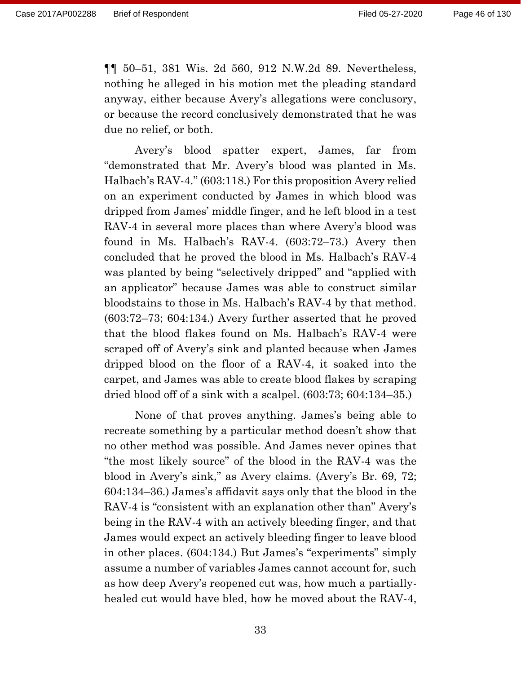¶¶ 50–51, 381 Wis. 2d 560, 912 N.W.2d 89. Nevertheless, nothing he alleged in his motion met the pleading standard anyway, either because Avery's allegations were conclusory, or because the record conclusively demonstrated that he was due no relief, or both.

Avery's blood spatter expert, James, far from "demonstrated that Mr. Avery's blood was planted in Ms. Halbach's RAV-4." (603:118.) For this proposition Avery relied on an experiment conducted by James in which blood was dripped from James' middle finger, and he left blood in a test RAV-4 in several more places than where Avery's blood was found in Ms. Halbach's RAV-4. (603:72–73.) Avery then concluded that he proved the blood in Ms. Halbach's RAV-4 was planted by being "selectively dripped" and "applied with an applicator" because James was able to construct similar bloodstains to those in Ms. Halbach's RAV-4 by that method. (603:72–73; 604:134.) Avery further asserted that he proved that the blood flakes found on Ms. Halbach's RAV-4 were scraped off of Avery's sink and planted because when James dripped blood on the floor of a RAV-4, it soaked into the carpet, and James was able to create blood flakes by scraping dried blood off of a sink with a scalpel. (603:73; 604:134–35.)

None of that proves anything. James's being able to recreate something by a particular method doesn't show that no other method was possible. And James never opines that "the most likely source" of the blood in the RAV-4 was the blood in Avery's sink," as Avery claims. (Avery's Br. 69, 72; 604:134–36.) James's affidavit says only that the blood in the RAV-4 is "consistent with an explanation other than" Avery's being in the RAV-4 with an actively bleeding finger, and that James would expect an actively bleeding finger to leave blood in other places. (604:134.) But James's "experiments" simply assume a number of variables James cannot account for, such as how deep Avery's reopened cut was, how much a partiallyhealed cut would have bled, how he moved about the RAV-4,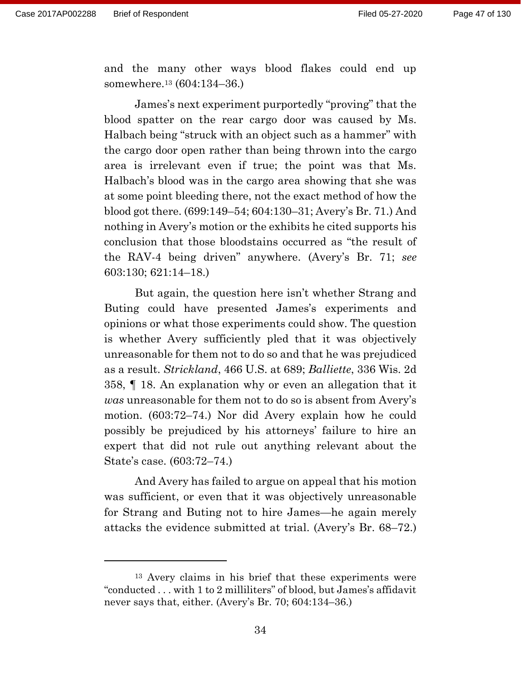and the many other ways blood flakes could end up somewhere.<sup>13</sup> (604:134–36.)

James's next experiment purportedly "proving" that the blood spatter on the rear cargo door was caused by Ms. Halbach being "struck with an object such as a hammer" with the cargo door open rather than being thrown into the cargo area is irrelevant even if true; the point was that Ms. Halbach's blood was in the cargo area showing that she was at some point bleeding there, not the exact method of how the blood got there. (699:149–54; 604:130–31; Avery's Br. 71.) And nothing in Avery's motion or the exhibits he cited supports his conclusion that those bloodstains occurred as "the result of the RAV-4 being driven" anywhere. (Avery's Br. 71; *see*  603:130; 621:14–18.)

But again, the question here isn't whether Strang and Buting could have presented James's experiments and opinions or what those experiments could show. The question is whether Avery sufficiently pled that it was objectively unreasonable for them not to do so and that he was prejudiced as a result. *Strickland*, 466 U.S. at 689; *Balliette*, 336 Wis. 2d 358, ¶ 18. An explanation why or even an allegation that it *was* unreasonable for them not to do so is absent from Avery's motion. (603:72–74.) Nor did Avery explain how he could possibly be prejudiced by his attorneys' failure to hire an expert that did not rule out anything relevant about the State's case. (603:72–74.)

And Avery has failed to argue on appeal that his motion was sufficient, or even that it was objectively unreasonable for Strang and Buting not to hire James—he again merely attacks the evidence submitted at trial. (Avery's Br. 68–72.)

<sup>13</sup> Avery claims in his brief that these experiments were "conducted . . . with 1 to 2 milliliters" of blood, but James's affidavit never says that, either. (Avery's Br. 70; 604:134–36.)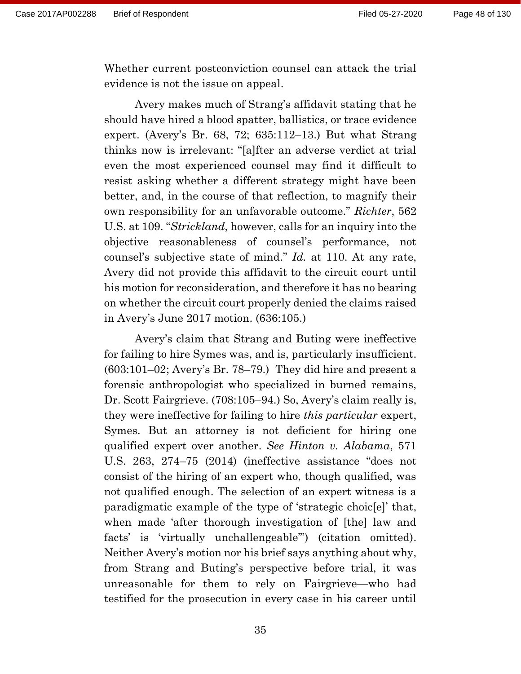Whether current postconviction counsel can attack the trial evidence is not the issue on appeal.

Avery makes much of Strang's affidavit stating that he should have hired a blood spatter, ballistics, or trace evidence expert. (Avery's Br. 68, 72; 635:112–13.) But what Strang thinks now is irrelevant: "[a]fter an adverse verdict at trial even the most experienced counsel may find it difficult to resist asking whether a different strategy might have been better, and, in the course of that reflection, to magnify their own responsibility for an unfavorable outcome." *Richter*, 562 U.S. at 109. "*Strickland*, however, calls for an inquiry into the objective reasonableness of counsel's performance, not counsel's subjective state of mind." *Id.* at 110. At any rate, Avery did not provide this affidavit to the circuit court until his motion for reconsideration, and therefore it has no bearing on whether the circuit court properly denied the claims raised in Avery's June 2017 motion. (636:105.)

Avery's claim that Strang and Buting were ineffective for failing to hire Symes was, and is, particularly insufficient. (603:101–02; Avery's Br. 78–79.) They did hire and present a forensic anthropologist who specialized in burned remains, Dr. Scott Fairgrieve. (708:105–94.) So, Avery's claim really is, they were ineffective for failing to hire *this particular* expert, Symes. But an attorney is not deficient for hiring one qualified expert over another. *See Hinton v. Alabama*, 571 U.S. 263, 274–75 (2014) (ineffective assistance "does not consist of the hiring of an expert who, though qualified, was not qualified enough. The selection of an expert witness is a paradigmatic example of the type of 'strategic choic[e]' that, when made 'after thorough investigation of [the] law and facts' is 'virtually unchallengeable'") (citation omitted). Neither Avery's motion nor his brief says anything about why, from Strang and Buting's perspective before trial, it was unreasonable for them to rely on Fairgrieve—who had testified for the prosecution in every case in his career until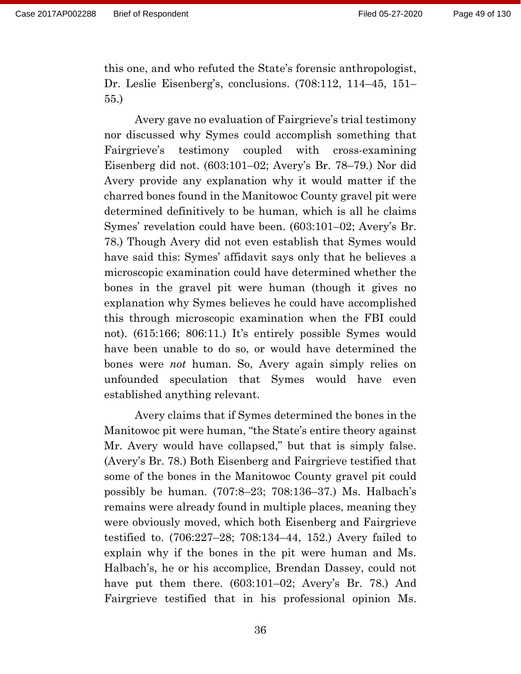this one, and who refuted the State's forensic anthropologist, Dr. Leslie Eisenberg's, conclusions. (708:112, 114–45, 151– 55.)

Avery gave no evaluation of Fairgrieve's trial testimony nor discussed why Symes could accomplish something that Fairgrieve's testimony coupled with cross-examining Eisenberg did not. (603:101–02; Avery's Br. 78–79.) Nor did Avery provide any explanation why it would matter if the charred bones found in the Manitowoc County gravel pit were determined definitively to be human, which is all he claims Symes' revelation could have been. (603:101–02; Avery's Br. 78.) Though Avery did not even establish that Symes would have said this: Symes' affidavit says only that he believes a microscopic examination could have determined whether the bones in the gravel pit were human (though it gives no explanation why Symes believes he could have accomplished this through microscopic examination when the FBI could not). (615:166; 806:11.) It's entirely possible Symes would have been unable to do so, or would have determined the bones were *not* human. So, Avery again simply relies on unfounded speculation that Symes would have even established anything relevant.

Avery claims that if Symes determined the bones in the Manitowoc pit were human, "the State's entire theory against Mr. Avery would have collapsed," but that is simply false. (Avery's Br. 78.) Both Eisenberg and Fairgrieve testified that some of the bones in the Manitowoc County gravel pit could possibly be human. (707:8–23; 708:136–37.) Ms. Halbach's remains were already found in multiple places, meaning they were obviously moved, which both Eisenberg and Fairgrieve testified to. (706:227–28; 708:134–44, 152.) Avery failed to explain why if the bones in the pit were human and Ms. Halbach's, he or his accomplice, Brendan Dassey, could not have put them there. (603:101–02; Avery's Br. 78.) And Fairgrieve testified that in his professional opinion Ms.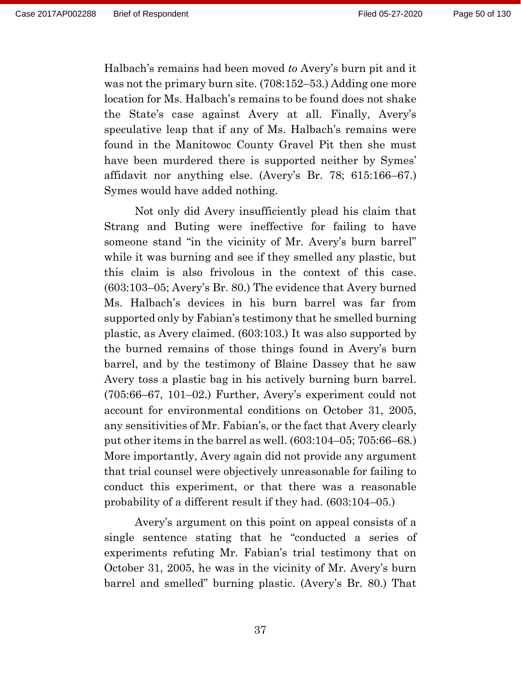Halbach's remains had been moved *to* Avery's burn pit and it was not the primary burn site. (708:152–53.) Adding one more location for Ms. Halbach's remains to be found does not shake the State's case against Avery at all. Finally, Avery's speculative leap that if any of Ms. Halbach's remains were found in the Manitowoc County Gravel Pit then she must have been murdered there is supported neither by Symes' affidavit nor anything else. (Avery's Br. 78; 615:166–67.) Symes would have added nothing.

Not only did Avery insufficiently plead his claim that Strang and Buting were ineffective for failing to have someone stand "in the vicinity of Mr. Avery's burn barrel" while it was burning and see if they smelled any plastic, but this claim is also frivolous in the context of this case. (603:103–05; Avery's Br. 80.) The evidence that Avery burned Ms. Halbach's devices in his burn barrel was far from supported only by Fabian's testimony that he smelled burning plastic, as Avery claimed. (603:103.) It was also supported by the burned remains of those things found in Avery's burn barrel, and by the testimony of Blaine Dassey that he saw Avery toss a plastic bag in his actively burning burn barrel. (705:66–67, 101–02.) Further, Avery's experiment could not account for environmental conditions on October 31, 2005, any sensitivities of Mr. Fabian's, or the fact that Avery clearly put other items in the barrel as well. (603:104–05; 705:66–68.) More importantly, Avery again did not provide any argument that trial counsel were objectively unreasonable for failing to conduct this experiment, or that there was a reasonable probability of a different result if they had. (603:104–05.)

Avery's argument on this point on appeal consists of a single sentence stating that he "conducted a series of experiments refuting Mr. Fabian's trial testimony that on October 31, 2005, he was in the vicinity of Mr. Avery's burn barrel and smelled" burning plastic. (Avery's Br. 80.) That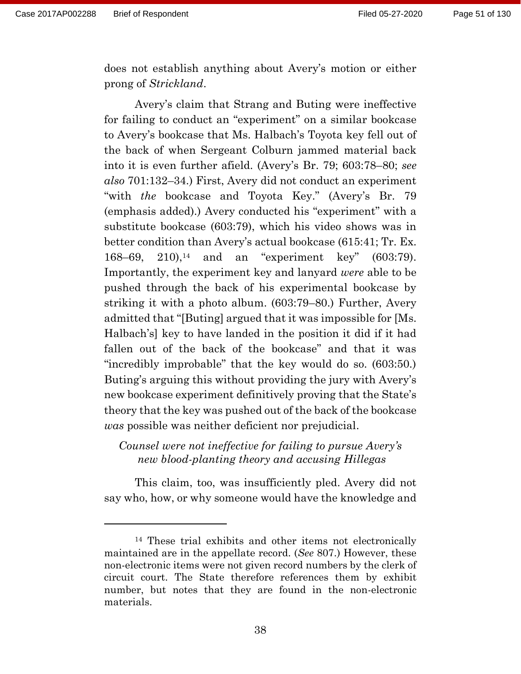does not establish anything about Avery's motion or either prong of *Strickland*.

Avery's claim that Strang and Buting were ineffective for failing to conduct an "experiment" on a similar bookcase to Avery's bookcase that Ms. Halbach's Toyota key fell out of the back of when Sergeant Colburn jammed material back into it is even further afield. (Avery's Br. 79; 603:78–80; *see also* 701:132–34.) First, Avery did not conduct an experiment "with *the* bookcase and Toyota Key." (Avery's Br. 79 (emphasis added).) Avery conducted his "experiment" with a substitute bookcase (603:79), which his video shows was in better condition than Avery's actual bookcase (615:41; Tr. Ex.  $168-69$ ,  $210$ ),<sup>14</sup> and an "experiment key" (603:79). Importantly, the experiment key and lanyard *were* able to be pushed through the back of his experimental bookcase by striking it with a photo album. (603:79–80.) Further, Avery admitted that "[Buting] argued that it was impossible for [Ms. Halbach's] key to have landed in the position it did if it had fallen out of the back of the bookcase" and that it was "incredibly improbable" that the key would do so. (603:50.) Buting's arguing this without providing the jury with Avery's new bookcase experiment definitively proving that the State's theory that the key was pushed out of the back of the bookcase *was* possible was neither deficient nor prejudicial.

## *Counsel were not ineffective for failing to pursue Avery's new blood-planting theory and accusing Hillegas*

This claim, too, was insufficiently pled. Avery did not say who, how, or why someone would have the knowledge and

<sup>14</sup> These trial exhibits and other items not electronically maintained are in the appellate record. (*See* 807.) However, these non-electronic items were not given record numbers by the clerk of circuit court. The State therefore references them by exhibit number, but notes that they are found in the non-electronic materials.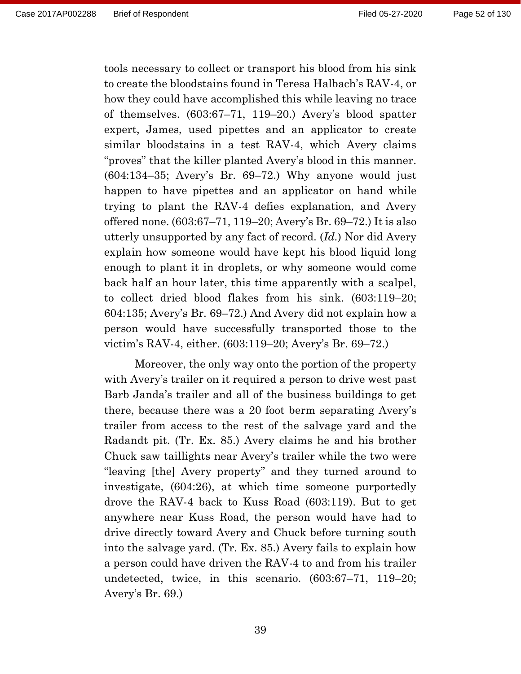tools necessary to collect or transport his blood from his sink to create the bloodstains found in Teresa Halbach's RAV-4, or how they could have accomplished this while leaving no trace of themselves. (603:67–71, 119–20.) Avery's blood spatter expert, James, used pipettes and an applicator to create similar bloodstains in a test RAV-4, which Avery claims "proves" that the killer planted Avery's blood in this manner. (604:134–35; Avery's Br. 69–72.) Why anyone would just happen to have pipettes and an applicator on hand while trying to plant the RAV-4 defies explanation, and Avery offered none. (603:67–71, 119–20; Avery's Br. 69–72.) It is also utterly unsupported by any fact of record. (*Id.*) Nor did Avery explain how someone would have kept his blood liquid long enough to plant it in droplets, or why someone would come back half an hour later, this time apparently with a scalpel, to collect dried blood flakes from his sink. (603:119–20; 604:135; Avery's Br. 69–72.) And Avery did not explain how a person would have successfully transported those to the victim's RAV-4, either. (603:119–20; Avery's Br. 69–72.)

Moreover, the only way onto the portion of the property with Avery's trailer on it required a person to drive west past Barb Janda's trailer and all of the business buildings to get there, because there was a 20 foot berm separating Avery's trailer from access to the rest of the salvage yard and the Radandt pit. (Tr. Ex. 85.) Avery claims he and his brother Chuck saw taillights near Avery's trailer while the two were "leaving [the] Avery property" and they turned around to investigate, (604:26), at which time someone purportedly drove the RAV-4 back to Kuss Road (603:119). But to get anywhere near Kuss Road, the person would have had to drive directly toward Avery and Chuck before turning south into the salvage yard. (Tr. Ex. 85.) Avery fails to explain how a person could have driven the RAV-4 to and from his trailer undetected, twice, in this scenario. (603:67–71, 119–20; Avery's Br. 69.)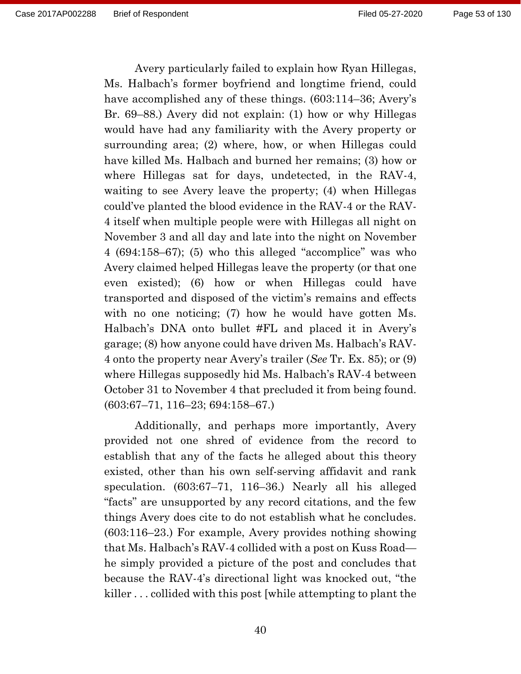Avery particularly failed to explain how Ryan Hillegas, Ms. Halbach's former boyfriend and longtime friend, could have accomplished any of these things. (603:114–36; Avery's Br. 69–88.) Avery did not explain: (1) how or why Hillegas would have had any familiarity with the Avery property or surrounding area; (2) where, how, or when Hillegas could have killed Ms. Halbach and burned her remains; (3) how or where Hillegas sat for days, undetected, in the RAV-4, waiting to see Avery leave the property; (4) when Hillegas could've planted the blood evidence in the RAV-4 or the RAV-4 itself when multiple people were with Hillegas all night on November 3 and all day and late into the night on November 4 (694:158–67); (5) who this alleged "accomplice" was who Avery claimed helped Hillegas leave the property (or that one even existed); (6) how or when Hillegas could have transported and disposed of the victim's remains and effects with no one noticing; (7) how he would have gotten Ms. Halbach's DNA onto bullet #FL and placed it in Avery's garage; (8) how anyone could have driven Ms. Halbach's RAV-4 onto the property near Avery's trailer (*See* Tr. Ex. 85); or (9) where Hillegas supposedly hid Ms. Halbach's RAV-4 between October 31 to November 4 that precluded it from being found. (603:67–71, 116–23; 694:158–67.)

Additionally, and perhaps more importantly, Avery provided not one shred of evidence from the record to establish that any of the facts he alleged about this theory existed, other than his own self-serving affidavit and rank speculation. (603:67–71, 116–36.) Nearly all his alleged "facts" are unsupported by any record citations, and the few things Avery does cite to do not establish what he concludes. (603:116–23.) For example, Avery provides nothing showing that Ms. Halbach's RAV-4 collided with a post on Kuss Road he simply provided a picture of the post and concludes that because the RAV-4's directional light was knocked out, "the killer . . . collided with this post [while attempting to plant the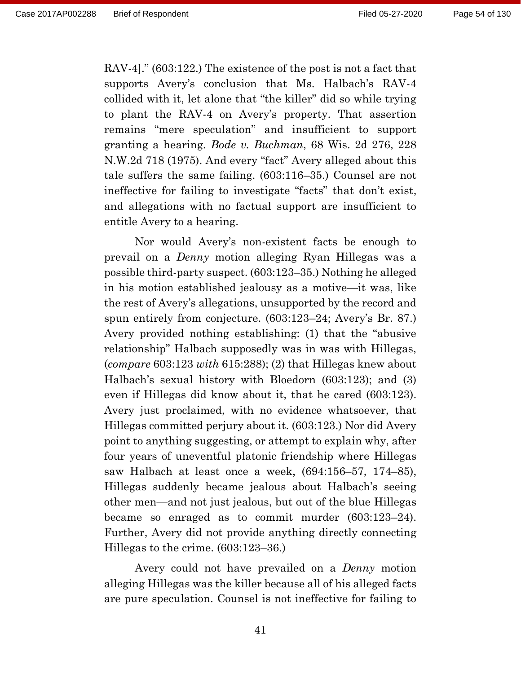RAV-4]." (603:122.) The existence of the post is not a fact that supports Avery's conclusion that Ms. Halbach's RAV-4 collided with it, let alone that "the killer" did so while trying to plant the RAV-4 on Avery's property. That assertion remains "mere speculation" and insufficient to support granting a hearing. *Bode v. Buchman*, 68 Wis. 2d 276, 228 N.W.2d 718 (1975). And every "fact" Avery alleged about this tale suffers the same failing. (603:116–35.) Counsel are not ineffective for failing to investigate "facts" that don't exist, and allegations with no factual support are insufficient to entitle Avery to a hearing.

Nor would Avery's non-existent facts be enough to prevail on a *Denny* motion alleging Ryan Hillegas was a possible third-party suspect. (603:123–35.) Nothing he alleged in his motion established jealousy as a motive—it was, like the rest of Avery's allegations, unsupported by the record and spun entirely from conjecture. (603:123–24; Avery's Br. 87.) Avery provided nothing establishing: (1) that the "abusive relationship" Halbach supposedly was in was with Hillegas, (*compare* 603:123 *with* 615:288); (2) that Hillegas knew about Halbach's sexual history with Bloedorn (603:123); and (3) even if Hillegas did know about it, that he cared (603:123). Avery just proclaimed, with no evidence whatsoever, that Hillegas committed perjury about it. (603:123.) Nor did Avery point to anything suggesting, or attempt to explain why, after four years of uneventful platonic friendship where Hillegas saw Halbach at least once a week, (694:156–57, 174–85), Hillegas suddenly became jealous about Halbach's seeing other men—and not just jealous, but out of the blue Hillegas became so enraged as to commit murder (603:123–24). Further, Avery did not provide anything directly connecting Hillegas to the crime. (603:123–36.)

Avery could not have prevailed on a *Denny* motion alleging Hillegas was the killer because all of his alleged facts are pure speculation. Counsel is not ineffective for failing to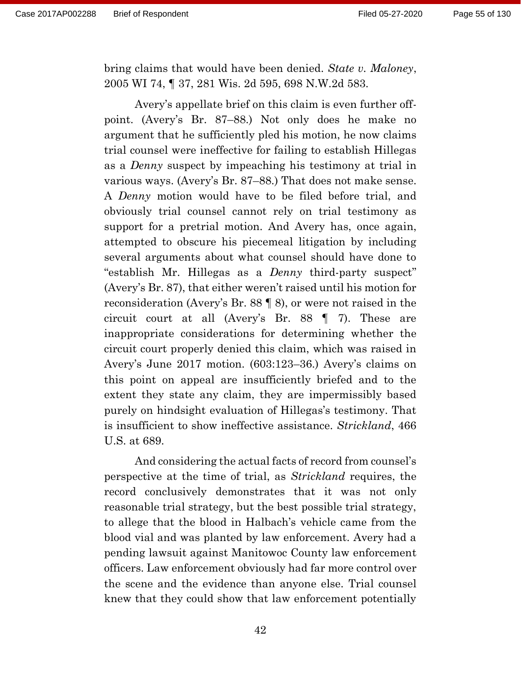bring claims that would have been denied. *State v. Maloney*, 2005 WI 74, ¶ 37, 281 Wis. 2d 595, 698 N.W.2d 583.

Avery's appellate brief on this claim is even further offpoint. (Avery's Br. 87–88.) Not only does he make no argument that he sufficiently pled his motion, he now claims trial counsel were ineffective for failing to establish Hillegas as a *Denny* suspect by impeaching his testimony at trial in various ways. (Avery's Br. 87–88.) That does not make sense. A *Denny* motion would have to be filed before trial, and obviously trial counsel cannot rely on trial testimony as support for a pretrial motion. And Avery has, once again, attempted to obscure his piecemeal litigation by including several arguments about what counsel should have done to "establish Mr. Hillegas as a *Denny* third-party suspect" (Avery's Br. 87), that either weren't raised until his motion for reconsideration (Avery's Br. 88 ¶ 8), or were not raised in the circuit court at all (Avery's Br. 88 ¶ 7). These are inappropriate considerations for determining whether the circuit court properly denied this claim, which was raised in Avery's June 2017 motion. (603:123–36.) Avery's claims on this point on appeal are insufficiently briefed and to the extent they state any claim, they are impermissibly based purely on hindsight evaluation of Hillegas's testimony. That is insufficient to show ineffective assistance. *Strickland*, 466 U.S. at 689.

And considering the actual facts of record from counsel's perspective at the time of trial, as *Strickland* requires, the record conclusively demonstrates that it was not only reasonable trial strategy, but the best possible trial strategy, to allege that the blood in Halbach's vehicle came from the blood vial and was planted by law enforcement. Avery had a pending lawsuit against Manitowoc County law enforcement officers. Law enforcement obviously had far more control over the scene and the evidence than anyone else. Trial counsel knew that they could show that law enforcement potentially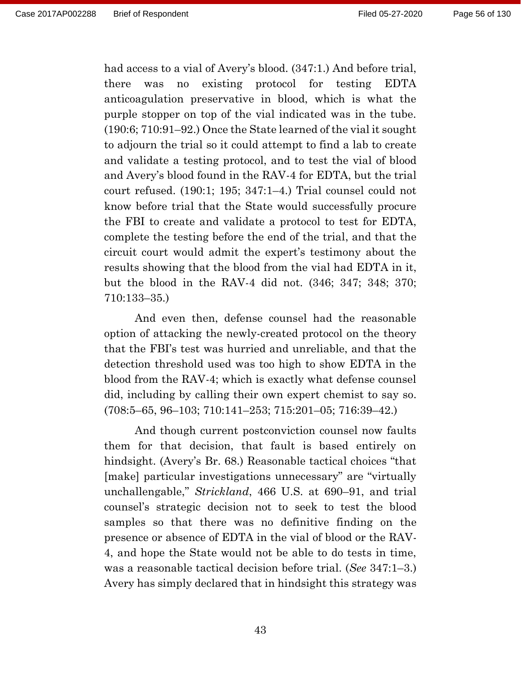had access to a vial of Avery's blood. (347:1.) And before trial, there was no existing protocol for testing EDTA anticoagulation preservative in blood, which is what the purple stopper on top of the vial indicated was in the tube. (190:6; 710:91–92.) Once the State learned of the vial it sought to adjourn the trial so it could attempt to find a lab to create and validate a testing protocol, and to test the vial of blood and Avery's blood found in the RAV-4 for EDTA, but the trial court refused. (190:1; 195; 347:1–4.) Trial counsel could not know before trial that the State would successfully procure the FBI to create and validate a protocol to test for EDTA, complete the testing before the end of the trial, and that the circuit court would admit the expert's testimony about the results showing that the blood from the vial had EDTA in it, but the blood in the RAV-4 did not. (346; 347; 348; 370; 710:133–35.)

And even then, defense counsel had the reasonable option of attacking the newly-created protocol on the theory that the FBI's test was hurried and unreliable, and that the detection threshold used was too high to show EDTA in the blood from the RAV-4; which is exactly what defense counsel did, including by calling their own expert chemist to say so. (708:5–65, 96–103; 710:141–253; 715:201–05; 716:39–42.)

And though current postconviction counsel now faults them for that decision, that fault is based entirely on hindsight. (Avery's Br. 68.) Reasonable tactical choices "that [make] particular investigations unnecessary" are "virtually unchallengable," *Strickland*, 466 U.S. at 690–91, and trial counsel's strategic decision not to seek to test the blood samples so that there was no definitive finding on the presence or absence of EDTA in the vial of blood or the RAV-4, and hope the State would not be able to do tests in time, was a reasonable tactical decision before trial. (*See* 347:1–3.) Avery has simply declared that in hindsight this strategy was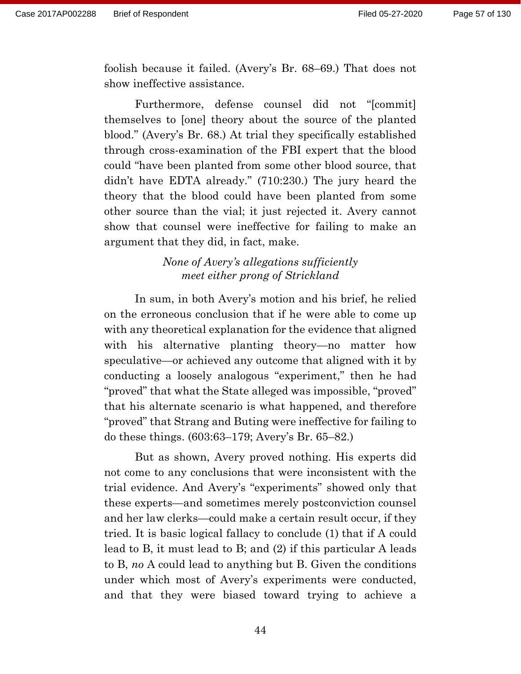foolish because it failed. (Avery's Br. 68–69.) That does not show ineffective assistance.

Furthermore, defense counsel did not "[commit] themselves to [one] theory about the source of the planted blood." (Avery's Br. 68.) At trial they specifically established through cross-examination of the FBI expert that the blood could "have been planted from some other blood source, that didn't have EDTA already." (710:230.) The jury heard the theory that the blood could have been planted from some other source than the vial; it just rejected it. Avery cannot show that counsel were ineffective for failing to make an argument that they did, in fact, make.

# *None of Avery's allegations sufficiently meet either prong of Strickland*

In sum, in both Avery's motion and his brief, he relied on the erroneous conclusion that if he were able to come up with any theoretical explanation for the evidence that aligned with his alternative planting theory—no matter how speculative—or achieved any outcome that aligned with it by conducting a loosely analogous "experiment," then he had "proved" that what the State alleged was impossible, "proved" that his alternate scenario is what happened, and therefore "proved" that Strang and Buting were ineffective for failing to do these things. (603:63–179; Avery's Br. 65–82.)

But as shown, Avery proved nothing. His experts did not come to any conclusions that were inconsistent with the trial evidence. And Avery's "experiments" showed only that these experts—and sometimes merely postconviction counsel and her law clerks—could make a certain result occur, if they tried. It is basic logical fallacy to conclude (1) that if A could lead to B, it must lead to B; and (2) if this particular A leads to B, *no* A could lead to anything but B. Given the conditions under which most of Avery's experiments were conducted, and that they were biased toward trying to achieve a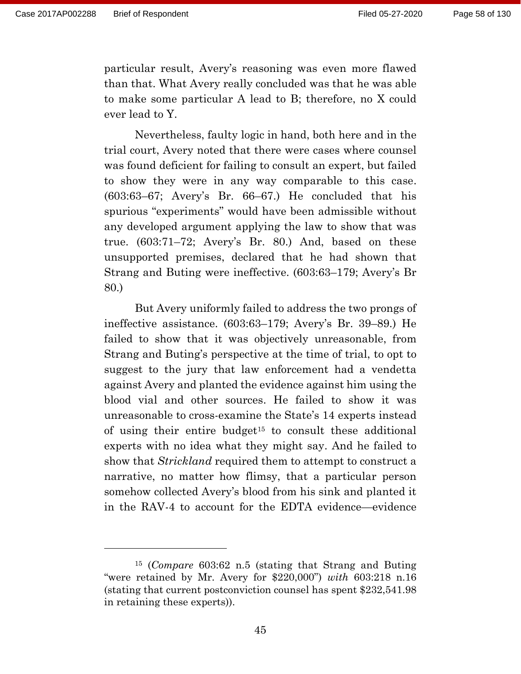particular result, Avery's reasoning was even more flawed than that. What Avery really concluded was that he was able to make some particular A lead to B; therefore, no X could ever lead to Y.

Nevertheless, faulty logic in hand, both here and in the trial court, Avery noted that there were cases where counsel was found deficient for failing to consult an expert, but failed to show they were in any way comparable to this case. (603:63–67; Avery's Br. 66–67.) He concluded that his spurious "experiments" would have been admissible without any developed argument applying the law to show that was true. (603:71–72; Avery's Br. 80.) And, based on these unsupported premises, declared that he had shown that Strang and Buting were ineffective. (603:63–179; Avery's Br 80.)

But Avery uniformly failed to address the two prongs of ineffective assistance. (603:63–179; Avery's Br. 39–89.) He failed to show that it was objectively unreasonable, from Strang and Buting's perspective at the time of trial, to opt to suggest to the jury that law enforcement had a vendetta against Avery and planted the evidence against him using the blood vial and other sources. He failed to show it was unreasonable to cross-examine the State's 14 experts instead of using their entire budget<sup>15</sup> to consult these additional experts with no idea what they might say. And he failed to show that *Strickland* required them to attempt to construct a narrative, no matter how flimsy, that a particular person somehow collected Avery's blood from his sink and planted it in the RAV-4 to account for the EDTA evidence—evidence

<sup>15</sup> (*Compare* 603:62 n.5 (stating that Strang and Buting "were retained by Mr. Avery for \$220,000") *with* 603:218 n.16 (stating that current postconviction counsel has spent \$232,541.98 in retaining these experts)).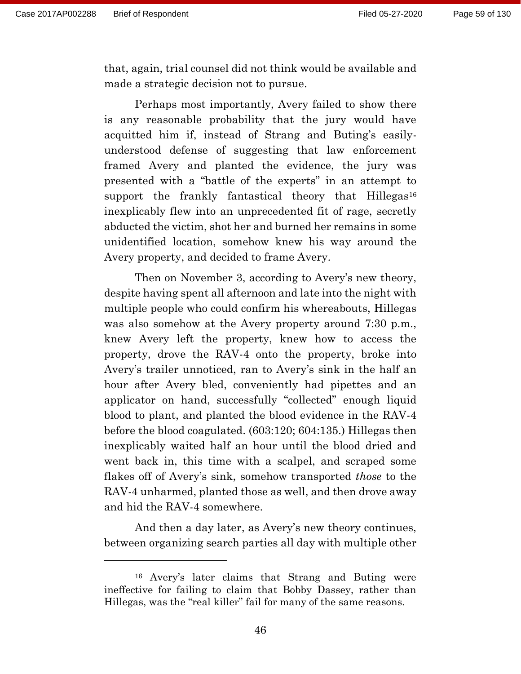that, again, trial counsel did not think would be available and made a strategic decision not to pursue.

Perhaps most importantly, Avery failed to show there is any reasonable probability that the jury would have acquitted him if, instead of Strang and Buting's easilyunderstood defense of suggesting that law enforcement framed Avery and planted the evidence, the jury was presented with a "battle of the experts" in an attempt to support the frankly fantastical theory that Hillegas<sup>16</sup> inexplicably flew into an unprecedented fit of rage, secretly abducted the victim, shot her and burned her remains in some unidentified location, somehow knew his way around the Avery property, and decided to frame Avery.

Then on November 3, according to Avery's new theory, despite having spent all afternoon and late into the night with multiple people who could confirm his whereabouts, Hillegas was also somehow at the Avery property around 7:30 p.m., knew Avery left the property, knew how to access the property, drove the RAV-4 onto the property, broke into Avery's trailer unnoticed, ran to Avery's sink in the half an hour after Avery bled, conveniently had pipettes and an applicator on hand, successfully "collected" enough liquid blood to plant, and planted the blood evidence in the RAV-4 before the blood coagulated. (603:120; 604:135.) Hillegas then inexplicably waited half an hour until the blood dried and went back in, this time with a scalpel, and scraped some flakes off of Avery's sink, somehow transported *those* to the RAV-4 unharmed, planted those as well, and then drove away and hid the RAV-4 somewhere.

And then a day later, as Avery's new theory continues, between organizing search parties all day with multiple other

<sup>16</sup> Avery's later claims that Strang and Buting were ineffective for failing to claim that Bobby Dassey, rather than Hillegas, was the "real killer" fail for many of the same reasons.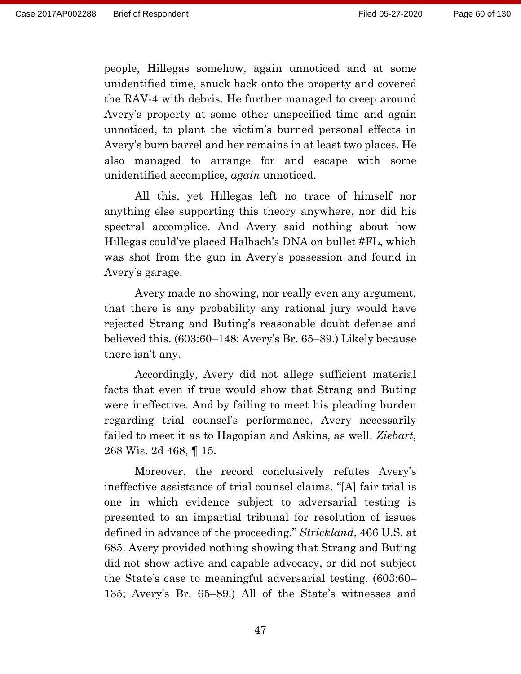people, Hillegas somehow, again unnoticed and at some unidentified time, snuck back onto the property and covered the RAV-4 with debris. He further managed to creep around Avery's property at some other unspecified time and again unnoticed, to plant the victim's burned personal effects in Avery's burn barrel and her remains in at least two places. He also managed to arrange for and escape with some unidentified accomplice, *again* unnoticed.

All this, yet Hillegas left no trace of himself nor anything else supporting this theory anywhere, nor did his spectral accomplice. And Avery said nothing about how Hillegas could've placed Halbach's DNA on bullet #FL, which was shot from the gun in Avery's possession and found in Avery's garage.

Avery made no showing, nor really even any argument, that there is any probability any rational jury would have rejected Strang and Buting's reasonable doubt defense and believed this. (603:60–148; Avery's Br. 65–89.) Likely because there isn't any.

Accordingly, Avery did not allege sufficient material facts that even if true would show that Strang and Buting were ineffective. And by failing to meet his pleading burden regarding trial counsel's performance, Avery necessarily failed to meet it as to Hagopian and Askins, as well. *Ziebart*, 268 Wis. 2d 468, ¶ 15.

Moreover, the record conclusively refutes Avery's ineffective assistance of trial counsel claims. "[A] fair trial is one in which evidence subject to adversarial testing is presented to an impartial tribunal for resolution of issues defined in advance of the proceeding." *Strickland*, 466 U.S. at 685. Avery provided nothing showing that Strang and Buting did not show active and capable advocacy, or did not subject the State's case to meaningful adversarial testing. (603:60– 135; Avery's Br. 65–89.) All of the State's witnesses and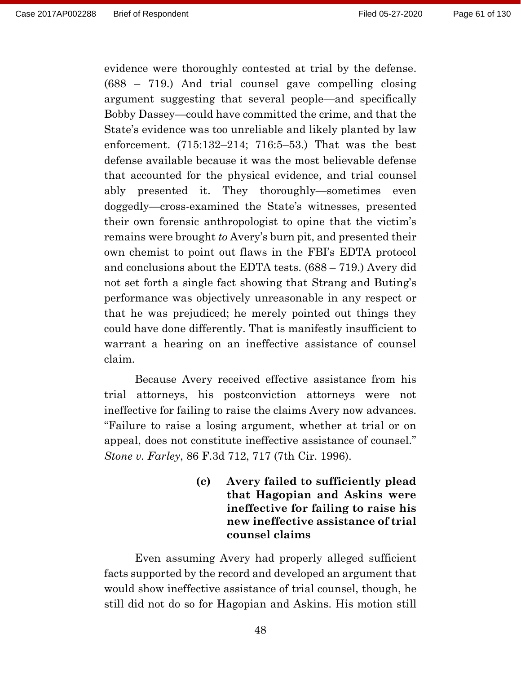evidence were thoroughly contested at trial by the defense. (688 – 719.) And trial counsel gave compelling closing argument suggesting that several people—and specifically Bobby Dassey—could have committed the crime, and that the State's evidence was too unreliable and likely planted by law enforcement. (715:132–214; 716:5–53.) That was the best defense available because it was the most believable defense that accounted for the physical evidence, and trial counsel ably presented it. They thoroughly—sometimes even doggedly—cross-examined the State's witnesses, presented their own forensic anthropologist to opine that the victim's remains were brought *to* Avery's burn pit, and presented their own chemist to point out flaws in the FBI's EDTA protocol and conclusions about the EDTA tests. (688 – 719.) Avery did not set forth a single fact showing that Strang and Buting's performance was objectively unreasonable in any respect or that he was prejudiced; he merely pointed out things they could have done differently. That is manifestly insufficient to warrant a hearing on an ineffective assistance of counsel claim.

Because Avery received effective assistance from his trial attorneys, his postconviction attorneys were not ineffective for failing to raise the claims Avery now advances. "Failure to raise a losing argument, whether at trial or on appeal, does not constitute ineffective assistance of counsel." *Stone v. Farley*, 86 F.3d 712, 717 (7th Cir. 1996).

> **(c) Avery failed to sufficiently plead that Hagopian and Askins were ineffective for failing to raise his new ineffective assistance of trial counsel claims**

Even assuming Avery had properly alleged sufficient facts supported by the record and developed an argument that would show ineffective assistance of trial counsel, though, he still did not do so for Hagopian and Askins. His motion still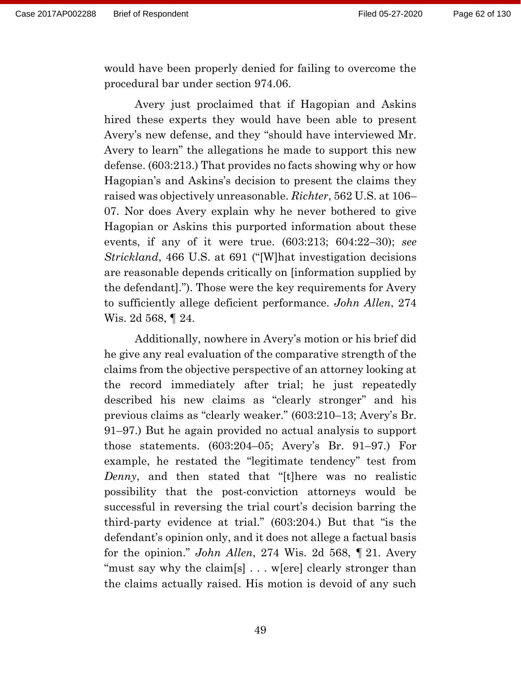would have been properly denied for failing to overcome the procedural bar under section 974.06.

Avery just proclaimed that if Hagopian and Askins hired these experts they would have been able to present Avery's new defense, and they "should have interviewed Mr. Avery to learn" the allegations he made to support this new defense. (603:213.) That provides no facts showing why or how Hagopian's and Askins's decision to present the claims they raised was objectively unreasonable. *Richter*, 562 U.S. at 106– 07. Nor does Avery explain why he never bothered to give Hagopian or Askins this purported information about these events, if any of it were true. (603:213; 604:22–30); *see Strickland*, 466 U.S. at 691 ("[W]hat investigation decisions are reasonable depends critically on [information supplied by the defendant]."). Those were the key requirements for Avery to sufficiently allege deficient performance. *John Allen*, 274 Wis. 2d 568, ¶ 24.

Additionally, nowhere in Avery's motion or his brief did he give any real evaluation of the comparative strength of the claims from the objective perspective of an attorney looking at the record immediately after trial; he just repeatedly described his new claims as "clearly stronger" and his previous claims as "clearly weaker." (603:210–13; Avery's Br. 91–97.) But he again provided no actual analysis to support those statements. (603:204–05; Avery's Br. 91–97.) For example, he restated the "legitimate tendency" test from *Denny*, and then stated that "[t]here was no realistic possibility that the post-conviction attorneys would be successful in reversing the trial court's decision barring the third-party evidence at trial." (603:204.) But that "is the defendant's opinion only, and it does not allege a factual basis for the opinion." *John Allen*, 274 Wis. 2d 568, ¶ 21. Avery "must say why the claim[s]... w[ere] clearly stronger than the claims actually raised. His motion is devoid of any such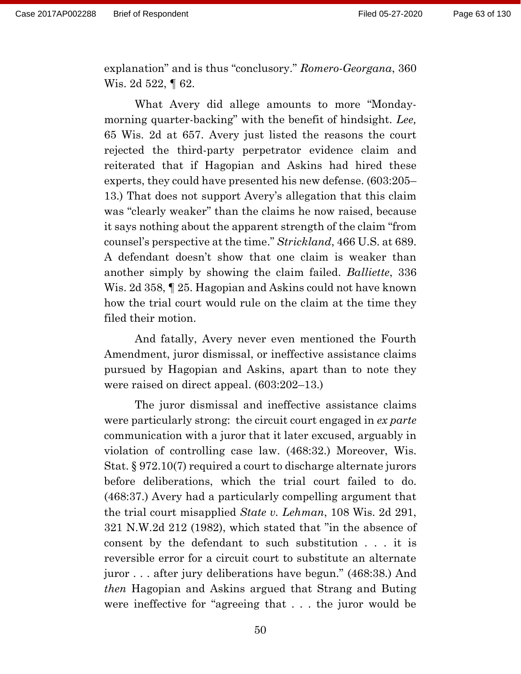explanation" and is thus "conclusory." *Romero-Georgana*, 360 Wis. 2d 522, ¶ 62.

What Avery did allege amounts to more "Mondaymorning quarter-backing" with the benefit of hindsight. *Lee,* 65 Wis. 2d at 657. Avery just listed the reasons the court rejected the third-party perpetrator evidence claim and reiterated that if Hagopian and Askins had hired these experts, they could have presented his new defense. (603:205– 13.) That does not support Avery's allegation that this claim was "clearly weaker" than the claims he now raised, because it says nothing about the apparent strength of the claim "from counsel's perspective at the time." *Strickland*, 466 U.S. at 689. A defendant doesn't show that one claim is weaker than another simply by showing the claim failed. *Balliette*, 336 Wis. 2d 358, ¶ 25. Hagopian and Askins could not have known how the trial court would rule on the claim at the time they filed their motion.

And fatally, Avery never even mentioned the Fourth Amendment, juror dismissal, or ineffective assistance claims pursued by Hagopian and Askins, apart than to note they were raised on direct appeal. (603:202–13.)

The juror dismissal and ineffective assistance claims were particularly strong: the circuit court engaged in *ex parte* communication with a juror that it later excused, arguably in violation of controlling case law. (468:32.) Moreover, Wis. Stat. § 972.10(7) required a court to discharge alternate jurors before deliberations, which the trial court failed to do. (468:37.) Avery had a particularly compelling argument that the trial court misapplied *State v. Lehman*, 108 Wis. 2d 291, 321 N.W.2d 212 (1982), which stated that "in the absence of consent by the defendant to such substitution . . . it is reversible error for a circuit court to substitute an alternate juror . . . after jury deliberations have begun." (468:38.) And *then* Hagopian and Askins argued that Strang and Buting were ineffective for "agreeing that . . . the juror would be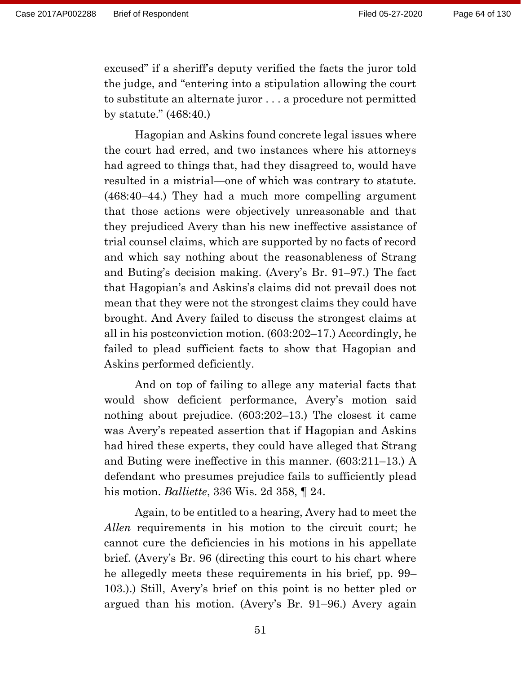excused" if a sheriff's deputy verified the facts the juror told the judge, and "entering into a stipulation allowing the court to substitute an alternate juror . . . a procedure not permitted by statute." (468:40.)

Hagopian and Askins found concrete legal issues where the court had erred, and two instances where his attorneys had agreed to things that, had they disagreed to, would have resulted in a mistrial—one of which was contrary to statute. (468:40–44.) They had a much more compelling argument that those actions were objectively unreasonable and that they prejudiced Avery than his new ineffective assistance of trial counsel claims, which are supported by no facts of record and which say nothing about the reasonableness of Strang and Buting's decision making. (Avery's Br. 91–97.) The fact that Hagopian's and Askins's claims did not prevail does not mean that they were not the strongest claims they could have brought. And Avery failed to discuss the strongest claims at all in his postconviction motion. (603:202–17.) Accordingly, he failed to plead sufficient facts to show that Hagopian and Askins performed deficiently.

And on top of failing to allege any material facts that would show deficient performance, Avery's motion said nothing about prejudice. (603:202–13.) The closest it came was Avery's repeated assertion that if Hagopian and Askins had hired these experts, they could have alleged that Strang and Buting were ineffective in this manner. (603:211–13.) A defendant who presumes prejudice fails to sufficiently plead his motion. *Balliette*, 336 Wis. 2d 358, ¶ 24.

Again, to be entitled to a hearing, Avery had to meet the *Allen* requirements in his motion to the circuit court; he cannot cure the deficiencies in his motions in his appellate brief. (Avery's Br. 96 (directing this court to his chart where he allegedly meets these requirements in his brief, pp. 99– 103.).) Still, Avery's brief on this point is no better pled or argued than his motion. (Avery's Br. 91–96.) Avery again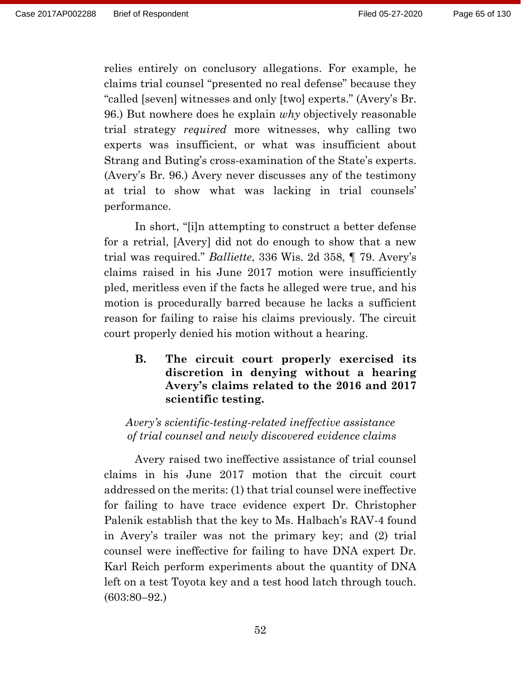relies entirely on conclusory allegations. For example, he claims trial counsel "presented no real defense" because they "called [seven] witnesses and only [two] experts." (Avery's Br. 96.) But nowhere does he explain *why* objectively reasonable trial strategy *required* more witnesses, why calling two experts was insufficient, or what was insufficient about Strang and Buting's cross-examination of the State's experts. (Avery's Br. 96.) Avery never discusses any of the testimony at trial to show what was lacking in trial counsels' performance.

In short, "[i]n attempting to construct a better defense for a retrial, [Avery] did not do enough to show that a new trial was required." *Balliette*, 336 Wis. 2d 358, ¶ 79. Avery's claims raised in his June 2017 motion were insufficiently pled, meritless even if the facts he alleged were true, and his motion is procedurally barred because he lacks a sufficient reason for failing to raise his claims previously. The circuit court properly denied his motion without a hearing.

**B. The circuit court properly exercised its discretion in denying without a hearing Avery's claims related to the 2016 and 2017 scientific testing.**

*Avery's scientific-testing-related ineffective assistance of trial counsel and newly discovered evidence claims*

Avery raised two ineffective assistance of trial counsel claims in his June 2017 motion that the circuit court addressed on the merits: (1) that trial counsel were ineffective for failing to have trace evidence expert Dr. Christopher Palenik establish that the key to Ms. Halbach's RAV-4 found in Avery's trailer was not the primary key; and (2) trial counsel were ineffective for failing to have DNA expert Dr. Karl Reich perform experiments about the quantity of DNA left on a test Toyota key and a test hood latch through touch. (603:80–92.)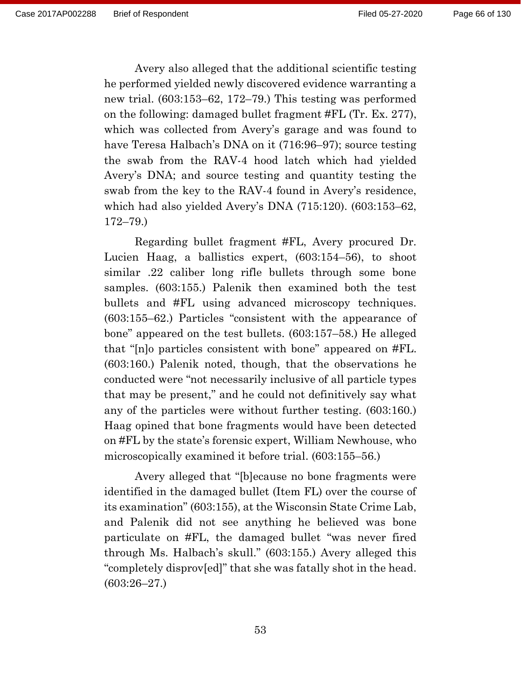Avery also alleged that the additional scientific testing he performed yielded newly discovered evidence warranting a new trial. (603:153–62, 172–79.) This testing was performed on the following: damaged bullet fragment #FL (Tr. Ex. 277), which was collected from Avery's garage and was found to have Teresa Halbach's DNA on it (716:96–97); source testing the swab from the RAV-4 hood latch which had yielded Avery's DNA; and source testing and quantity testing the swab from the key to the RAV-4 found in Avery's residence, which had also yielded Avery's DNA (715:120). (603:153–62, 172–79.)

Regarding bullet fragment #FL, Avery procured Dr. Lucien Haag, a ballistics expert, (603:154–56), to shoot similar .22 caliber long rifle bullets through some bone samples. (603:155.) Palenik then examined both the test bullets and #FL using advanced microscopy techniques. (603:155–62.) Particles "consistent with the appearance of bone" appeared on the test bullets. (603:157–58.) He alleged that "[n]o particles consistent with bone" appeared on #FL. (603:160.) Palenik noted, though, that the observations he conducted were "not necessarily inclusive of all particle types that may be present," and he could not definitively say what any of the particles were without further testing. (603:160.) Haag opined that bone fragments would have been detected on #FL by the state's forensic expert, William Newhouse, who microscopically examined it before trial. (603:155–56.)

Avery alleged that "[b]ecause no bone fragments were identified in the damaged bullet (Item FL) over the course of its examination" (603:155), at the Wisconsin State Crime Lab, and Palenik did not see anything he believed was bone particulate on #FL, the damaged bullet "was never fired through Ms. Halbach's skull." (603:155.) Avery alleged this "completely disprov[ed]" that she was fatally shot in the head. (603:26–27.)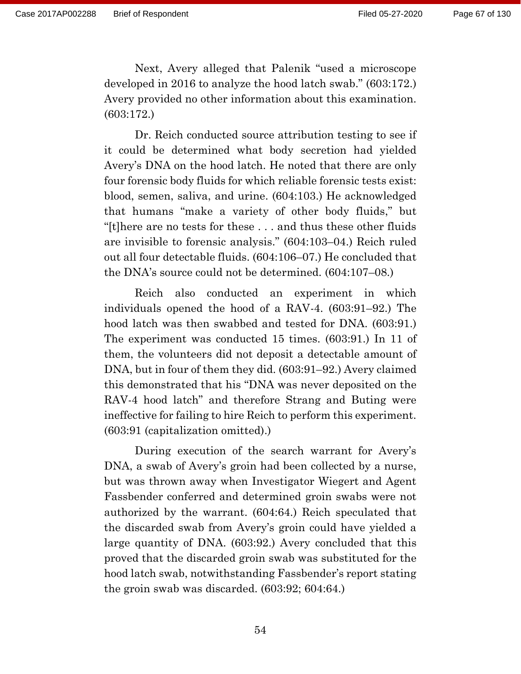Next, Avery alleged that Palenik "used a microscope developed in 2016 to analyze the hood latch swab." (603:172.) Avery provided no other information about this examination. (603:172.)

Dr. Reich conducted source attribution testing to see if it could be determined what body secretion had yielded Avery's DNA on the hood latch. He noted that there are only four forensic body fluids for which reliable forensic tests exist: blood, semen, saliva, and urine. (604:103.) He acknowledged that humans "make a variety of other body fluids," but "[t]here are no tests for these . . . and thus these other fluids are invisible to forensic analysis." (604:103–04.) Reich ruled out all four detectable fluids. (604:106–07.) He concluded that the DNA's source could not be determined. (604:107–08.)

Reich also conducted an experiment in which individuals opened the hood of a RAV-4. (603:91–92.) The hood latch was then swabbed and tested for DNA. (603:91.) The experiment was conducted 15 times. (603:91.) In 11 of them, the volunteers did not deposit a detectable amount of DNA, but in four of them they did. (603:91–92.) Avery claimed this demonstrated that his "DNA was never deposited on the RAV-4 hood latch" and therefore Strang and Buting were ineffective for failing to hire Reich to perform this experiment. (603:91 (capitalization omitted).)

During execution of the search warrant for Avery's DNA, a swab of Avery's groin had been collected by a nurse, but was thrown away when Investigator Wiegert and Agent Fassbender conferred and determined groin swabs were not authorized by the warrant. (604:64.) Reich speculated that the discarded swab from Avery's groin could have yielded a large quantity of DNA. (603:92.) Avery concluded that this proved that the discarded groin swab was substituted for the hood latch swab, notwithstanding Fassbender's report stating the groin swab was discarded. (603:92; 604:64.)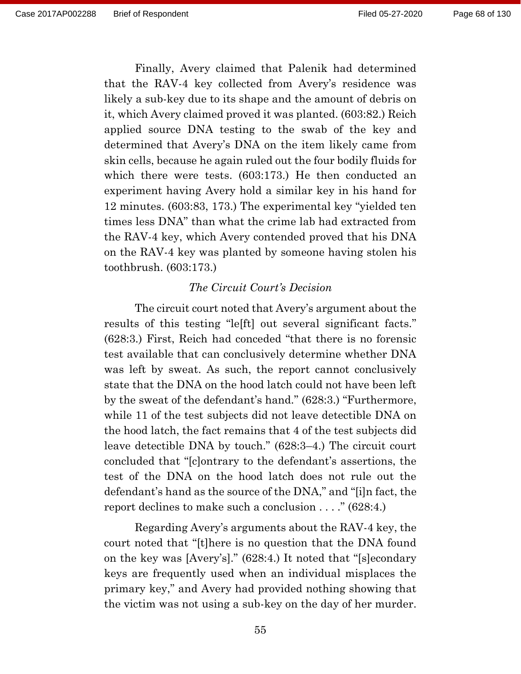Finally, Avery claimed that Palenik had determined that the RAV-4 key collected from Avery's residence was likely a sub-key due to its shape and the amount of debris on it, which Avery claimed proved it was planted. (603:82.) Reich applied source DNA testing to the swab of the key and determined that Avery's DNA on the item likely came from skin cells, because he again ruled out the four bodily fluids for which there were tests. (603:173.) He then conducted an experiment having Avery hold a similar key in his hand for 12 minutes. (603:83, 173.) The experimental key "yielded ten times less DNA" than what the crime lab had extracted from the RAV-4 key, which Avery contended proved that his DNA on the RAV-4 key was planted by someone having stolen his toothbrush. (603:173.)

#### *The Circuit Court's Decision*

The circuit court noted that Avery's argument about the results of this testing "le[ft] out several significant facts." (628:3.) First, Reich had conceded "that there is no forensic test available that can conclusively determine whether DNA was left by sweat. As such, the report cannot conclusively state that the DNA on the hood latch could not have been left by the sweat of the defendant's hand." (628:3.) "Furthermore, while 11 of the test subjects did not leave detectible DNA on the hood latch, the fact remains that 4 of the test subjects did leave detectible DNA by touch." (628:3–4.) The circuit court concluded that "[c]ontrary to the defendant's assertions, the test of the DNA on the hood latch does not rule out the defendant's hand as the source of the DNA," and "[i]n fact, the report declines to make such a conclusion . . . ." (628:4.)

Regarding Avery's arguments about the RAV-4 key, the court noted that "[t]here is no question that the DNA found on the key was [Avery's]." (628:4.) It noted that "[s]econdary keys are frequently used when an individual misplaces the primary key," and Avery had provided nothing showing that the victim was not using a sub-key on the day of her murder.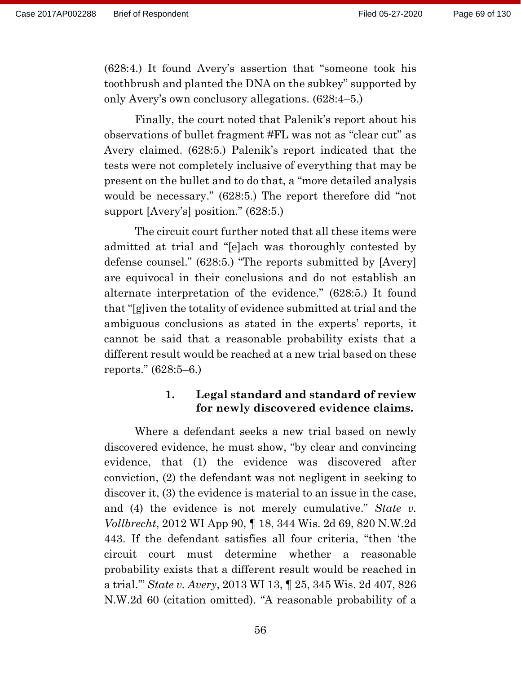(628:4.) It found Avery's assertion that "someone took his toothbrush and planted the DNA on the subkey" supported by only Avery's own conclusory allegations. (628:4–5.)

Finally, the court noted that Palenik's report about his observations of bullet fragment #FL was not as "clear cut" as Avery claimed. (628:5.) Palenik's report indicated that the tests were not completely inclusive of everything that may be present on the bullet and to do that, a "more detailed analysis would be necessary." (628:5.) The report therefore did "not support [Avery's] position." (628:5.)

The circuit court further noted that all these items were admitted at trial and "[e]ach was thoroughly contested by defense counsel." (628:5.) "The reports submitted by [Avery] are equivocal in their conclusions and do not establish an alternate interpretation of the evidence." (628:5.) It found that "[g]iven the totality of evidence submitted at trial and the ambiguous conclusions as stated in the experts' reports, it cannot be said that a reasonable probability exists that a different result would be reached at a new trial based on these reports." (628:5–6.)

### **1. Legal standard and standard of review for newly discovered evidence claims.**

Where a defendant seeks a new trial based on newly discovered evidence, he must show, "by clear and convincing evidence, that (1) the evidence was discovered after conviction, (2) the defendant was not negligent in seeking to discover it, (3) the evidence is material to an issue in the case, and (4) the evidence is not merely cumulative." *State v. Vollbrecht*, 2012 WI App 90, ¶ 18, 344 Wis. 2d 69, 820 N.W.2d 443. If the defendant satisfies all four criteria, "then 'the circuit court must determine whether a reasonable probability exists that a different result would be reached in a trial.'" *State v. Avery*, 2013 WI 13, ¶ 25, 345 Wis. 2d 407, 826 N.W.2d 60 (citation omitted). "A reasonable probability of a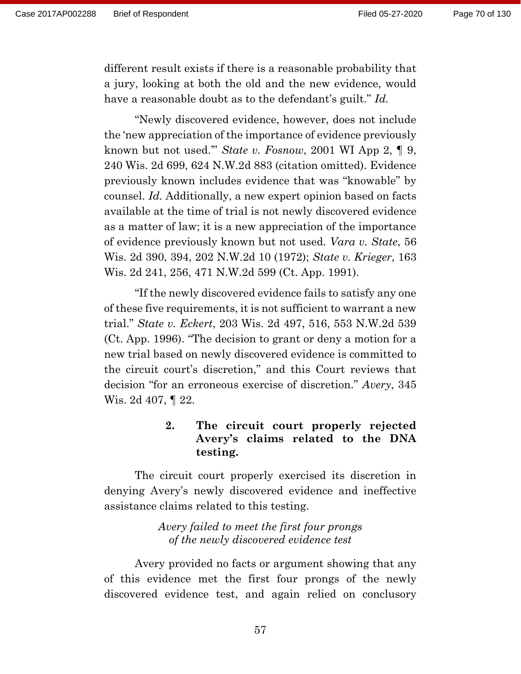different result exists if there is a reasonable probability that a jury, looking at both the old and the new evidence, would have a reasonable doubt as to the defendant's guilt." *Id.*

"Newly discovered evidence, however, does not include the 'new appreciation of the importance of evidence previously known but not used.'" *State v. Fosnow*, 2001 WI App 2, ¶ 9, 240 Wis. 2d 699, 624 N.W.2d 883 (citation omitted). Evidence previously known includes evidence that was "knowable" by counsel. *Id.* Additionally, a new expert opinion based on facts available at the time of trial is not newly discovered evidence as a matter of law; it is a new appreciation of the importance of evidence previously known but not used. *Vara v. State*, 56 Wis. 2d 390, 394, 202 N.W.2d 10 (1972); *State v. Krieger*, 163 Wis. 2d 241, 256, 471 N.W.2d 599 (Ct. App. 1991).

"If the newly discovered evidence fails to satisfy any one of these five requirements, it is not sufficient to warrant a new trial." *State v. Eckert*, 203 Wis. 2d 497, 516, 553 N.W.2d 539 (Ct. App. 1996). "The decision to grant or deny a motion for a new trial based on newly discovered evidence is committed to the circuit court's discretion," and this Court reviews that decision "for an erroneous exercise of discretion." *Avery*, 345 Wis. 2d 407, ¶ 22.

# **2. The circuit court properly rejected Avery's claims related to the DNA testing.**

The circuit court properly exercised its discretion in denying Avery's newly discovered evidence and ineffective assistance claims related to this testing.

### *Avery failed to meet the first four prongs of the newly discovered evidence test*

Avery provided no facts or argument showing that any of this evidence met the first four prongs of the newly discovered evidence test, and again relied on conclusory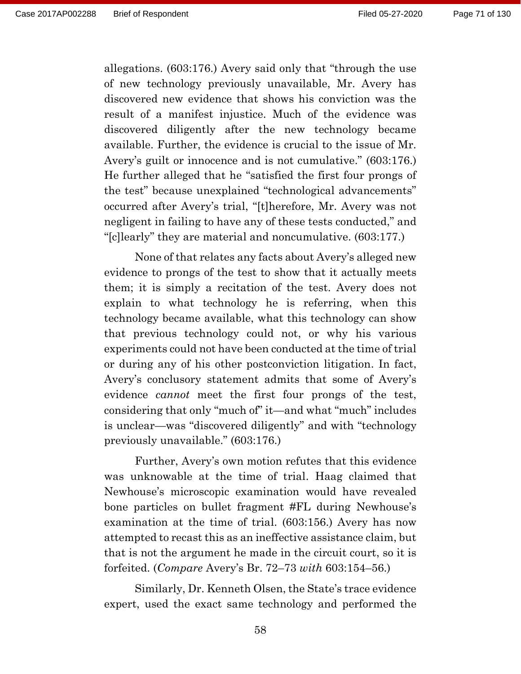allegations. (603:176.) Avery said only that "through the use of new technology previously unavailable, Mr. Avery has discovered new evidence that shows his conviction was the result of a manifest injustice. Much of the evidence was discovered diligently after the new technology became available. Further, the evidence is crucial to the issue of Mr. Avery's guilt or innocence and is not cumulative." (603:176.) He further alleged that he "satisfied the first four prongs of the test" because unexplained "technological advancements" occurred after Avery's trial, "[t]herefore, Mr. Avery was not negligent in failing to have any of these tests conducted," and "[c]learly" they are material and noncumulative. (603:177.)

None of that relates any facts about Avery's alleged new evidence to prongs of the test to show that it actually meets them; it is simply a recitation of the test. Avery does not explain to what technology he is referring, when this technology became available, what this technology can show that previous technology could not, or why his various experiments could not have been conducted at the time of trial or during any of his other postconviction litigation. In fact, Avery's conclusory statement admits that some of Avery's evidence *cannot* meet the first four prongs of the test, considering that only "much of" it—and what "much" includes is unclear—was "discovered diligently" and with "technology previously unavailable." (603:176.)

Further, Avery's own motion refutes that this evidence was unknowable at the time of trial. Haag claimed that Newhouse's microscopic examination would have revealed bone particles on bullet fragment #FL during Newhouse's examination at the time of trial. (603:156.) Avery has now attempted to recast this as an ineffective assistance claim, but that is not the argument he made in the circuit court, so it is forfeited. (*Compare* Avery's Br. 72–73 *with* 603:154–56.)

Similarly, Dr. Kenneth Olsen, the State's trace evidence expert, used the exact same technology and performed the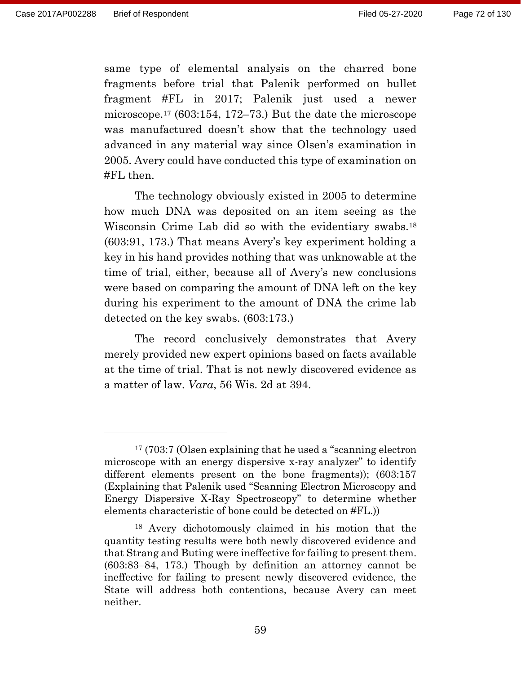same type of elemental analysis on the charred bone fragments before trial that Palenik performed on bullet fragment #FL in 2017; Palenik just used a newer microscope.<sup>17</sup> (603:154, 172–73.) But the date the microscope was manufactured doesn't show that the technology used advanced in any material way since Olsen's examination in 2005. Avery could have conducted this type of examination on #FL then.

The technology obviously existed in 2005 to determine how much DNA was deposited on an item seeing as the Wisconsin Crime Lab did so with the evidentiary swabs.<sup>18</sup> (603:91, 173.) That means Avery's key experiment holding a key in his hand provides nothing that was unknowable at the time of trial, either, because all of Avery's new conclusions were based on comparing the amount of DNA left on the key during his experiment to the amount of DNA the crime lab detected on the key swabs. (603:173.)

The record conclusively demonstrates that Avery merely provided new expert opinions based on facts available at the time of trial. That is not newly discovered evidence as a matter of law. *Vara*, 56 Wis. 2d at 394.

<sup>17</sup> (703:7 (Olsen explaining that he used a "scanning electron microscope with an energy dispersive x-ray analyzer" to identify different elements present on the bone fragments)); (603:157 (Explaining that Palenik used "Scanning Electron Microscopy and Energy Dispersive X-Ray Spectroscopy" to determine whether elements characteristic of bone could be detected on #FL.))

<sup>18</sup> Avery dichotomously claimed in his motion that the quantity testing results were both newly discovered evidence and that Strang and Buting were ineffective for failing to present them. (603:83–84, 173.) Though by definition an attorney cannot be ineffective for failing to present newly discovered evidence, the State will address both contentions, because Avery can meet neither.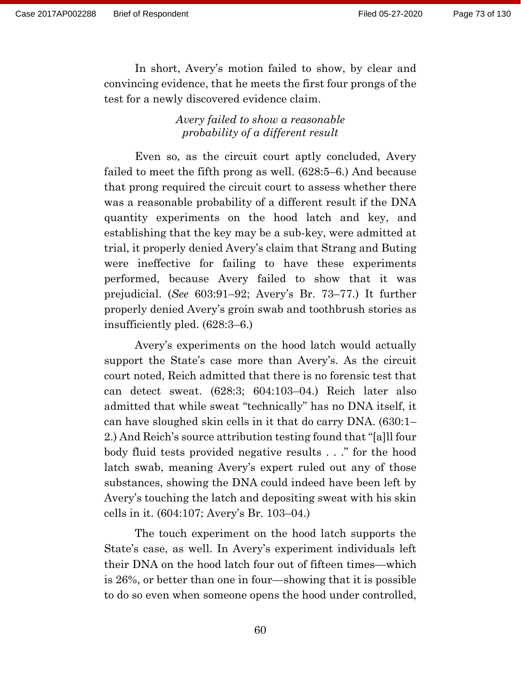In short, Avery's motion failed to show, by clear and convincing evidence, that he meets the first four prongs of the test for a newly discovered evidence claim.

> *Avery failed to show a reasonable probability of a different result*

Even so, as the circuit court aptly concluded, Avery failed to meet the fifth prong as well. (628:5–6.) And because that prong required the circuit court to assess whether there was a reasonable probability of a different result if the DNA quantity experiments on the hood latch and key, and establishing that the key may be a sub-key, were admitted at trial, it properly denied Avery's claim that Strang and Buting were ineffective for failing to have these experiments performed, because Avery failed to show that it was prejudicial. (*See* 603:91–92; Avery's Br. 73–77.) It further properly denied Avery's groin swab and toothbrush stories as insufficiently pled. (628:3–6.)

Avery's experiments on the hood latch would actually support the State's case more than Avery's. As the circuit court noted, Reich admitted that there is no forensic test that can detect sweat. (628:3; 604:103–04.) Reich later also admitted that while sweat "technically" has no DNA itself, it can have sloughed skin cells in it that do carry DNA. (630:1– 2.) And Reich's source attribution testing found that "[a]ll four body fluid tests provided negative results . . ." for the hood latch swab, meaning Avery's expert ruled out any of those substances, showing the DNA could indeed have been left by Avery's touching the latch and depositing sweat with his skin cells in it. (604:107; Avery's Br. 103–04.)

The touch experiment on the hood latch supports the State's case, as well. In Avery's experiment individuals left their DNA on the hood latch four out of fifteen times—which is 26%, or better than one in four—showing that it is possible to do so even when someone opens the hood under controlled,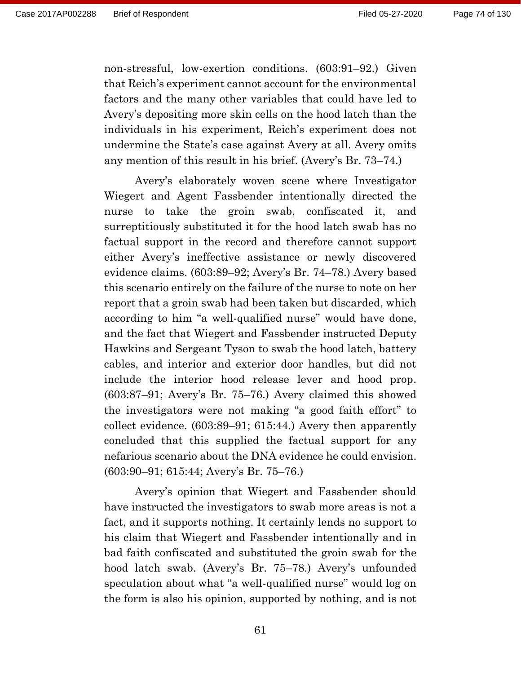non-stressful, low-exertion conditions. (603:91–92.) Given that Reich's experiment cannot account for the environmental factors and the many other variables that could have led to Avery's depositing more skin cells on the hood latch than the individuals in his experiment, Reich's experiment does not undermine the State's case against Avery at all. Avery omits any mention of this result in his brief. (Avery's Br. 73–74.)

Avery's elaborately woven scene where Investigator Wiegert and Agent Fassbender intentionally directed the nurse to take the groin swab, confiscated it, and surreptitiously substituted it for the hood latch swab has no factual support in the record and therefore cannot support either Avery's ineffective assistance or newly discovered evidence claims. (603:89–92; Avery's Br. 74–78.) Avery based this scenario entirely on the failure of the nurse to note on her report that a groin swab had been taken but discarded, which according to him "a well-qualified nurse" would have done, and the fact that Wiegert and Fassbender instructed Deputy Hawkins and Sergeant Tyson to swab the hood latch, battery cables, and interior and exterior door handles, but did not include the interior hood release lever and hood prop. (603:87–91; Avery's Br. 75–76.) Avery claimed this showed the investigators were not making "a good faith effort" to collect evidence. (603:89–91; 615:44.) Avery then apparently concluded that this supplied the factual support for any nefarious scenario about the DNA evidence he could envision. (603:90–91; 615:44; Avery's Br. 75–76.)

Avery's opinion that Wiegert and Fassbender should have instructed the investigators to swab more areas is not a fact, and it supports nothing. It certainly lends no support to his claim that Wiegert and Fassbender intentionally and in bad faith confiscated and substituted the groin swab for the hood latch swab. (Avery's Br. 75–78.) Avery's unfounded speculation about what "a well-qualified nurse" would log on the form is also his opinion, supported by nothing, and is not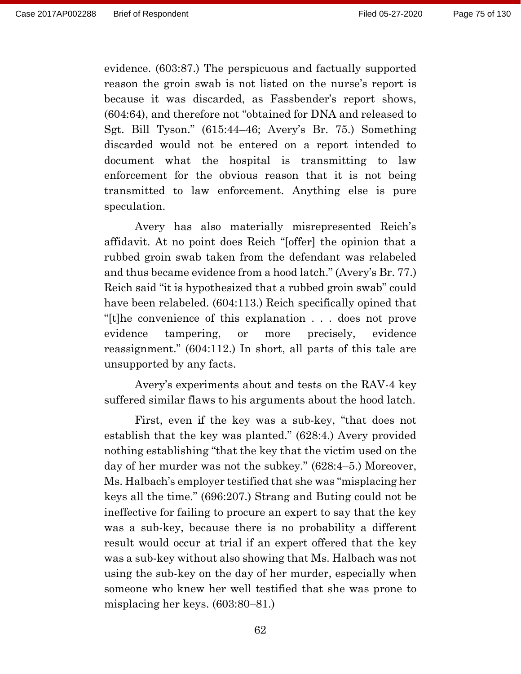evidence. (603:87.) The perspicuous and factually supported reason the groin swab is not listed on the nurse's report is because it was discarded, as Fassbender's report shows, (604:64), and therefore not "obtained for DNA and released to Sgt. Bill Tyson." (615:44–46; Avery's Br. 75.) Something discarded would not be entered on a report intended to document what the hospital is transmitting to law enforcement for the obvious reason that it is not being transmitted to law enforcement. Anything else is pure speculation.

Avery has also materially misrepresented Reich's affidavit. At no point does Reich "[offer] the opinion that a rubbed groin swab taken from the defendant was relabeled and thus became evidence from a hood latch." (Avery's Br. 77.) Reich said "it is hypothesized that a rubbed groin swab" could have been relabeled. (604:113.) Reich specifically opined that "[t]he convenience of this explanation . . . does not prove evidence tampering, or more precisely, evidence reassignment." (604:112.) In short, all parts of this tale are unsupported by any facts.

Avery's experiments about and tests on the RAV-4 key suffered similar flaws to his arguments about the hood latch.

First, even if the key was a sub-key, "that does not establish that the key was planted." (628:4.) Avery provided nothing establishing "that the key that the victim used on the day of her murder was not the subkey." (628:4–5.) Moreover, Ms. Halbach's employer testified that she was "misplacing her keys all the time." (696:207.) Strang and Buting could not be ineffective for failing to procure an expert to say that the key was a sub-key, because there is no probability a different result would occur at trial if an expert offered that the key was a sub-key without also showing that Ms. Halbach was not using the sub-key on the day of her murder, especially when someone who knew her well testified that she was prone to misplacing her keys. (603:80–81.)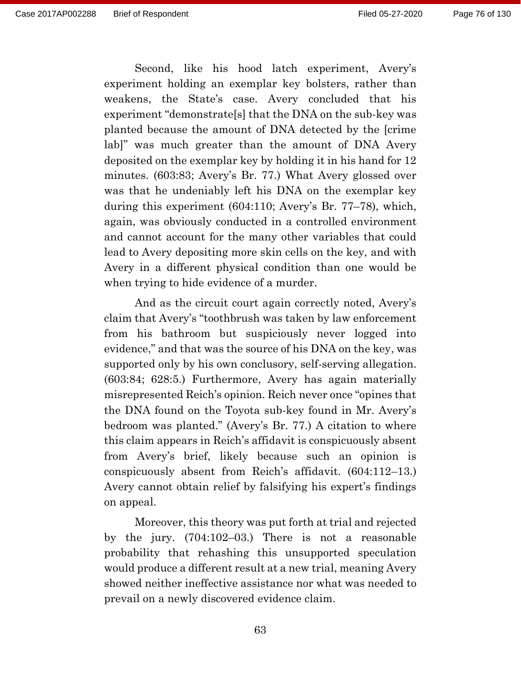Second, like his hood latch experiment, Avery's experiment holding an exemplar key bolsters, rather than weakens, the State's case. Avery concluded that his experiment "demonstrate[s] that the DNA on the sub-key was planted because the amount of DNA detected by the [crime lab]" was much greater than the amount of DNA Avery deposited on the exemplar key by holding it in his hand for 12 minutes. (603:83; Avery's Br. 77.) What Avery glossed over was that he undeniably left his DNA on the exemplar key during this experiment (604:110; Avery's Br. 77–78), which, again, was obviously conducted in a controlled environment and cannot account for the many other variables that could lead to Avery depositing more skin cells on the key, and with Avery in a different physical condition than one would be when trying to hide evidence of a murder.

And as the circuit court again correctly noted, Avery's claim that Avery's "toothbrush was taken by law enforcement from his bathroom but suspiciously never logged into evidence," and that was the source of his DNA on the key, was supported only by his own conclusory, self-serving allegation. (603:84; 628:5.) Furthermore, Avery has again materially misrepresented Reich's opinion. Reich never once "opines that the DNA found on the Toyota sub-key found in Mr. Avery's bedroom was planted." (Avery's Br. 77.) A citation to where this claim appears in Reich's affidavit is conspicuously absent from Avery's brief, likely because such an opinion is conspicuously absent from Reich's affidavit. (604:112–13.) Avery cannot obtain relief by falsifying his expert's findings on appeal.

Moreover, this theory was put forth at trial and rejected by the jury. (704:102–03.) There is not a reasonable probability that rehashing this unsupported speculation would produce a different result at a new trial, meaning Avery showed neither ineffective assistance nor what was needed to prevail on a newly discovered evidence claim.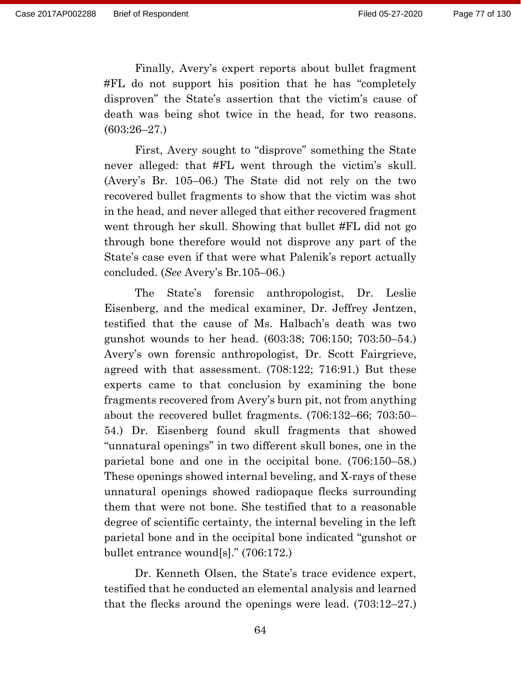Finally, Avery's expert reports about bullet fragment #FL do not support his position that he has "completely disproven" the State's assertion that the victim's cause of death was being shot twice in the head, for two reasons. (603:26–27.)

First, Avery sought to "disprove" something the State never alleged: that #FL went through the victim's skull. (Avery's Br. 105–06.) The State did not rely on the two recovered bullet fragments to show that the victim was shot in the head, and never alleged that either recovered fragment went through her skull. Showing that bullet #FL did not go through bone therefore would not disprove any part of the State's case even if that were what Palenik's report actually concluded. (*See* Avery's Br.105–06.)

The State's forensic anthropologist, Dr. Leslie Eisenberg, and the medical examiner, Dr. Jeffrey Jentzen, testified that the cause of Ms. Halbach's death was two gunshot wounds to her head. (603:38; 706:150; 703:50–54.) Avery's own forensic anthropologist, Dr. Scott Fairgrieve, agreed with that assessment. (708:122; 716:91.) But these experts came to that conclusion by examining the bone fragments recovered from Avery's burn pit, not from anything about the recovered bullet fragments. (706:132–66; 703:50– 54.) Dr. Eisenberg found skull fragments that showed "unnatural openings" in two different skull bones, one in the parietal bone and one in the occipital bone. (706:150–58.) These openings showed internal beveling, and X-rays of these unnatural openings showed radiopaque flecks surrounding them that were not bone. She testified that to a reasonable degree of scientific certainty, the internal beveling in the left parietal bone and in the occipital bone indicated "gunshot or bullet entrance wound[s]." (706:172.)

Dr. Kenneth Olsen, the State's trace evidence expert, testified that he conducted an elemental analysis and learned that the flecks around the openings were lead. (703:12–27.)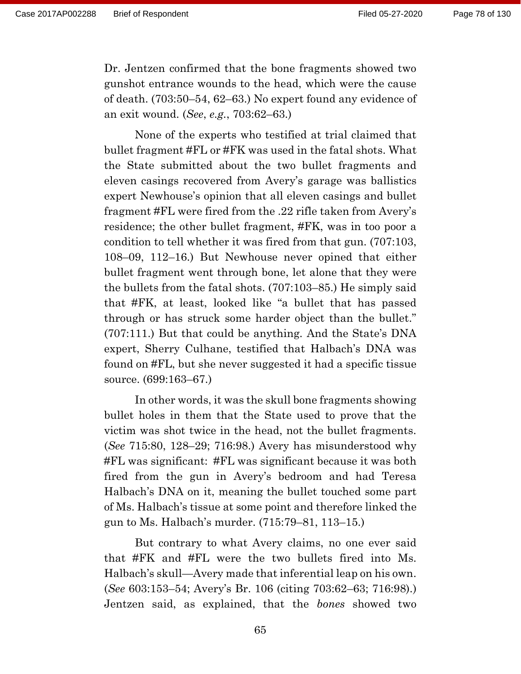Page 78 of 130

Dr. Jentzen confirmed that the bone fragments showed two gunshot entrance wounds to the head, which were the cause of death. (703:50–54, 62–63.) No expert found any evidence of an exit wound. (*See*, *e.g.*, 703:62–63.)

None of the experts who testified at trial claimed that bullet fragment #FL or #FK was used in the fatal shots. What the State submitted about the two bullet fragments and eleven casings recovered from Avery's garage was ballistics expert Newhouse's opinion that all eleven casings and bullet fragment #FL were fired from the .22 rifle taken from Avery's residence; the other bullet fragment, #FK, was in too poor a condition to tell whether it was fired from that gun. (707:103, 108–09, 112–16.) But Newhouse never opined that either bullet fragment went through bone, let alone that they were the bullets from the fatal shots. (707:103–85.) He simply said that #FK, at least, looked like "a bullet that has passed through or has struck some harder object than the bullet." (707:111.) But that could be anything. And the State's DNA expert, Sherry Culhane, testified that Halbach's DNA was found on #FL, but she never suggested it had a specific tissue source. (699:163–67.)

In other words, it was the skull bone fragments showing bullet holes in them that the State used to prove that the victim was shot twice in the head, not the bullet fragments. (*See* 715:80, 128–29; 716:98.) Avery has misunderstood why #FL was significant: #FL was significant because it was both fired from the gun in Avery's bedroom and had Teresa Halbach's DNA on it, meaning the bullet touched some part of Ms. Halbach's tissue at some point and therefore linked the gun to Ms. Halbach's murder. (715:79–81, 113–15.)

But contrary to what Avery claims, no one ever said that #FK and #FL were the two bullets fired into Ms. Halbach's skull—Avery made that inferential leap on his own. (*See* 603:153–54; Avery's Br. 106 (citing 703:62–63; 716:98).) Jentzen said, as explained, that the *bones* showed two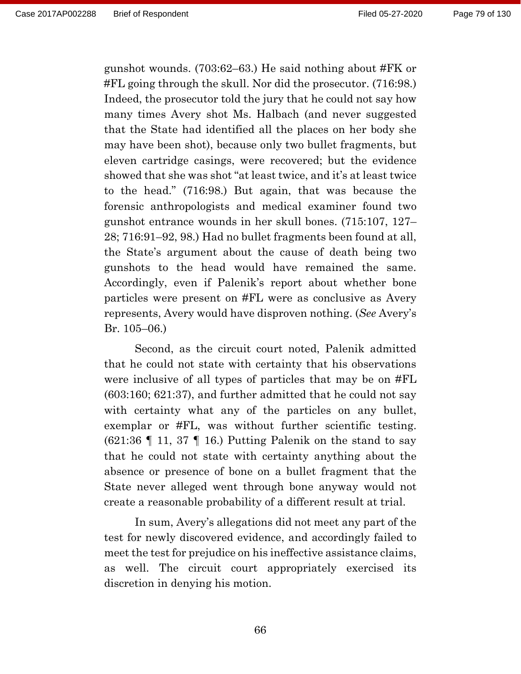gunshot wounds. (703:62–63.) He said nothing about #FK or #FL going through the skull. Nor did the prosecutor. (716:98.) Indeed, the prosecutor told the jury that he could not say how many times Avery shot Ms. Halbach (and never suggested that the State had identified all the places on her body she may have been shot), because only two bullet fragments, but eleven cartridge casings, were recovered; but the evidence showed that she was shot "at least twice, and it's at least twice to the head." (716:98.) But again, that was because the forensic anthropologists and medical examiner found two gunshot entrance wounds in her skull bones. (715:107, 127– 28; 716:91–92, 98.) Had no bullet fragments been found at all, the State's argument about the cause of death being two gunshots to the head would have remained the same. Accordingly, even if Palenik's report about whether bone particles were present on #FL were as conclusive as Avery represents, Avery would have disproven nothing. (*See* Avery's Br. 105–06.)

Second, as the circuit court noted, Palenik admitted that he could not state with certainty that his observations were inclusive of all types of particles that may be on #FL (603:160; 621:37), and further admitted that he could not say with certainty what any of the particles on any bullet, exemplar or #FL, was without further scientific testing.  $(621:36 \text{ T} 11, 37 \text{ T} 16)$  Putting Palenik on the stand to say that he could not state with certainty anything about the absence or presence of bone on a bullet fragment that the State never alleged went through bone anyway would not create a reasonable probability of a different result at trial.

In sum, Avery's allegations did not meet any part of the test for newly discovered evidence, and accordingly failed to meet the test for prejudice on his ineffective assistance claims, as well. The circuit court appropriately exercised its discretion in denying his motion.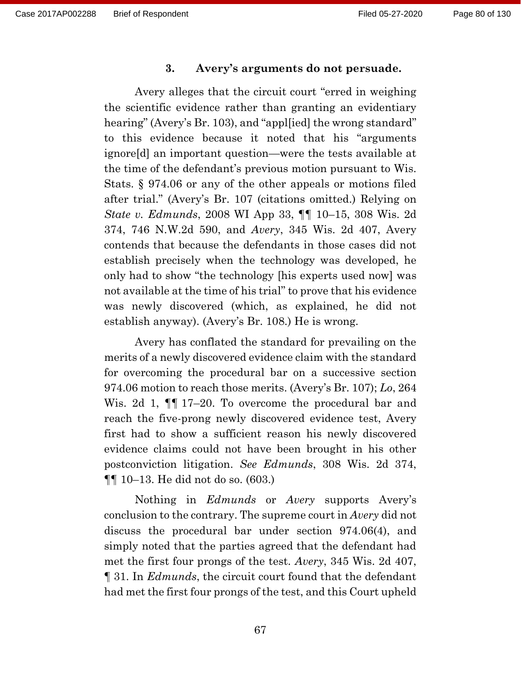#### **3. Avery's arguments do not persuade.**

Avery alleges that the circuit court "erred in weighing the scientific evidence rather than granting an evidentiary hearing" (Avery's Br. 103), and "apple idl the wrong standard" to this evidence because it noted that his "arguments ignore[d] an important question—were the tests available at the time of the defendant's previous motion pursuant to Wis. Stats. § 974.06 or any of the other appeals or motions filed after trial." (Avery's Br. 107 (citations omitted.) Relying on *State v. Edmunds*, 2008 WI App 33, ¶¶ 10–15, 308 Wis. 2d 374, 746 N.W.2d 590, and *Avery*, 345 Wis. 2d 407, Avery contends that because the defendants in those cases did not establish precisely when the technology was developed, he only had to show "the technology [his experts used now] was not available at the time of his trial" to prove that his evidence was newly discovered (which, as explained, he did not establish anyway). (Avery's Br. 108.) He is wrong.

Avery has conflated the standard for prevailing on the merits of a newly discovered evidence claim with the standard for overcoming the procedural bar on a successive section 974.06 motion to reach those merits. (Avery's Br. 107); *Lo*, 264 Wis. 2d 1,  $\P$  17–20. To overcome the procedural bar and reach the five-prong newly discovered evidence test, Avery first had to show a sufficient reason his newly discovered evidence claims could not have been brought in his other postconviction litigation. *See Edmunds*, 308 Wis. 2d 374, ¶¶ 10–13. He did not do so. (603.)

Nothing in *Edmunds* or *Avery* supports Avery's conclusion to the contrary. The supreme court in *Avery* did not discuss the procedural bar under section 974.06(4), and simply noted that the parties agreed that the defendant had met the first four prongs of the test. *Avery*, 345 Wis. 2d 407, ¶ 31. In *Edmunds*, the circuit court found that the defendant had met the first four prongs of the test, and this Court upheld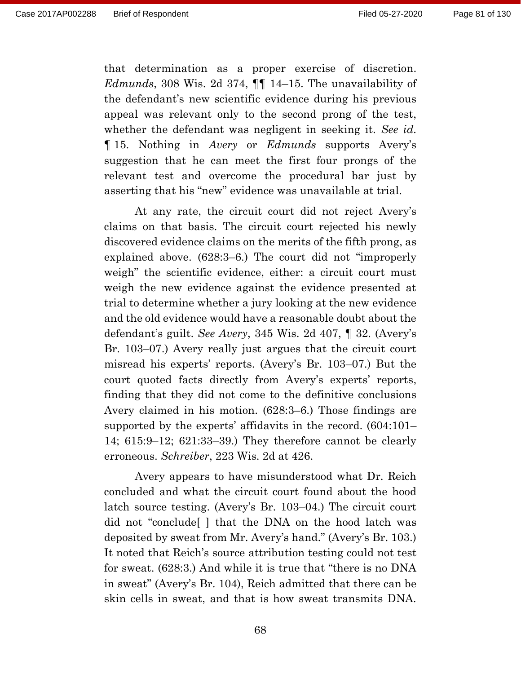that determination as a proper exercise of discretion. *Edmunds*, 308 Wis. 2d 374, ¶¶ 14–15. The unavailability of the defendant's new scientific evidence during his previous appeal was relevant only to the second prong of the test, whether the defendant was negligent in seeking it. *See id.* ¶ 15. Nothing in *Avery* or *Edmunds* supports Avery's suggestion that he can meet the first four prongs of the relevant test and overcome the procedural bar just by asserting that his "new" evidence was unavailable at trial.

At any rate, the circuit court did not reject Avery's claims on that basis. The circuit court rejected his newly discovered evidence claims on the merits of the fifth prong, as explained above. (628:3–6.) The court did not "improperly weigh" the scientific evidence, either: a circuit court must weigh the new evidence against the evidence presented at trial to determine whether a jury looking at the new evidence and the old evidence would have a reasonable doubt about the defendant's guilt. *See Avery*, 345 Wis. 2d 407, ¶ 32. (Avery's Br. 103–07.) Avery really just argues that the circuit court misread his experts' reports. (Avery's Br. 103–07.) But the court quoted facts directly from Avery's experts' reports, finding that they did not come to the definitive conclusions Avery claimed in his motion. (628:3–6.) Those findings are supported by the experts' affidavits in the record. (604:101– 14; 615:9–12; 621:33–39.) They therefore cannot be clearly erroneous. *Schreiber*, 223 Wis. 2d at 426.

Avery appears to have misunderstood what Dr. Reich concluded and what the circuit court found about the hood latch source testing. (Avery's Br. 103–04.) The circuit court did not "conclude[ ] that the DNA on the hood latch was deposited by sweat from Mr. Avery's hand." (Avery's Br. 103.) It noted that Reich's source attribution testing could not test for sweat. (628:3.) And while it is true that "there is no DNA in sweat" (Avery's Br. 104), Reich admitted that there can be skin cells in sweat, and that is how sweat transmits DNA.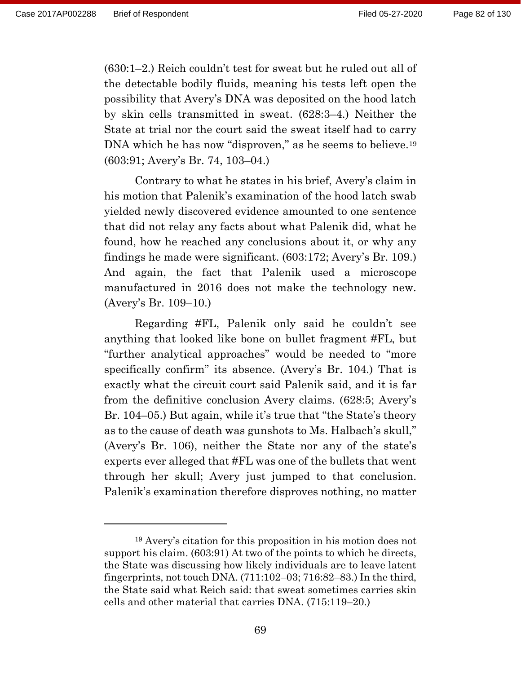(630:1–2.) Reich couldn't test for sweat but he ruled out all of the detectable bodily fluids, meaning his tests left open the possibility that Avery's DNA was deposited on the hood latch by skin cells transmitted in sweat. (628:3–4.) Neither the State at trial nor the court said the sweat itself had to carry DNA which he has now "disproven," as he seems to believe.<sup>19</sup> (603:91; Avery's Br. 74, 103–04.)

Contrary to what he states in his brief, Avery's claim in his motion that Palenik's examination of the hood latch swab yielded newly discovered evidence amounted to one sentence that did not relay any facts about what Palenik did, what he found, how he reached any conclusions about it, or why any findings he made were significant. (603:172; Avery's Br. 109.) And again, the fact that Palenik used a microscope manufactured in 2016 does not make the technology new. (Avery's Br. 109–10.)

Regarding #FL, Palenik only said he couldn't see anything that looked like bone on bullet fragment #FL, but "further analytical approaches" would be needed to "more specifically confirm" its absence. (Avery's Br. 104.) That is exactly what the circuit court said Palenik said, and it is far from the definitive conclusion Avery claims. (628:5; Avery's Br. 104–05.) But again, while it's true that "the State's theory as to the cause of death was gunshots to Ms. Halbach's skull," (Avery's Br. 106), neither the State nor any of the state's experts ever alleged that #FL was one of the bullets that went through her skull; Avery just jumped to that conclusion. Palenik's examination therefore disproves nothing, no matter

<sup>19</sup> Avery's citation for this proposition in his motion does not support his claim. (603:91) At two of the points to which he directs, the State was discussing how likely individuals are to leave latent fingerprints, not touch DNA. (711:102–03; 716:82–83.) In the third, the State said what Reich said: that sweat sometimes carries skin cells and other material that carries DNA. (715:119–20.)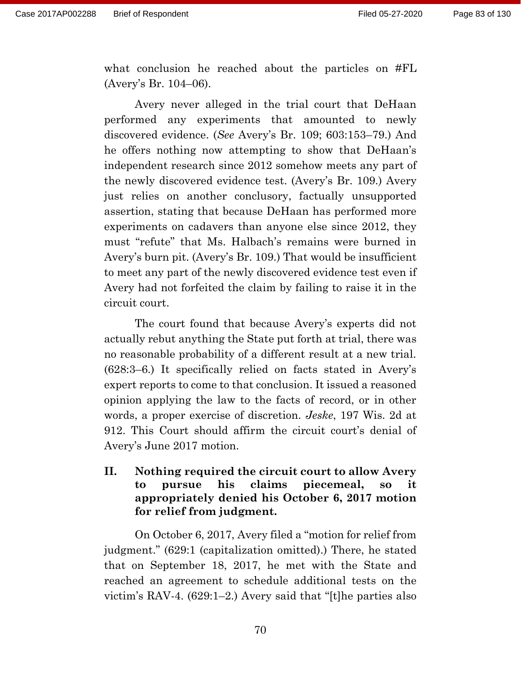what conclusion he reached about the particles on #FL (Avery's Br. 104–06).

Avery never alleged in the trial court that DeHaan performed any experiments that amounted to newly discovered evidence. (*See* Avery's Br. 109; 603:153–79.) And he offers nothing now attempting to show that DeHaan's independent research since 2012 somehow meets any part of the newly discovered evidence test. (Avery's Br. 109.) Avery just relies on another conclusory, factually unsupported assertion, stating that because DeHaan has performed more experiments on cadavers than anyone else since 2012, they must "refute" that Ms. Halbach's remains were burned in Avery's burn pit. (Avery's Br. 109.) That would be insufficient to meet any part of the newly discovered evidence test even if Avery had not forfeited the claim by failing to raise it in the circuit court.

The court found that because Avery's experts did not actually rebut anything the State put forth at trial, there was no reasonable probability of a different result at a new trial. (628:3–6.) It specifically relied on facts stated in Avery's expert reports to come to that conclusion. It issued a reasoned opinion applying the law to the facts of record, or in other words, a proper exercise of discretion. *Jeske*, 197 Wis. 2d at 912. This Court should affirm the circuit court's denial of Avery's June 2017 motion.

### **II. Nothing required the circuit court to allow Avery to pursue his claims piecemeal, so it appropriately denied his October 6, 2017 motion for relief from judgment.**

On October 6, 2017, Avery filed a "motion for relief from judgment." (629:1 (capitalization omitted).) There, he stated that on September 18, 2017, he met with the State and reached an agreement to schedule additional tests on the victim's RAV-4. (629:1–2.) Avery said that "[t]he parties also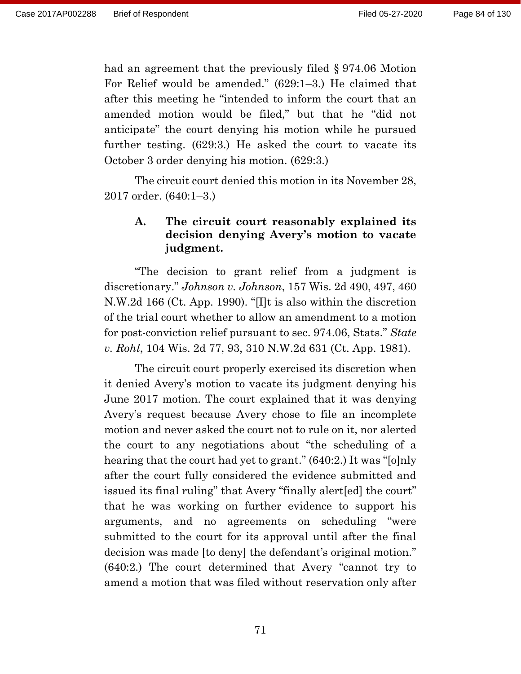had an agreement that the previously filed § 974.06 Motion For Relief would be amended." (629:1–3.) He claimed that after this meeting he "intended to inform the court that an amended motion would be filed," but that he "did not anticipate" the court denying his motion while he pursued further testing. (629:3.) He asked the court to vacate its October 3 order denying his motion. (629:3.)

The circuit court denied this motion in its November 28, 2017 order. (640:1–3.)

# **A. The circuit court reasonably explained its decision denying Avery's motion to vacate judgment.**

"The decision to grant relief from a judgment is discretionary." *Johnson v. Johnson*, 157 Wis. 2d 490, 497, 460 N.W.2d 166 (Ct. App. 1990). "[I]t is also within the discretion of the trial court whether to allow an amendment to a motion for post-conviction relief pursuant to sec. 974.06, Stats." *State v. Rohl*, 104 Wis. 2d 77, 93, 310 N.W.2d 631 (Ct. App. 1981).

The circuit court properly exercised its discretion when it denied Avery's motion to vacate its judgment denying his June 2017 motion. The court explained that it was denying Avery's request because Avery chose to file an incomplete motion and never asked the court not to rule on it, nor alerted the court to any negotiations about "the scheduling of a hearing that the court had yet to grant." (640:2.) It was "[o]nly after the court fully considered the evidence submitted and issued its final ruling" that Avery "finally alert[ed] the court" that he was working on further evidence to support his arguments, and no agreements on scheduling "were submitted to the court for its approval until after the final decision was made [to deny] the defendant's original motion." (640:2.) The court determined that Avery "cannot try to amend a motion that was filed without reservation only after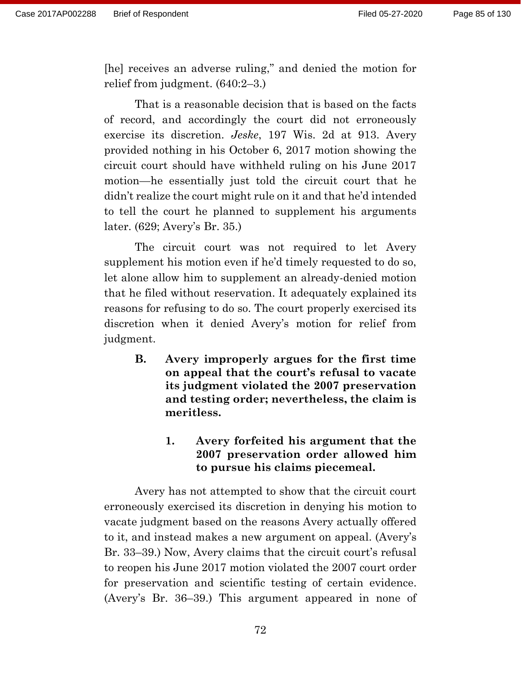[he] receives an adverse ruling," and denied the motion for relief from judgment. (640:2–3.)

That is a reasonable decision that is based on the facts of record, and accordingly the court did not erroneously exercise its discretion. *Jeske*, 197 Wis. 2d at 913. Avery provided nothing in his October 6, 2017 motion showing the circuit court should have withheld ruling on his June 2017 motion—he essentially just told the circuit court that he didn't realize the court might rule on it and that he'd intended to tell the court he planned to supplement his arguments later. (629; Avery's Br. 35.)

The circuit court was not required to let Avery supplement his motion even if he'd timely requested to do so, let alone allow him to supplement an already-denied motion that he filed without reservation. It adequately explained its reasons for refusing to do so. The court properly exercised its discretion when it denied Avery's motion for relief from judgment.

**B. Avery improperly argues for the first time on appeal that the court's refusal to vacate its judgment violated the 2007 preservation and testing order; nevertheless, the claim is meritless.** 

# **1. Avery forfeited his argument that the 2007 preservation order allowed him to pursue his claims piecemeal.**

Avery has not attempted to show that the circuit court erroneously exercised its discretion in denying his motion to vacate judgment based on the reasons Avery actually offered to it, and instead makes a new argument on appeal. (Avery's Br. 33–39.) Now, Avery claims that the circuit court's refusal to reopen his June 2017 motion violated the 2007 court order for preservation and scientific testing of certain evidence. (Avery's Br. 36–39.) This argument appeared in none of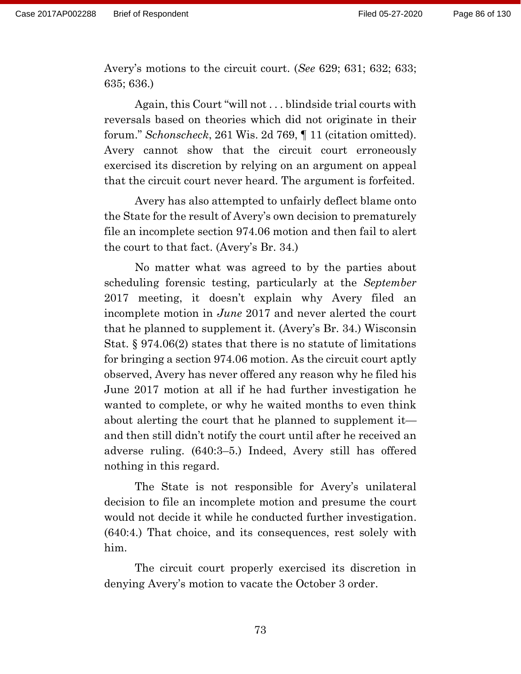Avery's motions to the circuit court. (*See* 629; 631; 632; 633; 635; 636.)

Again, this Court "will not . . . blindside trial courts with reversals based on theories which did not originate in their forum." *Schonscheck*, 261 Wis. 2d 769, ¶ 11 (citation omitted). Avery cannot show that the circuit court erroneously exercised its discretion by relying on an argument on appeal that the circuit court never heard. The argument is forfeited.

Avery has also attempted to unfairly deflect blame onto the State for the result of Avery's own decision to prematurely file an incomplete section 974.06 motion and then fail to alert the court to that fact. (Avery's Br. 34.)

No matter what was agreed to by the parties about scheduling forensic testing, particularly at the *September* 2017 meeting, it doesn't explain why Avery filed an incomplete motion in *June* 2017 and never alerted the court that he planned to supplement it. (Avery's Br. 34.) Wisconsin Stat. § 974.06(2) states that there is no statute of limitations for bringing a section 974.06 motion. As the circuit court aptly observed, Avery has never offered any reason why he filed his June 2017 motion at all if he had further investigation he wanted to complete, or why he waited months to even think about alerting the court that he planned to supplement it and then still didn't notify the court until after he received an adverse ruling. (640:3–5.) Indeed, Avery still has offered nothing in this regard.

The State is not responsible for Avery's unilateral decision to file an incomplete motion and presume the court would not decide it while he conducted further investigation. (640:4.) That choice, and its consequences, rest solely with him.

The circuit court properly exercised its discretion in denying Avery's motion to vacate the October 3 order.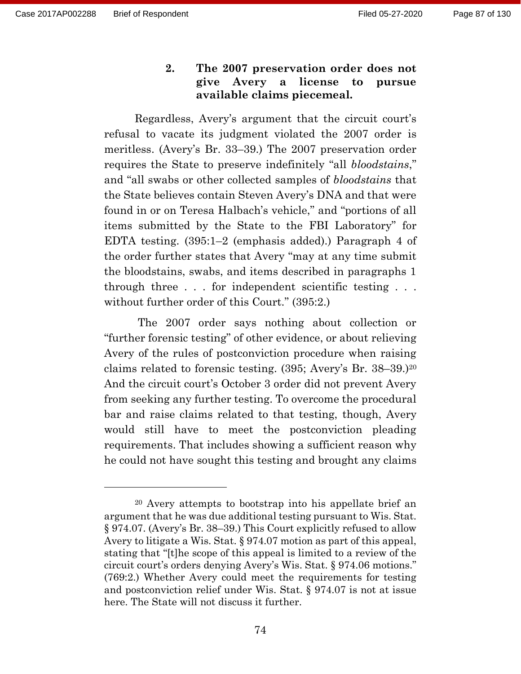**2. The 2007 preservation order does not give Avery a license to pursue available claims piecemeal.**

Regardless, Avery's argument that the circuit court's refusal to vacate its judgment violated the 2007 order is meritless. (Avery's Br. 33–39.) The 2007 preservation order requires the State to preserve indefinitely "all *bloodstains*," and "all swabs or other collected samples of *bloodstains* that the State believes contain Steven Avery's DNA and that were found in or on Teresa Halbach's vehicle," and "portions of all items submitted by the State to the FBI Laboratory" for EDTA testing. (395:1–2 (emphasis added).) Paragraph 4 of the order further states that Avery "may at any time submit the bloodstains, swabs, and items described in paragraphs 1 through three . . . for independent scientific testing . . . without further order of this Court." (395:2.)

The 2007 order says nothing about collection or "further forensic testing" of other evidence, or about relieving Avery of the rules of postconviction procedure when raising claims related to forensic testing. (395; Avery's Br. 38–39.)<sup>20</sup> And the circuit court's October 3 order did not prevent Avery from seeking any further testing. To overcome the procedural bar and raise claims related to that testing, though, Avery would still have to meet the postconviction pleading requirements. That includes showing a sufficient reason why he could not have sought this testing and brought any claims

<sup>20</sup> Avery attempts to bootstrap into his appellate brief an argument that he was due additional testing pursuant to Wis. Stat. § 974.07. (Avery's Br. 38–39.) This Court explicitly refused to allow Avery to litigate a Wis. Stat. § 974.07 motion as part of this appeal, stating that "[t]he scope of this appeal is limited to a review of the circuit court's orders denying Avery's Wis. Stat. § 974.06 motions." (769:2.) Whether Avery could meet the requirements for testing and postconviction relief under Wis. Stat. § 974.07 is not at issue here. The State will not discuss it further.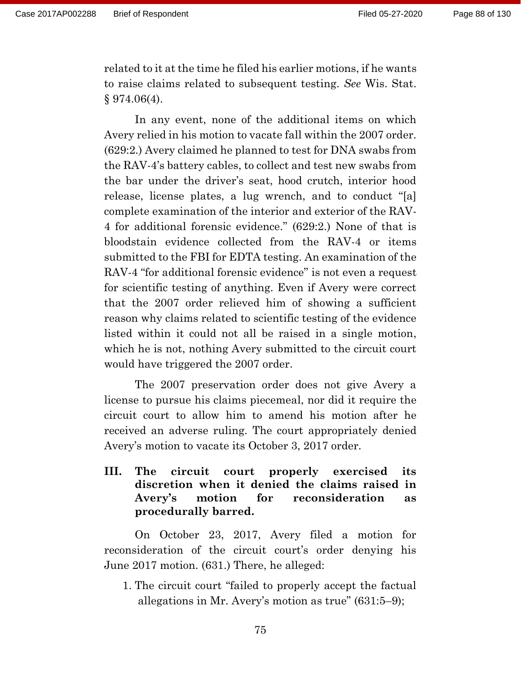related to it at the time he filed his earlier motions, if he wants to raise claims related to subsequent testing. *See* Wis. Stat. § 974.06(4).

In any event, none of the additional items on which Avery relied in his motion to vacate fall within the 2007 order. (629:2.) Avery claimed he planned to test for DNA swabs from the RAV-4's battery cables, to collect and test new swabs from the bar under the driver's seat, hood crutch, interior hood release, license plates, a lug wrench, and to conduct "[a] complete examination of the interior and exterior of the RAV-4 for additional forensic evidence." (629:2.) None of that is bloodstain evidence collected from the RAV-4 or items submitted to the FBI for EDTA testing. An examination of the RAV-4 "for additional forensic evidence" is not even a request for scientific testing of anything. Even if Avery were correct that the 2007 order relieved him of showing a sufficient reason why claims related to scientific testing of the evidence listed within it could not all be raised in a single motion, which he is not, nothing Avery submitted to the circuit court would have triggered the 2007 order.

The 2007 preservation order does not give Avery a license to pursue his claims piecemeal, nor did it require the circuit court to allow him to amend his motion after he received an adverse ruling. The court appropriately denied Avery's motion to vacate its October 3, 2017 order.

**III. The circuit court properly exercised its discretion when it denied the claims raised in Avery's motion for reconsideration as procedurally barred.**

On October 23, 2017, Avery filed a motion for reconsideration of the circuit court's order denying his June 2017 motion. (631.) There, he alleged:

1. The circuit court "failed to properly accept the factual allegations in Mr. Avery's motion as true" (631:5–9);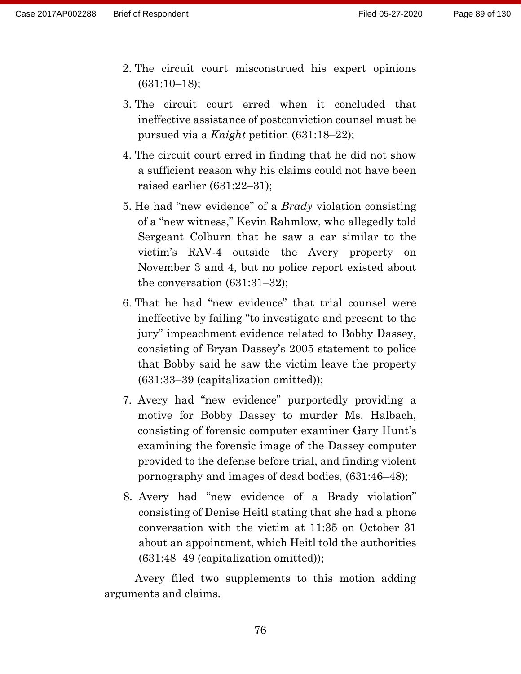- 2. The circuit court misconstrued his expert opinions (631:10–18);
- 3. The circuit court erred when it concluded that ineffective assistance of postconviction counsel must be pursued via a *Knight* petition (631:18–22);
- 4. The circuit court erred in finding that he did not show a sufficient reason why his claims could not have been raised earlier (631:22–31);
- 5. He had "new evidence" of a *Brady* violation consisting of a "new witness," Kevin Rahmlow, who allegedly told Sergeant Colburn that he saw a car similar to the victim's RAV-4 outside the Avery property on November 3 and 4, but no police report existed about the conversation (631:31–32);
- 6. That he had "new evidence" that trial counsel were ineffective by failing "to investigate and present to the jury" impeachment evidence related to Bobby Dassey, consisting of Bryan Dassey's 2005 statement to police that Bobby said he saw the victim leave the property (631:33–39 (capitalization omitted));
- 7. Avery had "new evidence" purportedly providing a motive for Bobby Dassey to murder Ms. Halbach, consisting of forensic computer examiner Gary Hunt's examining the forensic image of the Dassey computer provided to the defense before trial, and finding violent pornography and images of dead bodies, (631:46–48);
- 8. Avery had "new evidence of a Brady violation" consisting of Denise Heitl stating that she had a phone conversation with the victim at 11:35 on October 31 about an appointment, which Heitl told the authorities (631:48–49 (capitalization omitted));

Avery filed two supplements to this motion adding arguments and claims.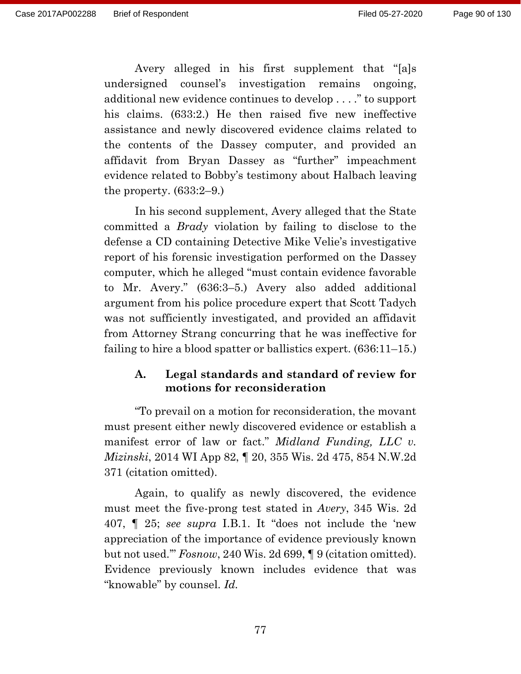Avery alleged in his first supplement that "[a]s undersigned counsel's investigation remains ongoing, additional new evidence continues to develop . . . ." to support his claims. (633:2.) He then raised five new ineffective assistance and newly discovered evidence claims related to the contents of the Dassey computer, and provided an affidavit from Bryan Dassey as "further" impeachment evidence related to Bobby's testimony about Halbach leaving the property.  $(633:2-9)$ .

In his second supplement, Avery alleged that the State committed a *Brady* violation by failing to disclose to the defense a CD containing Detective Mike Velie's investigative report of his forensic investigation performed on the Dassey computer, which he alleged "must contain evidence favorable to Mr. Avery." (636:3–5.) Avery also added additional argument from his police procedure expert that Scott Tadych was not sufficiently investigated, and provided an affidavit from Attorney Strang concurring that he was ineffective for failing to hire a blood spatter or ballistics expert. (636:11–15.)

### **A. Legal standards and standard of review for motions for reconsideration**

"To prevail on a motion for reconsideration, the movant must present either newly discovered evidence or establish a manifest error of law or fact." *Midland Funding, LLC v. Mizinski*, 2014 WI App 82, ¶ 20, 355 Wis. 2d 475, 854 N.W.2d 371 (citation omitted).

Again, to qualify as newly discovered, the evidence must meet the five-prong test stated in *Avery*, 345 Wis. 2d 407, ¶ 25; *see supra* I.B.1. It "does not include the 'new appreciation of the importance of evidence previously known but not used.'" *Fosnow*, 240 Wis. 2d 699, ¶ 9 (citation omitted). Evidence previously known includes evidence that was "knowable" by counsel. *Id.*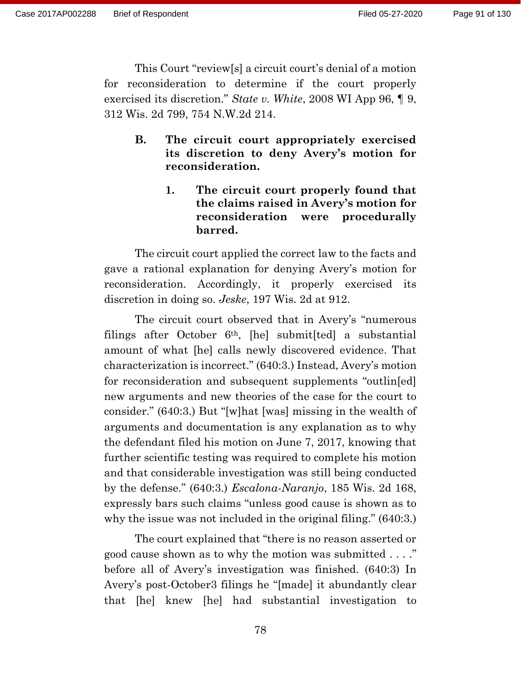This Court "review[s] a circuit court's denial of a motion for reconsideration to determine if the court properly exercised its discretion." *State v. White*, 2008 WI App 96, ¶ 9, 312 Wis. 2d 799, 754 N.W.2d 214.

- **B. The circuit court appropriately exercised its discretion to deny Avery's motion for reconsideration.**
	- **1. The circuit court properly found that the claims raised in Avery's motion for reconsideration were procedurally barred.**

The circuit court applied the correct law to the facts and gave a rational explanation for denying Avery's motion for reconsideration. Accordingly, it properly exercised its discretion in doing so. *Jeske*, 197 Wis. 2d at 912.

The circuit court observed that in Avery's "numerous filings after October  $6<sup>th</sup>$ , [he] submit[ted] a substantial amount of what [he] calls newly discovered evidence. That characterization is incorrect." (640:3.) Instead, Avery's motion for reconsideration and subsequent supplements "outlin[ed] new arguments and new theories of the case for the court to consider." (640:3.) But "[w]hat [was] missing in the wealth of arguments and documentation is any explanation as to why the defendant filed his motion on June 7, 2017, knowing that further scientific testing was required to complete his motion and that considerable investigation was still being conducted by the defense." (640:3.) *Escalona-Naranjo*, 185 Wis. 2d 168, expressly bars such claims "unless good cause is shown as to why the issue was not included in the original filing." (640:3.)

The court explained that "there is no reason asserted or good cause shown as to why the motion was submitted . . . ." before all of Avery's investigation was finished. (640:3) In Avery's post-October3 filings he "[made] it abundantly clear that [he] knew [he] had substantial investigation to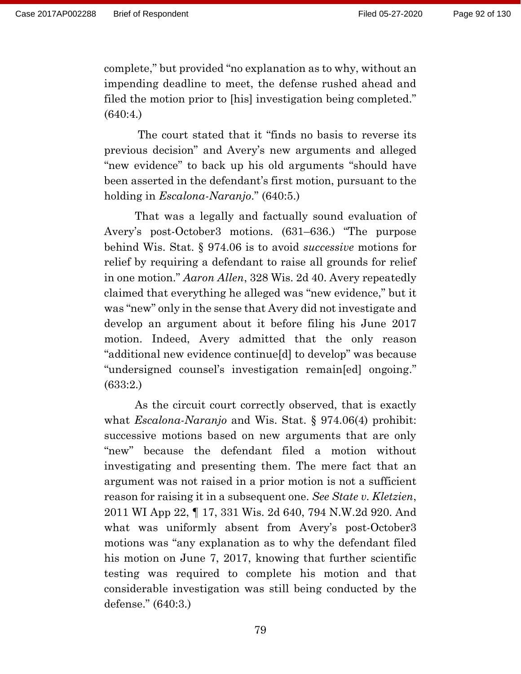complete," but provided "no explanation as to why, without an impending deadline to meet, the defense rushed ahead and filed the motion prior to [his] investigation being completed." (640:4.)

The court stated that it "finds no basis to reverse its previous decision" and Avery's new arguments and alleged "new evidence" to back up his old arguments "should have been asserted in the defendant's first motion, pursuant to the holding in *Escalona-Naranjo*." (640:5.)

That was a legally and factually sound evaluation of Avery's post-October3 motions. (631–636.) "The purpose behind Wis. Stat. § 974.06 is to avoid *successive* motions for relief by requiring a defendant to raise all grounds for relief in one motion." *Aaron Allen*, 328 Wis. 2d 40. Avery repeatedly claimed that everything he alleged was "new evidence," but it was "new" only in the sense that Avery did not investigate and develop an argument about it before filing his June 2017 motion. Indeed, Avery admitted that the only reason "additional new evidence continue[d] to develop" was because "undersigned counsel's investigation remain[ed] ongoing." (633:2.)

As the circuit court correctly observed, that is exactly what *Escalona-Naranjo* and Wis. Stat. § 974.06(4) prohibit: successive motions based on new arguments that are only "new" because the defendant filed a motion without investigating and presenting them. The mere fact that an argument was not raised in a prior motion is not a sufficient reason for raising it in a subsequent one. *See State v. Kletzien*, 2011 WI App 22, ¶ 17, 331 Wis. 2d 640, 794 N.W.2d 920. And what was uniformly absent from Avery's post-October3 motions was "any explanation as to why the defendant filed his motion on June 7, 2017, knowing that further scientific testing was required to complete his motion and that considerable investigation was still being conducted by the defense." (640:3.)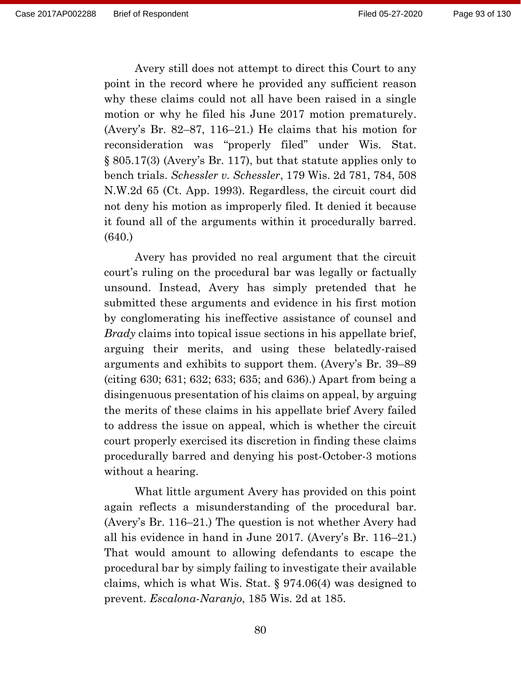Avery still does not attempt to direct this Court to any point in the record where he provided any sufficient reason why these claims could not all have been raised in a single motion or why he filed his June 2017 motion prematurely. (Avery's Br. 82–87, 116–21.) He claims that his motion for reconsideration was "properly filed" under Wis. Stat. § 805.17(3) (Avery's Br. 117), but that statute applies only to bench trials. *Schessler v. Schessler*, 179 Wis. 2d 781, 784, 508 N.W.2d 65 (Ct. App. 1993). Regardless, the circuit court did not deny his motion as improperly filed. It denied it because it found all of the arguments within it procedurally barred. (640.)

Avery has provided no real argument that the circuit court's ruling on the procedural bar was legally or factually unsound. Instead, Avery has simply pretended that he submitted these arguments and evidence in his first motion by conglomerating his ineffective assistance of counsel and *Brady* claims into topical issue sections in his appellate brief, arguing their merits, and using these belatedly-raised arguments and exhibits to support them. (Avery's Br. 39–89 (citing 630; 631; 632; 633; 635; and 636).) Apart from being a disingenuous presentation of his claims on appeal, by arguing the merits of these claims in his appellate brief Avery failed to address the issue on appeal, which is whether the circuit court properly exercised its discretion in finding these claims procedurally barred and denying his post-October-3 motions without a hearing.

What little argument Avery has provided on this point again reflects a misunderstanding of the procedural bar. (Avery's Br. 116–21.) The question is not whether Avery had all his evidence in hand in June 2017. (Avery's Br. 116–21.) That would amount to allowing defendants to escape the procedural bar by simply failing to investigate their available claims, which is what Wis. Stat. § 974.06(4) was designed to prevent. *Escalona-Naranjo*, 185 Wis. 2d at 185.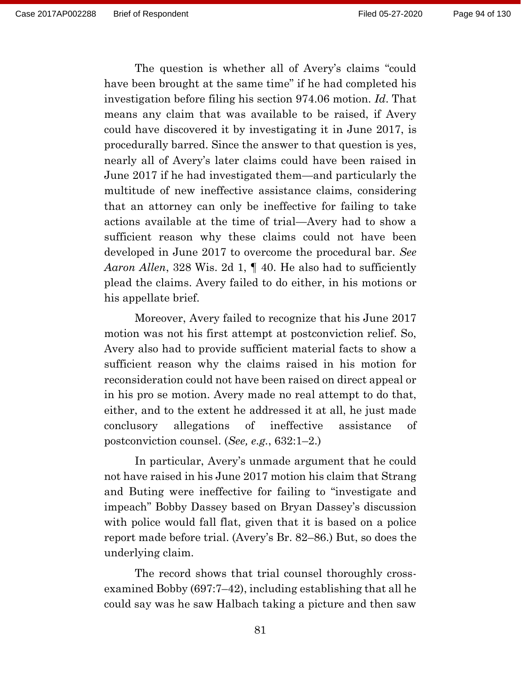The question is whether all of Avery's claims "could have been brought at the same time" if he had completed his investigation before filing his section 974.06 motion. *Id*. That means any claim that was available to be raised, if Avery could have discovered it by investigating it in June 2017, is procedurally barred. Since the answer to that question is yes, nearly all of Avery's later claims could have been raised in June 2017 if he had investigated them—and particularly the multitude of new ineffective assistance claims, considering that an attorney can only be ineffective for failing to take actions available at the time of trial—Avery had to show a sufficient reason why these claims could not have been developed in June 2017 to overcome the procedural bar. *See Aaron Allen*, 328 Wis. 2d 1, ¶ 40. He also had to sufficiently plead the claims. Avery failed to do either, in his motions or his appellate brief.

Moreover, Avery failed to recognize that his June 2017 motion was not his first attempt at postconviction relief. So, Avery also had to provide sufficient material facts to show a sufficient reason why the claims raised in his motion for reconsideration could not have been raised on direct appeal or in his pro se motion. Avery made no real attempt to do that, either, and to the extent he addressed it at all, he just made conclusory allegations of ineffective assistance of postconviction counsel. (*See, e.g.*, 632:1–2.)

In particular, Avery's unmade argument that he could not have raised in his June 2017 motion his claim that Strang and Buting were ineffective for failing to "investigate and impeach" Bobby Dassey based on Bryan Dassey's discussion with police would fall flat, given that it is based on a police report made before trial. (Avery's Br. 82–86.) But, so does the underlying claim.

The record shows that trial counsel thoroughly crossexamined Bobby (697:7–42), including establishing that all he could say was he saw Halbach taking a picture and then saw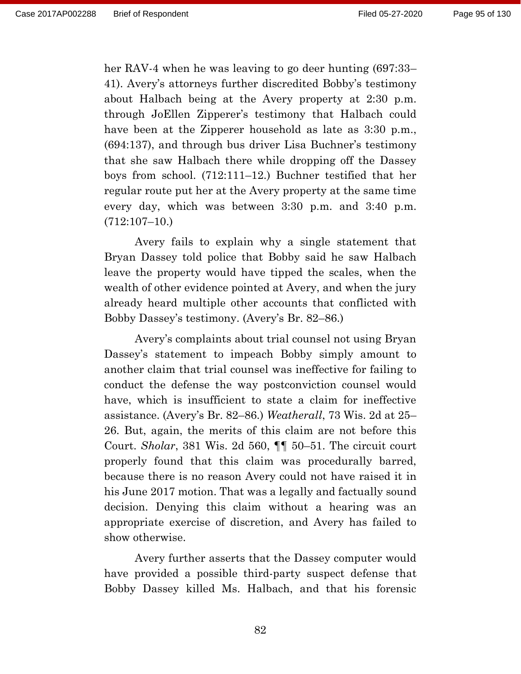her RAV-4 when he was leaving to go deer hunting (697:33– 41). Avery's attorneys further discredited Bobby's testimony about Halbach being at the Avery property at 2:30 p.m. through JoEllen Zipperer's testimony that Halbach could have been at the Zipperer household as late as 3:30 p.m., (694:137), and through bus driver Lisa Buchner's testimony that she saw Halbach there while dropping off the Dassey boys from school. (712:111–12.) Buchner testified that her regular route put her at the Avery property at the same time every day, which was between 3:30 p.m. and 3:40 p.m. (712:107–10.)

Avery fails to explain why a single statement that Bryan Dassey told police that Bobby said he saw Halbach leave the property would have tipped the scales, when the wealth of other evidence pointed at Avery, and when the jury already heard multiple other accounts that conflicted with Bobby Dassey's testimony. (Avery's Br. 82–86.)

Avery's complaints about trial counsel not using Bryan Dassey's statement to impeach Bobby simply amount to another claim that trial counsel was ineffective for failing to conduct the defense the way postconviction counsel would have, which is insufficient to state a claim for ineffective assistance. (Avery's Br. 82–86.) *Weatherall*, 73 Wis. 2d at 25– 26. But, again, the merits of this claim are not before this Court. *Sholar*, 381 Wis. 2d 560, ¶¶ 50–51. The circuit court properly found that this claim was procedurally barred, because there is no reason Avery could not have raised it in his June 2017 motion. That was a legally and factually sound decision. Denying this claim without a hearing was an appropriate exercise of discretion, and Avery has failed to show otherwise.

Avery further asserts that the Dassey computer would have provided a possible third-party suspect defense that Bobby Dassey killed Ms. Halbach, and that his forensic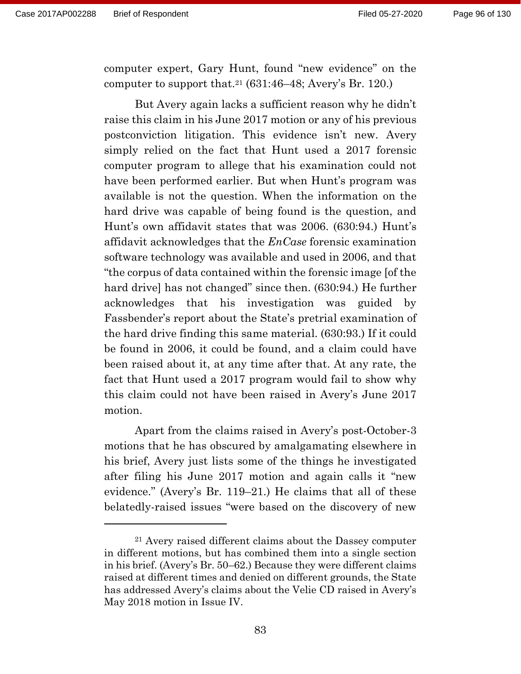computer expert, Gary Hunt, found "new evidence" on the computer to support that.<sup>21</sup> (631:46–48; Avery's Br. 120.)

But Avery again lacks a sufficient reason why he didn't raise this claim in his June 2017 motion or any of his previous postconviction litigation. This evidence isn't new. Avery simply relied on the fact that Hunt used a 2017 forensic computer program to allege that his examination could not have been performed earlier. But when Hunt's program was available is not the question. When the information on the hard drive was capable of being found is the question, and Hunt's own affidavit states that was 2006. (630:94.) Hunt's affidavit acknowledges that the *EnCase* forensic examination software technology was available and used in 2006, and that "the corpus of data contained within the forensic image [of the hard drive] has not changed" since then. (630:94.) He further acknowledges that his investigation was guided by Fassbender's report about the State's pretrial examination of the hard drive finding this same material. (630:93.) If it could be found in 2006, it could be found, and a claim could have been raised about it, at any time after that. At any rate, the fact that Hunt used a 2017 program would fail to show why this claim could not have been raised in Avery's June 2017 motion.

Apart from the claims raised in Avery's post-October-3 motions that he has obscured by amalgamating elsewhere in his brief, Avery just lists some of the things he investigated after filing his June 2017 motion and again calls it "new evidence." (Avery's Br. 119–21.) He claims that all of these belatedly-raised issues "were based on the discovery of new

<sup>21</sup> Avery raised different claims about the Dassey computer in different motions, but has combined them into a single section in his brief. (Avery's Br. 50–62.) Because they were different claims raised at different times and denied on different grounds, the State has addressed Avery's claims about the Velie CD raised in Avery's May 2018 motion in Issue IV.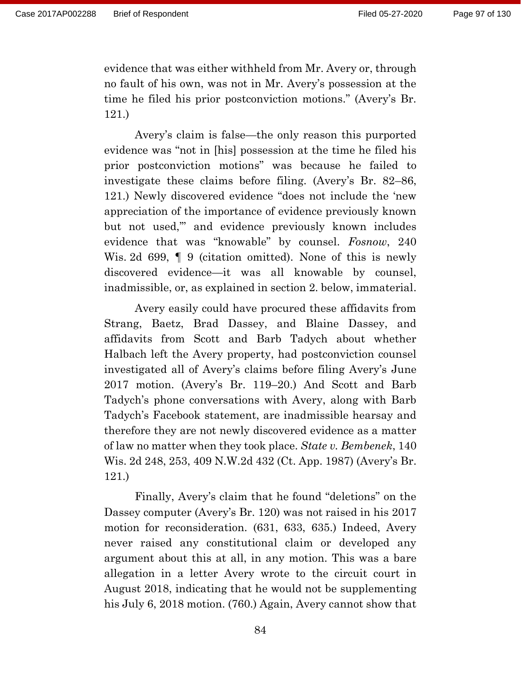evidence that was either withheld from Mr. Avery or, through no fault of his own, was not in Mr. Avery's possession at the time he filed his prior postconviction motions." (Avery's Br. 121.)

Avery's claim is false—the only reason this purported evidence was "not in [his] possession at the time he filed his prior postconviction motions" was because he failed to investigate these claims before filing. (Avery's Br. 82–86, 121.) Newly discovered evidence "does not include the 'new appreciation of the importance of evidence previously known but not used,'" and evidence previously known includes evidence that was "knowable" by counsel. *Fosnow*, 240 Wis. 2d 699,  $\parallel$  9 (citation omitted). None of this is newly discovered evidence—it was all knowable by counsel, inadmissible, or, as explained in section 2. below, immaterial.

Avery easily could have procured these affidavits from Strang, Baetz, Brad Dassey, and Blaine Dassey, and affidavits from Scott and Barb Tadych about whether Halbach left the Avery property, had postconviction counsel investigated all of Avery's claims before filing Avery's June 2017 motion. (Avery's Br. 119–20.) And Scott and Barb Tadych's phone conversations with Avery, along with Barb Tadych's Facebook statement, are inadmissible hearsay and therefore they are not newly discovered evidence as a matter of law no matter when they took place. *State v. Bembenek*, 140 Wis. 2d 248, 253, 409 N.W.2d 432 (Ct. App. 1987) (Avery's Br. 121.)

Finally, Avery's claim that he found "deletions" on the Dassey computer (Avery's Br. 120) was not raised in his 2017 motion for reconsideration. (631, 633, 635.) Indeed, Avery never raised any constitutional claim or developed any argument about this at all, in any motion. This was a bare allegation in a letter Avery wrote to the circuit court in August 2018, indicating that he would not be supplementing his July 6, 2018 motion. (760.) Again, Avery cannot show that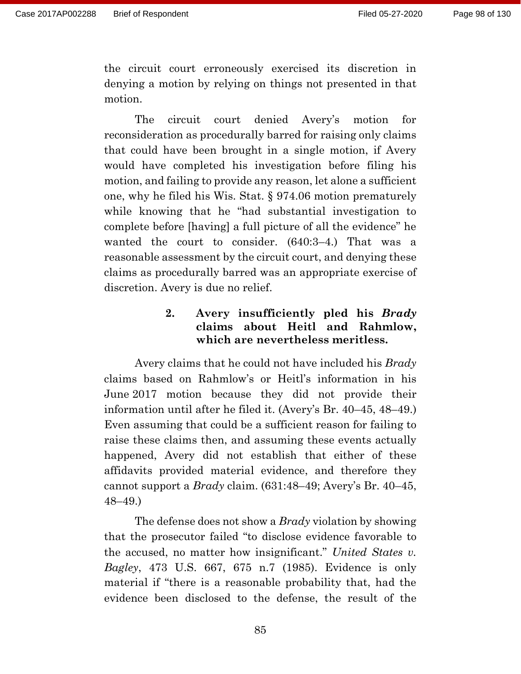the circuit court erroneously exercised its discretion in denying a motion by relying on things not presented in that motion.

The circuit court denied Avery's motion for reconsideration as procedurally barred for raising only claims that could have been brought in a single motion, if Avery would have completed his investigation before filing his motion, and failing to provide any reason, let alone a sufficient one, why he filed his Wis. Stat. § 974.06 motion prematurely while knowing that he "had substantial investigation to complete before [having] a full picture of all the evidence" he wanted the court to consider. (640:3–4.) That was a reasonable assessment by the circuit court, and denying these claims as procedurally barred was an appropriate exercise of discretion. Avery is due no relief.

## **2. Avery insufficiently pled his** *Brady* **claims about Heitl and Rahmlow, which are nevertheless meritless.**

Avery claims that he could not have included his *Brady* claims based on Rahmlow's or Heitl's information in his June 2017 motion because they did not provide their information until after he filed it. (Avery's Br. 40–45, 48–49.) Even assuming that could be a sufficient reason for failing to raise these claims then, and assuming these events actually happened, Avery did not establish that either of these affidavits provided material evidence, and therefore they cannot support a *Brady* claim. (631:48–49; Avery's Br. 40–45, 48–49.)

The defense does not show a *Brady* violation by showing that the prosecutor failed "to disclose evidence favorable to the accused, no matter how insignificant." *United States v. Bagley*, 473 U.S. 667, 675 n.7 (1985). Evidence is only material if "there is a reasonable probability that, had the evidence been disclosed to the defense, the result of the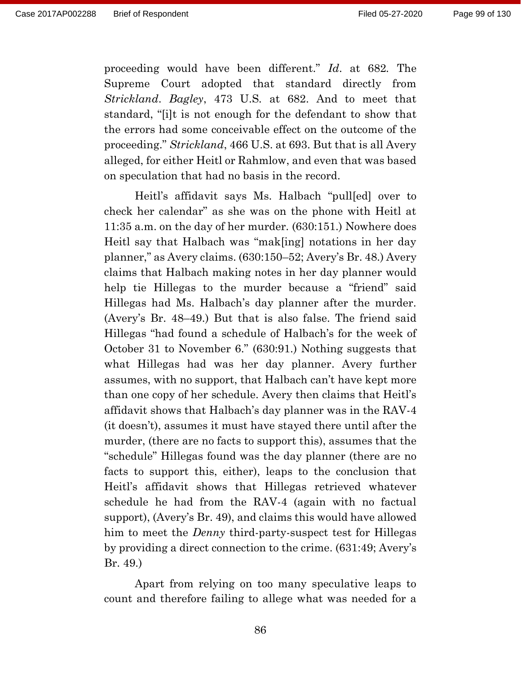proceeding would have been different." *Id*. at 682*.* The Supreme Court adopted that standard directly from *Strickland*. *Bagley*, 473 U.S*.* at 682. And to meet that standard, "[i]t is not enough for the defendant to show that the errors had some conceivable effect on the outcome of the proceeding." *Strickland*, 466 U.S. at 693. But that is all Avery alleged, for either Heitl or Rahmlow, and even that was based on speculation that had no basis in the record.

Heitl's affidavit says Ms. Halbach "pull[ed] over to check her calendar" as she was on the phone with Heitl at 11:35 a.m. on the day of her murder. (630:151.) Nowhere does Heitl say that Halbach was "mak[ing] notations in her day planner," as Avery claims. (630:150–52; Avery's Br. 48.) Avery claims that Halbach making notes in her day planner would help tie Hillegas to the murder because a "friend" said Hillegas had Ms. Halbach's day planner after the murder. (Avery's Br. 48–49.) But that is also false. The friend said Hillegas "had found a schedule of Halbach's for the week of October 31 to November 6." (630:91.) Nothing suggests that what Hillegas had was her day planner. Avery further assumes, with no support, that Halbach can't have kept more than one copy of her schedule. Avery then claims that Heitl's affidavit shows that Halbach's day planner was in the RAV-4 (it doesn't), assumes it must have stayed there until after the murder, (there are no facts to support this), assumes that the "schedule" Hillegas found was the day planner (there are no facts to support this, either), leaps to the conclusion that Heitl's affidavit shows that Hillegas retrieved whatever schedule he had from the RAV-4 (again with no factual support), (Avery's Br. 49), and claims this would have allowed him to meet the *Denny* third-party-suspect test for Hillegas by providing a direct connection to the crime. (631:49; Avery's Br. 49.)

Apart from relying on too many speculative leaps to count and therefore failing to allege what was needed for a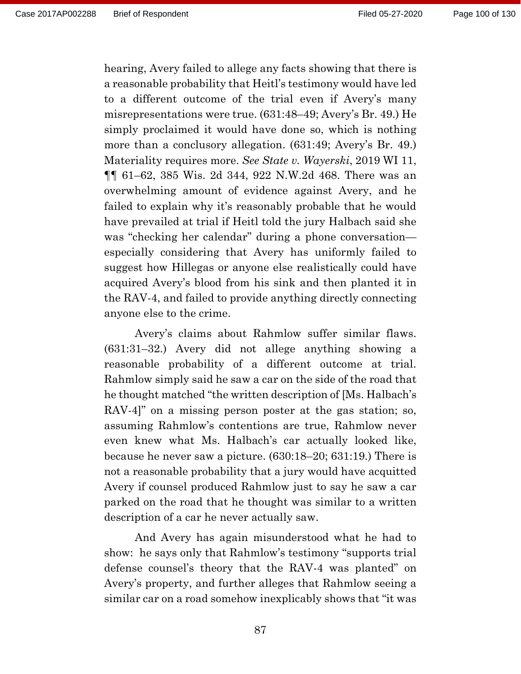hearing, Avery failed to allege any facts showing that there is a reasonable probability that Heitl's testimony would have led to a different outcome of the trial even if Avery's many misrepresentations were true. (631:48–49; Avery's Br. 49.) He simply proclaimed it would have done so, which is nothing more than a conclusory allegation. (631:49; Avery's Br. 49.) Materiality requires more. *See State v. Wayerski*, 2019 WI 11, ¶¶ 61–62, 385 Wis. 2d 344, 922 N.W.2d 468. There was an overwhelming amount of evidence against Avery, and he failed to explain why it's reasonably probable that he would have prevailed at trial if Heitl told the jury Halbach said she was "checking her calendar" during a phone conversation especially considering that Avery has uniformly failed to suggest how Hillegas or anyone else realistically could have acquired Avery's blood from his sink and then planted it in the RAV-4, and failed to provide anything directly connecting anyone else to the crime.

Avery's claims about Rahmlow suffer similar flaws. (631:31–32.) Avery did not allege anything showing a reasonable probability of a different outcome at trial. Rahmlow simply said he saw a car on the side of the road that he thought matched "the written description of [Ms. Halbach's RAV-4]" on a missing person poster at the gas station; so, assuming Rahmlow's contentions are true, Rahmlow never even knew what Ms. Halbach's car actually looked like, because he never saw a picture. (630:18–20; 631:19.) There is not a reasonable probability that a jury would have acquitted Avery if counsel produced Rahmlow just to say he saw a car parked on the road that he thought was similar to a written description of a car he never actually saw.

And Avery has again misunderstood what he had to show: he says only that Rahmlow's testimony "supports trial defense counsel's theory that the RAV-4 was planted" on Avery's property, and further alleges that Rahmlow seeing a similar car on a road somehow inexplicably shows that "it was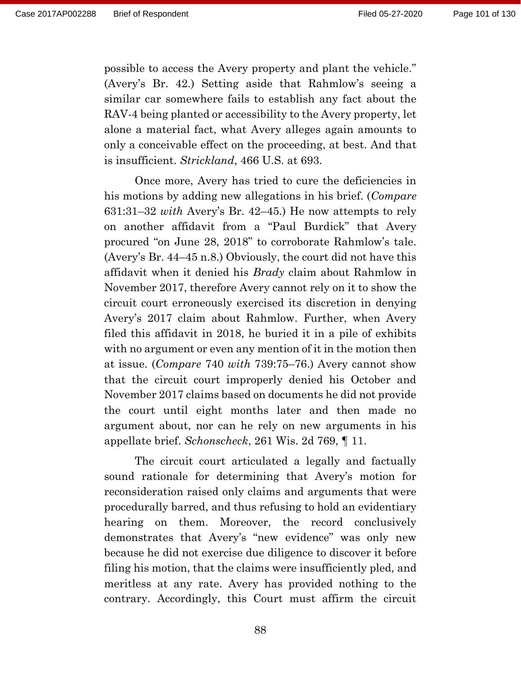possible to access the Avery property and plant the vehicle." (Avery's Br. 42.) Setting aside that Rahmlow's seeing a similar car somewhere fails to establish any fact about the RAV-4 being planted or accessibility to the Avery property, let alone a material fact, what Avery alleges again amounts to only a conceivable effect on the proceeding, at best. And that is insufficient. *Strickland*, 466 U.S. at 693.

Once more, Avery has tried to cure the deficiencies in his motions by adding new allegations in his brief. (*Compare* 631:31–32 *with* Avery's Br. 42–45.) He now attempts to rely on another affidavit from a "Paul Burdick" that Avery procured "on June 28, 2018" to corroborate Rahmlow's tale. (Avery's Br. 44–45 n.8.) Obviously, the court did not have this affidavit when it denied his *Brady* claim about Rahmlow in November 2017, therefore Avery cannot rely on it to show the circuit court erroneously exercised its discretion in denying Avery's 2017 claim about Rahmlow. Further, when Avery filed this affidavit in 2018, he buried it in a pile of exhibits with no argument or even any mention of it in the motion then at issue. (*Compare* 740 *with* 739:75–76.) Avery cannot show that the circuit court improperly denied his October and November 2017 claims based on documents he did not provide the court until eight months later and then made no argument about, nor can he rely on new arguments in his appellate brief. *Schonscheck*, 261 Wis. 2d 769, ¶ 11.

The circuit court articulated a legally and factually sound rationale for determining that Avery's motion for reconsideration raised only claims and arguments that were procedurally barred, and thus refusing to hold an evidentiary hearing on them. Moreover, the record conclusively demonstrates that Avery's "new evidence" was only new because he did not exercise due diligence to discover it before filing his motion, that the claims were insufficiently pled, and meritless at any rate. Avery has provided nothing to the contrary. Accordingly, this Court must affirm the circuit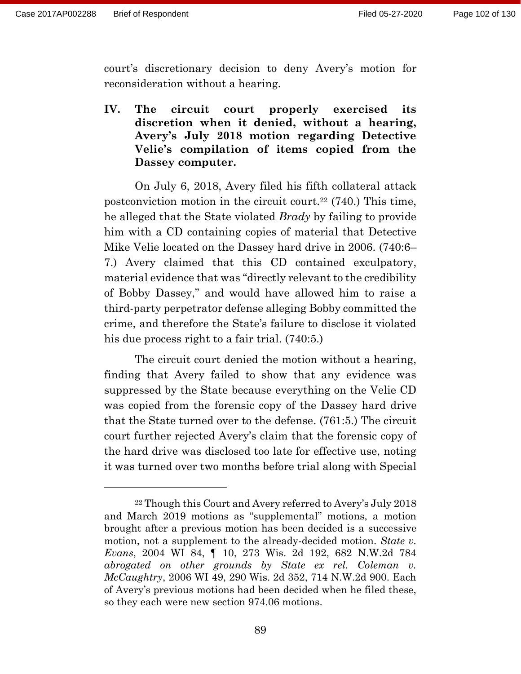court's discretionary decision to deny Avery's motion for reconsideration without a hearing.

**IV. The circuit court properly exercised its discretion when it denied, without a hearing, Avery's July 2018 motion regarding Detective Velie's compilation of items copied from the Dassey computer.**

On July 6, 2018, Avery filed his fifth collateral attack postconviction motion in the circuit court.<sup>22</sup> (740.) This time, he alleged that the State violated *Brady* by failing to provide him with a CD containing copies of material that Detective Mike Velie located on the Dassey hard drive in 2006. (740:6– 7.) Avery claimed that this CD contained exculpatory, material evidence that was "directly relevant to the credibility of Bobby Dassey," and would have allowed him to raise a third-party perpetrator defense alleging Bobby committed the crime, and therefore the State's failure to disclose it violated his due process right to a fair trial. (740:5.)

The circuit court denied the motion without a hearing, finding that Avery failed to show that any evidence was suppressed by the State because everything on the Velie CD was copied from the forensic copy of the Dassey hard drive that the State turned over to the defense. (761:5.) The circuit court further rejected Avery's claim that the forensic copy of the hard drive was disclosed too late for effective use, noting it was turned over two months before trial along with Special

<sup>22</sup> Though this Court and Avery referred to Avery's July 2018 and March 2019 motions as "supplemental" motions, a motion brought after a previous motion has been decided is a successive motion, not a supplement to the already-decided motion. *State v. Evans*, 2004 WI 84, ¶ 10, 273 Wis. 2d 192, 682 N.W.2d 784 *abrogated on other grounds by State ex rel. Coleman v. McCaughtry*, 2006 WI 49, 290 Wis. 2d 352, 714 N.W.2d 900. Each of Avery's previous motions had been decided when he filed these, so they each were new section 974.06 motions.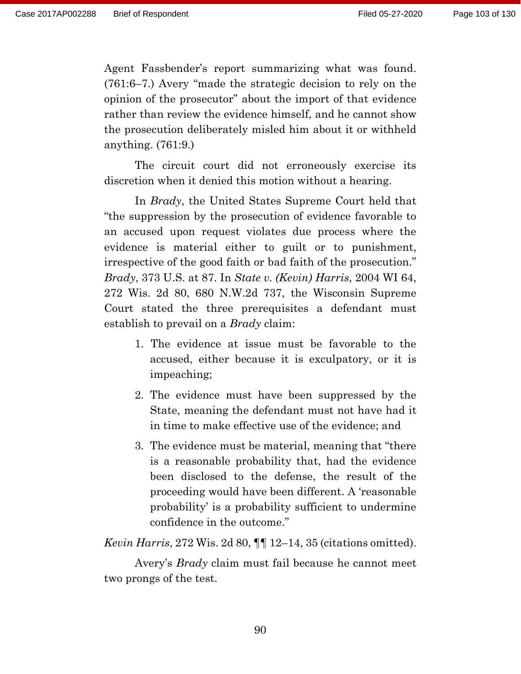Agent Fassbender's report summarizing what was found. (761:6–7.) Avery "made the strategic decision to rely on the opinion of the prosecutor" about the import of that evidence rather than review the evidence himself, and he cannot show the prosecution deliberately misled him about it or withheld anything. (761:9.)

The circuit court did not erroneously exercise its discretion when it denied this motion without a hearing.

In *Brady*, the United States Supreme Court held that "the suppression by the prosecution of evidence favorable to an accused upon request violates due process where the evidence is material either to guilt or to punishment, irrespective of the good faith or bad faith of the prosecution." *Brady*, 373 U.S. at 87. In *State v. (Kevin) Harris*, 2004 WI 64, 272 Wis. 2d 80, 680 N.W.2d 737, the Wisconsin Supreme Court stated the three prerequisites a defendant must establish to prevail on a *Brady* claim:

- 1. The evidence at issue must be favorable to the accused, either because it is exculpatory, or it is impeaching;
- 2. The evidence must have been suppressed by the State, meaning the defendant must not have had it in time to make effective use of the evidence; and
- 3. The evidence must be material, meaning that "there is a reasonable probability that, had the evidence been disclosed to the defense, the result of the proceeding would have been different. A 'reasonable probability' is a probability sufficient to undermine confidence in the outcome."

*Kevin Harris*, 272 Wis. 2d 80, ¶¶ 12–14, 35 (citations omitted).

Avery's *Brady* claim must fail because he cannot meet two prongs of the test.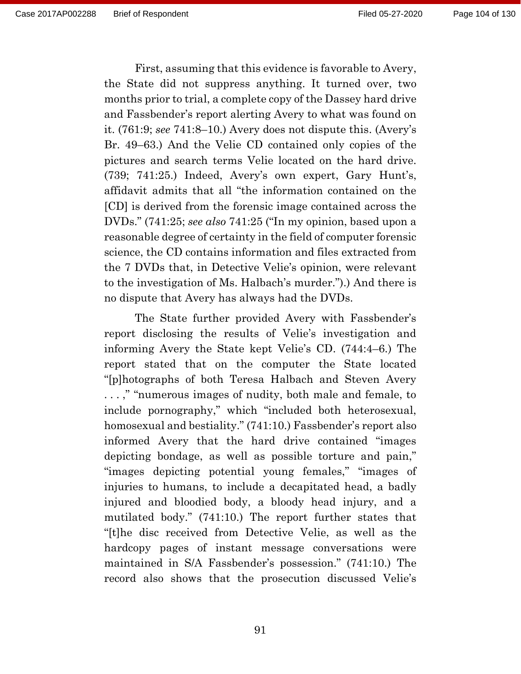First, assuming that this evidence is favorable to Avery, the State did not suppress anything. It turned over, two months prior to trial, a complete copy of the Dassey hard drive and Fassbender's report alerting Avery to what was found on it. (761:9; *see* 741:8–10.) Avery does not dispute this. (Avery's Br. 49–63.) And the Velie CD contained only copies of the pictures and search terms Velie located on the hard drive. (739; 741:25.) Indeed, Avery's own expert, Gary Hunt's, affidavit admits that all "the information contained on the [CD] is derived from the forensic image contained across the DVDs." (741:25; *see also* 741:25 ("In my opinion, based upon a reasonable degree of certainty in the field of computer forensic science, the CD contains information and files extracted from the 7 DVDs that, in Detective Velie's opinion, were relevant to the investigation of Ms. Halbach's murder.").) And there is no dispute that Avery has always had the DVDs.

The State further provided Avery with Fassbender's report disclosing the results of Velie's investigation and informing Avery the State kept Velie's CD. (744:4–6.) The report stated that on the computer the State located "[p]hotographs of both Teresa Halbach and Steven Avery . . . ," "numerous images of nudity, both male and female, to include pornography," which "included both heterosexual, homosexual and bestiality." (741:10.) Fassbender's report also informed Avery that the hard drive contained "images depicting bondage, as well as possible torture and pain," "images depicting potential young females," "images of injuries to humans, to include a decapitated head, a badly injured and bloodied body, a bloody head injury, and a mutilated body." (741:10.) The report further states that "[t]he disc received from Detective Velie, as well as the hardcopy pages of instant message conversations were maintained in S/A Fassbender's possession." (741:10.) The record also shows that the prosecution discussed Velie's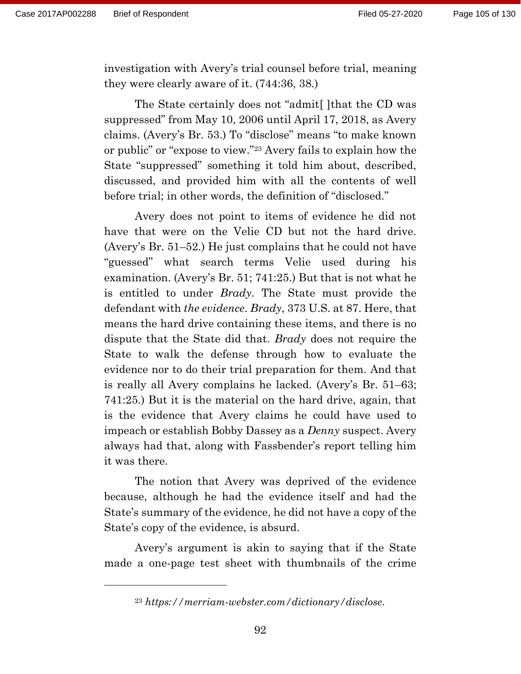investigation with Avery's trial counsel before trial, meaning they were clearly aware of it. (744:36, 38.)

The State certainly does not "admit[ ]that the CD was suppressed" from May 10, 2006 until April 17, 2018, as Avery claims. (Avery's Br. 53.) To "disclose" means "to make known or public" or "expose to view."<sup>23</sup> Avery fails to explain how the State "suppressed" something it told him about, described, discussed, and provided him with all the contents of well before trial; in other words, the definition of "disclosed."

Avery does not point to items of evidence he did not have that were on the Velie CD but not the hard drive. (Avery's Br. 51–52.) He just complains that he could not have "guessed" what search terms Velie used during his examination. (Avery's Br. 51; 741:25.) But that is not what he is entitled to under *Brady*. The State must provide the defendant with *the evidence*. *Brady*, 373 U.S. at 87. Here, that means the hard drive containing these items, and there is no dispute that the State did that. *Brady* does not require the State to walk the defense through how to evaluate the evidence nor to do their trial preparation for them. And that is really all Avery complains he lacked. (Avery's Br. 51–63; 741:25.) But it is the material on the hard drive, again, that is the evidence that Avery claims he could have used to impeach or establish Bobby Dassey as a *Denny* suspect. Avery always had that, along with Fassbender's report telling him it was there.

The notion that Avery was deprived of the evidence because, although he had the evidence itself and had the State's summary of the evidence, he did not have a copy of the State's copy of the evidence, is absurd.

Avery's argument is akin to saying that if the State made a one-page test sheet with thumbnails of the crime

<sup>23</sup> *<https://merriam-webster.com/dictionary/disclose>*.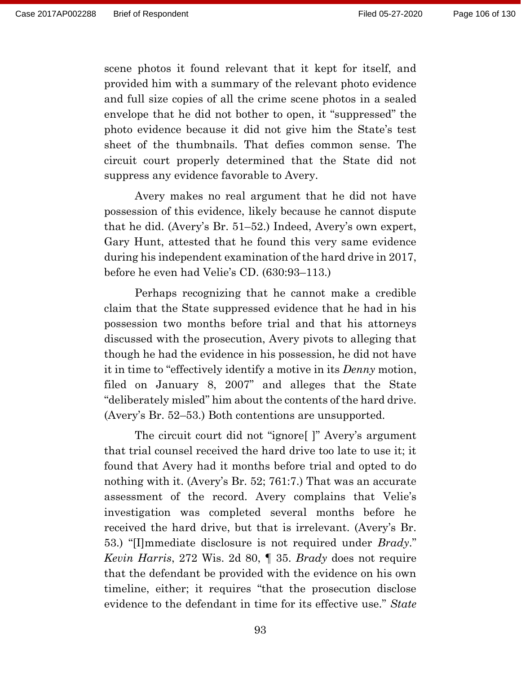scene photos it found relevant that it kept for itself, and provided him with a summary of the relevant photo evidence and full size copies of all the crime scene photos in a sealed envelope that he did not bother to open, it "suppressed" the photo evidence because it did not give him the State's test sheet of the thumbnails. That defies common sense. The circuit court properly determined that the State did not suppress any evidence favorable to Avery.

Avery makes no real argument that he did not have possession of this evidence, likely because he cannot dispute that he did. (Avery's Br. 51–52.) Indeed, Avery's own expert, Gary Hunt, attested that he found this very same evidence during his independent examination of the hard drive in 2017, before he even had Velie's CD. (630:93–113.)

Perhaps recognizing that he cannot make a credible claim that the State suppressed evidence that he had in his possession two months before trial and that his attorneys discussed with the prosecution, Avery pivots to alleging that though he had the evidence in his possession, he did not have it in time to "effectively identify a motive in its *Denny* motion, filed on January 8, 2007" and alleges that the State "deliberately misled" him about the contents of the hard drive. (Avery's Br. 52–53.) Both contentions are unsupported.

The circuit court did not "ignore[ ]" Avery's argument that trial counsel received the hard drive too late to use it; it found that Avery had it months before trial and opted to do nothing with it. (Avery's Br. 52; 761:7.) That was an accurate assessment of the record. Avery complains that Velie's investigation was completed several months before he received the hard drive, but that is irrelevant. (Avery's Br. 53.) "[I]mmediate disclosure is not required under *Brady*." *Kevin Harris*, 272 Wis. 2d 80, ¶ 35. *Brady* does not require that the defendant be provided with the evidence on his own timeline, either; it requires "that the prosecution disclose evidence to the defendant in time for its effective use." *State*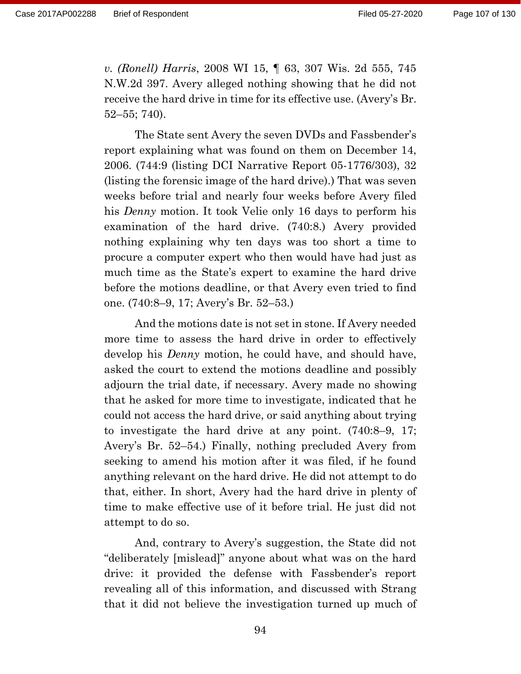Page 107 of 130

*v. (Ronell) Harris*, 2008 WI 15, ¶ 63, 307 Wis. 2d 555, 745 N.W.2d 397. Avery alleged nothing showing that he did not receive the hard drive in time for its effective use. (Avery's Br. 52–55; 740).

The State sent Avery the seven DVDs and Fassbender's report explaining what was found on them on December 14, 2006. (744:9 (listing DCI Narrative Report 05-1776/303), 32 (listing the forensic image of the hard drive).) That was seven weeks before trial and nearly four weeks before Avery filed his *Denny* motion. It took Velie only 16 days to perform his examination of the hard drive. (740:8.) Avery provided nothing explaining why ten days was too short a time to procure a computer expert who then would have had just as much time as the State's expert to examine the hard drive before the motions deadline, or that Avery even tried to find one. (740:8–9, 17; Avery's Br. 52–53.)

And the motions date is not set in stone. If Avery needed more time to assess the hard drive in order to effectively develop his *Denny* motion, he could have, and should have, asked the court to extend the motions deadline and possibly adjourn the trial date, if necessary. Avery made no showing that he asked for more time to investigate, indicated that he could not access the hard drive, or said anything about trying to investigate the hard drive at any point. (740:8–9, 17; Avery's Br. 52–54.) Finally, nothing precluded Avery from seeking to amend his motion after it was filed, if he found anything relevant on the hard drive. He did not attempt to do that, either. In short, Avery had the hard drive in plenty of time to make effective use of it before trial. He just did not attempt to do so.

And, contrary to Avery's suggestion, the State did not "deliberately [mislead]" anyone about what was on the hard drive: it provided the defense with Fassbender's report revealing all of this information, and discussed with Strang that it did not believe the investigation turned up much of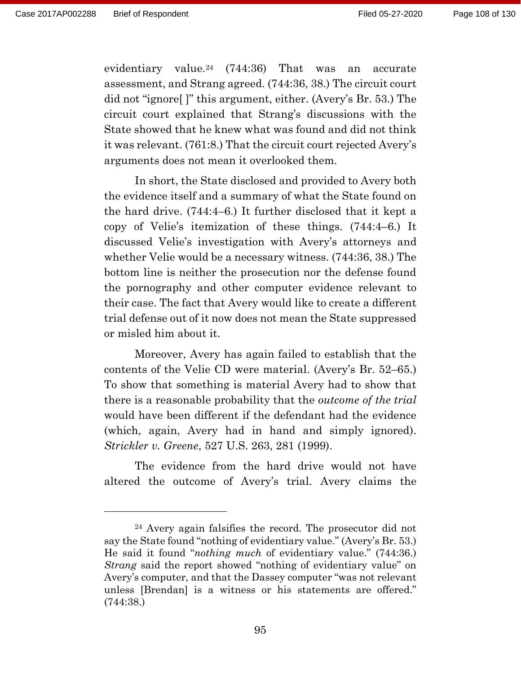evidentiary value.<sup>24</sup> (744:36) That was an accurate assessment, and Strang agreed. (744:36, 38.) The circuit court did not "ignore[ ]" this argument, either. (Avery's Br. 53.) The circuit court explained that Strang's discussions with the State showed that he knew what was found and did not think it was relevant. (761:8.) That the circuit court rejected Avery's arguments does not mean it overlooked them.

In short, the State disclosed and provided to Avery both the evidence itself and a summary of what the State found on the hard drive. (744:4–6.) It further disclosed that it kept a copy of Velie's itemization of these things. (744:4–6.) It discussed Velie's investigation with Avery's attorneys and whether Velie would be a necessary witness. (744:36, 38.) The bottom line is neither the prosecution nor the defense found the pornography and other computer evidence relevant to their case. The fact that Avery would like to create a different trial defense out of it now does not mean the State suppressed or misled him about it.

Moreover, Avery has again failed to establish that the contents of the Velie CD were material. (Avery's Br. 52–65.) To show that something is material Avery had to show that there is a reasonable probability that the *outcome of the trial* would have been different if the defendant had the evidence (which, again, Avery had in hand and simply ignored). *Strickler v. Greene*, 527 U.S. 263, 281 (1999).

The evidence from the hard drive would not have altered the outcome of Avery's trial. Avery claims the

<sup>24</sup> Avery again falsifies the record. The prosecutor did not say the State found "nothing of evidentiary value." (Avery's Br. 53.) He said it found "*nothing much* of evidentiary value." (744:36.) *Strang* said the report showed "nothing of evidentiary value" on Avery's computer, and that the Dassey computer "was not relevant unless [Brendan] is a witness or his statements are offered." (744:38.)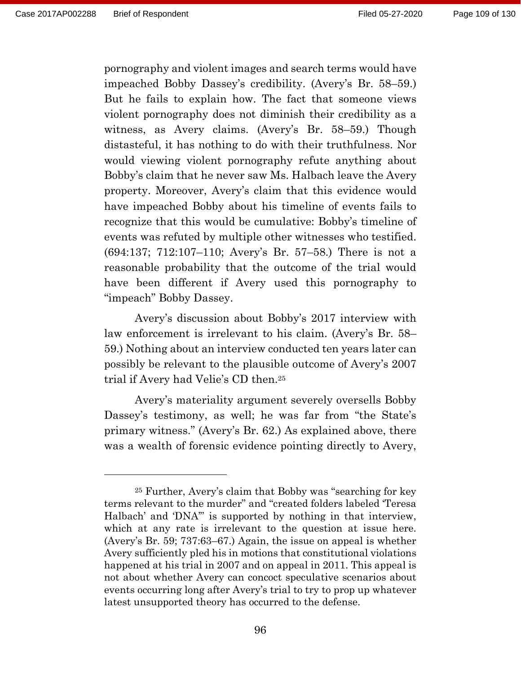pornography and violent images and search terms would have impeached Bobby Dassey's credibility. (Avery's Br. 58–59.) But he fails to explain how. The fact that someone views violent pornography does not diminish their credibility as a witness, as Avery claims. (Avery's Br. 58–59.) Though distasteful, it has nothing to do with their truthfulness. Nor would viewing violent pornography refute anything about Bobby's claim that he never saw Ms. Halbach leave the Avery property. Moreover, Avery's claim that this evidence would have impeached Bobby about his timeline of events fails to recognize that this would be cumulative: Bobby's timeline of events was refuted by multiple other witnesses who testified. (694:137; 712:107–110; Avery's Br. 57–58.) There is not a reasonable probability that the outcome of the trial would have been different if Avery used this pornography to "impeach" Bobby Dassey.

Avery's discussion about Bobby's 2017 interview with law enforcement is irrelevant to his claim. (Avery's Br. 58– 59.) Nothing about an interview conducted ten years later can possibly be relevant to the plausible outcome of Avery's 2007 trial if Avery had Velie's CD then.<sup>25</sup>

Avery's materiality argument severely oversells Bobby Dassey's testimony, as well; he was far from "the State's primary witness." (Avery's Br. 62.) As explained above, there was a wealth of forensic evidence pointing directly to Avery,

<sup>25</sup> Further, Avery's claim that Bobby was "searching for key terms relevant to the murder" and "created folders labeled 'Teresa Halbach' and 'DNA'" is supported by nothing in that interview, which at any rate is irrelevant to the question at issue here. (Avery's Br. 59; 737:63–67.) Again, the issue on appeal is whether Avery sufficiently pled his in motions that constitutional violations happened at his trial in 2007 and on appeal in 2011. This appeal is not about whether Avery can concoct speculative scenarios about events occurring long after Avery's trial to try to prop up whatever latest unsupported theory has occurred to the defense.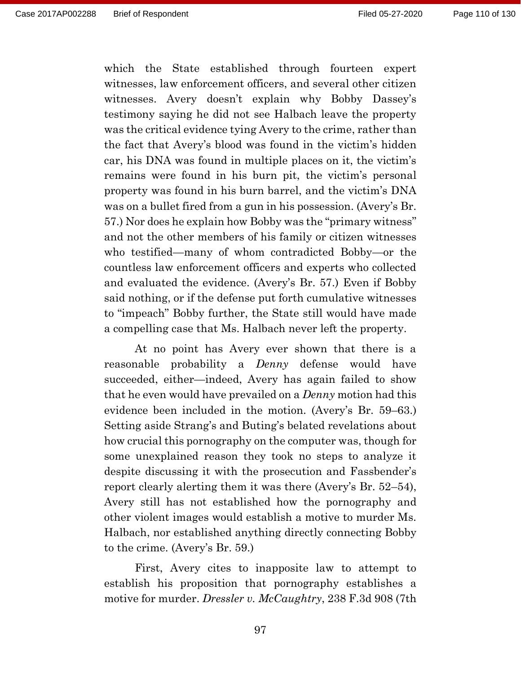which the State established through fourteen expert witnesses, law enforcement officers, and several other citizen witnesses. Avery doesn't explain why Bobby Dassey's testimony saying he did not see Halbach leave the property was the critical evidence tying Avery to the crime, rather than the fact that Avery's blood was found in the victim's hidden car, his DNA was found in multiple places on it, the victim's remains were found in his burn pit, the victim's personal property was found in his burn barrel, and the victim's DNA was on a bullet fired from a gun in his possession. (Avery's Br. 57.) Nor does he explain how Bobby was the "primary witness" and not the other members of his family or citizen witnesses who testified—many of whom contradicted Bobby—or the countless law enforcement officers and experts who collected and evaluated the evidence. (Avery's Br. 57.) Even if Bobby said nothing, or if the defense put forth cumulative witnesses to "impeach" Bobby further, the State still would have made a compelling case that Ms. Halbach never left the property.

At no point has Avery ever shown that there is a reasonable probability a *Denny* defense would have succeeded, either—indeed, Avery has again failed to show that he even would have prevailed on a *Denny* motion had this evidence been included in the motion. (Avery's Br. 59–63.) Setting aside Strang's and Buting's belated revelations about how crucial this pornography on the computer was, though for some unexplained reason they took no steps to analyze it despite discussing it with the prosecution and Fassbender's report clearly alerting them it was there (Avery's Br. 52–54), Avery still has not established how the pornography and other violent images would establish a motive to murder Ms. Halbach, nor established anything directly connecting Bobby to the crime. (Avery's Br. 59.)

First, Avery cites to inapposite law to attempt to establish his proposition that pornography establishes a motive for murder. *Dressler v. McCaughtry*, 238 F.3d 908 (7th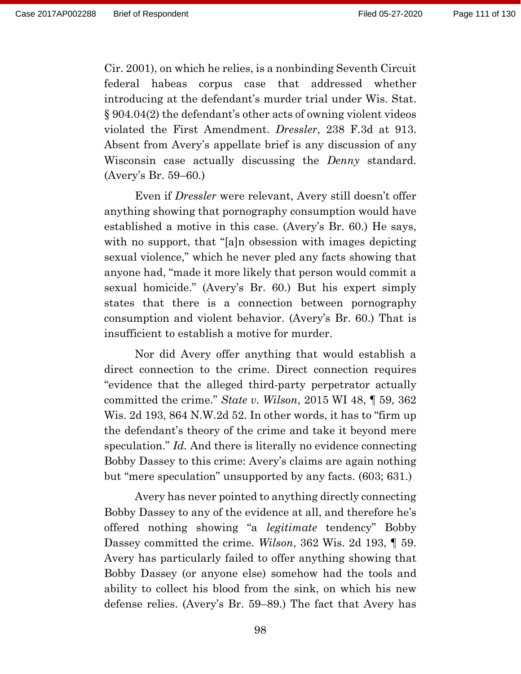Cir. 2001), on which he relies, is a nonbinding Seventh Circuit federal habeas corpus case that addressed whether introducing at the defendant's murder trial under Wis. Stat. § 904.04(2) the defendant's other acts of owning violent videos violated the First Amendment. *Dressler*, 238 F.3d at 913. Absent from Avery's appellate brief is any discussion of any Wisconsin case actually discussing the *Denny* standard. (Avery's Br. 59–60.)

Even if *Dressler* were relevant, Avery still doesn't offer anything showing that pornography consumption would have established a motive in this case. (Avery's Br. 60.) He says, with no support, that "[a]n obsession with images depicting sexual violence," which he never pled any facts showing that anyone had, "made it more likely that person would commit a sexual homicide." (Avery's Br. 60.) But his expert simply states that there is a connection between pornography consumption and violent behavior. (Avery's Br. 60.) That is insufficient to establish a motive for murder.

Nor did Avery offer anything that would establish a direct connection to the crime. Direct connection requires "evidence that the alleged third-party perpetrator actually committed the crime." *State v. Wilson*, 2015 WI 48, ¶ 59, 362 Wis. 2d 193, 864 N.W.2d 52. In other words, it has to "firm up the defendant's theory of the crime and take it beyond mere speculation." *Id.* And there is literally no evidence connecting Bobby Dassey to this crime: Avery's claims are again nothing but "mere speculation" unsupported by any facts. (603; 631.)

Avery has never pointed to anything directly connecting Bobby Dassey to any of the evidence at all, and therefore he's offered nothing showing "a *legitimate* tendency" Bobby Dassey committed the crime. *Wilson*, 362 Wis. 2d 193, ¶ 59. Avery has particularly failed to offer anything showing that Bobby Dassey (or anyone else) somehow had the tools and ability to collect his blood from the sink, on which his new defense relies. (Avery's Br. 59–89.) The fact that Avery has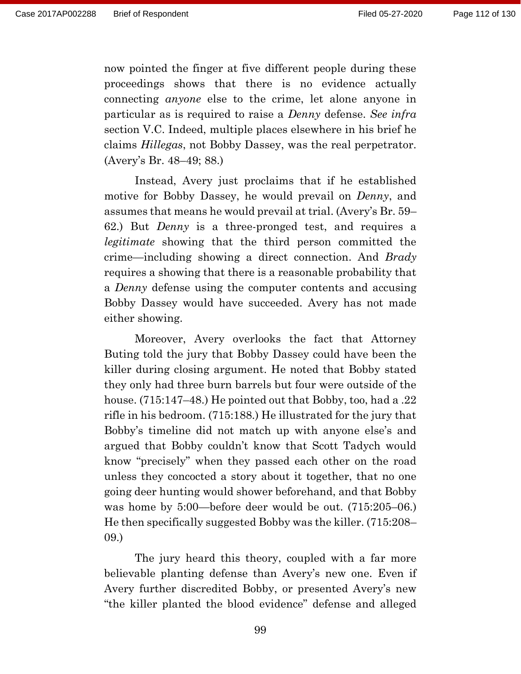now pointed the finger at five different people during these proceedings shows that there is no evidence actually connecting *anyone* else to the crime, let alone anyone in particular as is required to raise a *Denny* defense. *See infra*  section V.C. Indeed, multiple places elsewhere in his brief he claims *Hillegas*, not Bobby Dassey, was the real perpetrator. (Avery's Br. 48–49; 88.)

Instead, Avery just proclaims that if he established motive for Bobby Dassey, he would prevail on *Denny*, and assumes that means he would prevail at trial. (Avery's Br. 59– 62.) But *Denny* is a three-pronged test, and requires a *legitimate* showing that the third person committed the crime—including showing a direct connection. And *Brady* requires a showing that there is a reasonable probability that a *Denny* defense using the computer contents and accusing Bobby Dassey would have succeeded. Avery has not made either showing.

Moreover, Avery overlooks the fact that Attorney Buting told the jury that Bobby Dassey could have been the killer during closing argument. He noted that Bobby stated they only had three burn barrels but four were outside of the house. (715:147–48.) He pointed out that Bobby, too, had a .22 rifle in his bedroom. (715:188.) He illustrated for the jury that Bobby's timeline did not match up with anyone else's and argued that Bobby couldn't know that Scott Tadych would know "precisely" when they passed each other on the road unless they concocted a story about it together, that no one going deer hunting would shower beforehand, and that Bobby was home by 5:00—before deer would be out. (715:205–06.) He then specifically suggested Bobby was the killer. (715:208– 09.)

The jury heard this theory, coupled with a far more believable planting defense than Avery's new one. Even if Avery further discredited Bobby, or presented Avery's new "the killer planted the blood evidence" defense and alleged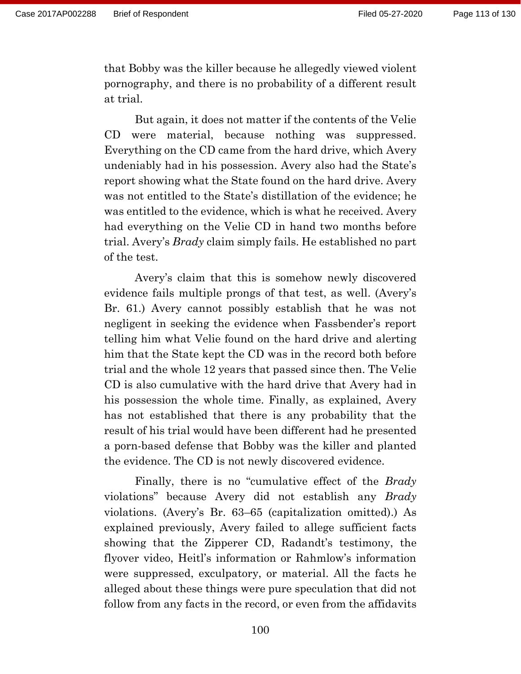that Bobby was the killer because he allegedly viewed violent pornography, and there is no probability of a different result at trial.

But again, it does not matter if the contents of the Velie CD were material, because nothing was suppressed. Everything on the CD came from the hard drive, which Avery undeniably had in his possession. Avery also had the State's report showing what the State found on the hard drive. Avery was not entitled to the State's distillation of the evidence; he was entitled to the evidence, which is what he received. Avery had everything on the Velie CD in hand two months before trial. Avery's *Brady* claim simply fails. He established no part of the test.

Avery's claim that this is somehow newly discovered evidence fails multiple prongs of that test, as well. (Avery's Br. 61.) Avery cannot possibly establish that he was not negligent in seeking the evidence when Fassbender's report telling him what Velie found on the hard drive and alerting him that the State kept the CD was in the record both before trial and the whole 12 years that passed since then. The Velie CD is also cumulative with the hard drive that Avery had in his possession the whole time. Finally, as explained, Avery has not established that there is any probability that the result of his trial would have been different had he presented a porn-based defense that Bobby was the killer and planted the evidence. The CD is not newly discovered evidence.

Finally, there is no "cumulative effect of the *Brady*  violations" because Avery did not establish any *Brady* violations. (Avery's Br. 63–65 (capitalization omitted).) As explained previously, Avery failed to allege sufficient facts showing that the Zipperer CD, Radandt's testimony, the flyover video, Heitl's information or Rahmlow's information were suppressed, exculpatory, or material. All the facts he alleged about these things were pure speculation that did not follow from any facts in the record, or even from the affidavits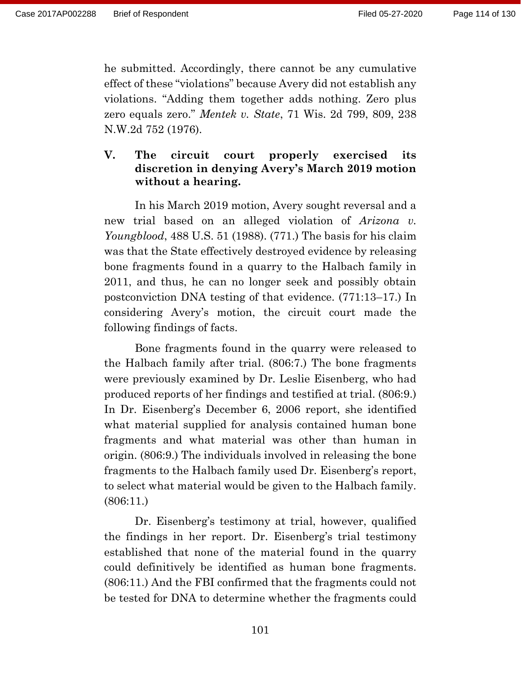he submitted. Accordingly, there cannot be any cumulative effect of these "violations" because Avery did not establish any violations. "Adding them together adds nothing. Zero plus zero equals zero." *Mentek v. State*, 71 Wis. 2d 799, 809, 238 N.W.2d 752 (1976).

# **V. The circuit court properly exercised its discretion in denying Avery's March 2019 motion without a hearing.**

In his March 2019 motion, Avery sought reversal and a new trial based on an alleged violation of *Arizona v. Youngblood*, 488 U.S. 51 (1988). (771.) The basis for his claim was that the State effectively destroyed evidence by releasing bone fragments found in a quarry to the Halbach family in 2011, and thus, he can no longer seek and possibly obtain postconviction DNA testing of that evidence. (771:13–17.) In considering Avery's motion, the circuit court made the following findings of facts.

Bone fragments found in the quarry were released to the Halbach family after trial. (806:7.) The bone fragments were previously examined by Dr. Leslie Eisenberg, who had produced reports of her findings and testified at trial. (806:9.) In Dr. Eisenberg's December 6, 2006 report, she identified what material supplied for analysis contained human bone fragments and what material was other than human in origin. (806:9.) The individuals involved in releasing the bone fragments to the Halbach family used Dr. Eisenberg's report, to select what material would be given to the Halbach family. (806:11.)

Dr. Eisenberg's testimony at trial, however, qualified the findings in her report. Dr. Eisenberg's trial testimony established that none of the material found in the quarry could definitively be identified as human bone fragments. (806:11.) And the FBI confirmed that the fragments could not be tested for DNA to determine whether the fragments could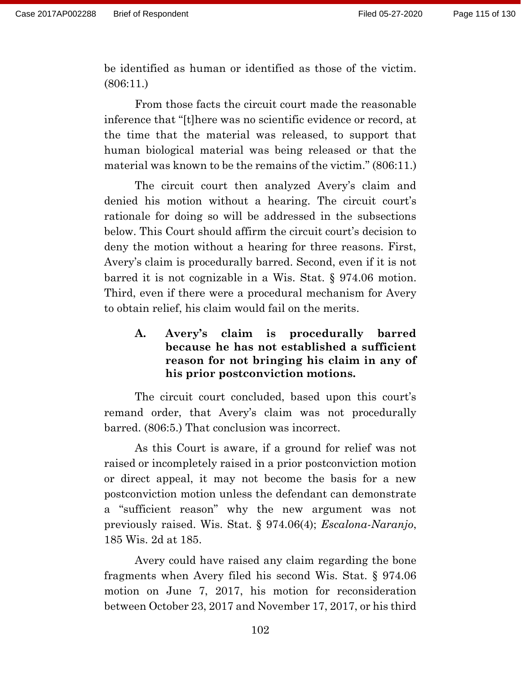be identified as human or identified as those of the victim. (806:11.)

From those facts the circuit court made the reasonable inference that "[t]here was no scientific evidence or record, at the time that the material was released, to support that human biological material was being released or that the material was known to be the remains of the victim." (806:11.)

The circuit court then analyzed Avery's claim and denied his motion without a hearing. The circuit court's rationale for doing so will be addressed in the subsections below. This Court should affirm the circuit court's decision to deny the motion without a hearing for three reasons. First, Avery's claim is procedurally barred. Second, even if it is not barred it is not cognizable in a Wis. Stat. § 974.06 motion. Third, even if there were a procedural mechanism for Avery to obtain relief, his claim would fail on the merits.

**A. Avery's claim is procedurally barred because he has not established a sufficient reason for not bringing his claim in any of his prior postconviction motions.**

The circuit court concluded, based upon this court's remand order, that Avery's claim was not procedurally barred. (806:5.) That conclusion was incorrect.

As this Court is aware, if a ground for relief was not raised or incompletely raised in a prior postconviction motion or direct appeal, it may not become the basis for a new postconviction motion unless the defendant can demonstrate a "sufficient reason" why the new argument was not previously raised. Wis. Stat. § 974.06(4); *Escalona-Naranjo*, 185 Wis. 2d at 185.

Avery could have raised any claim regarding the bone fragments when Avery filed his second Wis. Stat. § 974.06 motion on June 7, 2017, his motion for reconsideration between October 23, 2017 and November 17, 2017, or his third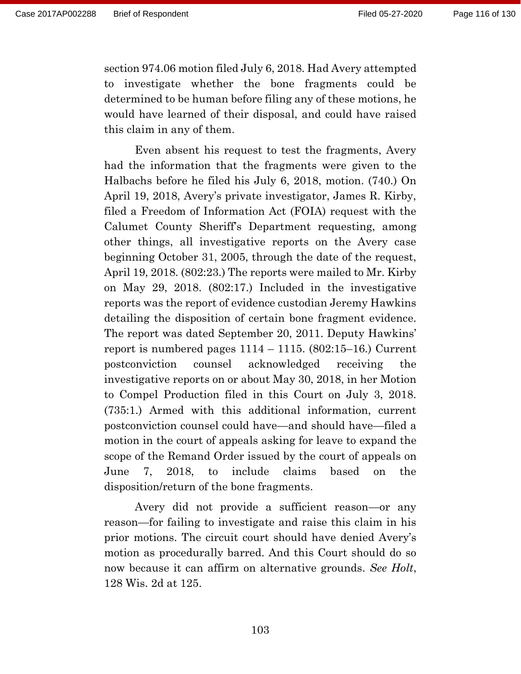section 974.06 motion filed July 6, 2018. Had Avery attempted to investigate whether the bone fragments could be determined to be human before filing any of these motions, he would have learned of their disposal, and could have raised this claim in any of them.

Even absent his request to test the fragments, Avery had the information that the fragments were given to the Halbachs before he filed his July 6, 2018, motion. (740.) On April 19, 2018, Avery's private investigator, James R. Kirby, filed a Freedom of Information Act (FOIA) request with the Calumet County Sheriff's Department requesting, among other things, all investigative reports on the Avery case beginning October 31, 2005, through the date of the request, April 19, 2018. (802:23.) The reports were mailed to Mr. Kirby on May 29, 2018. (802:17.) Included in the investigative reports was the report of evidence custodian Jeremy Hawkins detailing the disposition of certain bone fragment evidence. The report was dated September 20, 2011. Deputy Hawkins' report is numbered pages  $1114 - 1115$ .  $(802:15-16)$ . Current postconviction counsel acknowledged receiving the investigative reports on or about May 30, 2018, in her Motion to Compel Production filed in this Court on July 3, 2018. (735:1.) Armed with this additional information, current postconviction counsel could have—and should have—filed a motion in the court of appeals asking for leave to expand the scope of the Remand Order issued by the court of appeals on June 7, 2018, to include claims based on the disposition/return of the bone fragments.

Avery did not provide a sufficient reason—or any reason—for failing to investigate and raise this claim in his prior motions. The circuit court should have denied Avery's motion as procedurally barred. And this Court should do so now because it can affirm on alternative grounds. *See Holt*, 128 Wis. 2d at 125.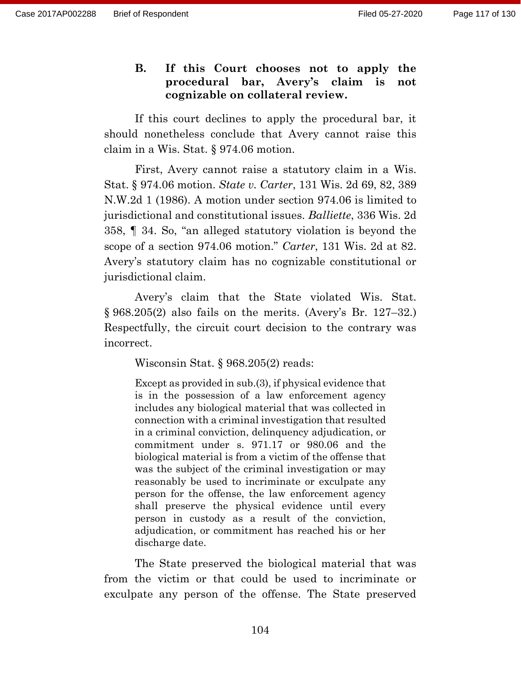## **B. If this Court chooses not to apply the procedural bar, Avery's claim is not cognizable on collateral review.**

If this court declines to apply the procedural bar, it should nonetheless conclude that Avery cannot raise this claim in a Wis. Stat. § 974.06 motion.

First, Avery cannot raise a statutory claim in a Wis. Stat. § 974.06 motion. *State v. Carter*, 131 Wis. 2d 69, 82, 389 N.W.2d 1 (1986). A motion under section 974.06 is limited to jurisdictional and constitutional issues. *Balliette*, 336 Wis. 2d 358, ¶ 34. So, "an alleged statutory violation is beyond the scope of a section 974.06 motion." *Carter*, 131 Wis. 2d at 82. Avery's statutory claim has no cognizable constitutional or jurisdictional claim.

Avery's claim that the State violated Wis. Stat. § 968.205(2) also fails on the merits. (Avery's Br. 127–32.) Respectfully, the circuit court decision to the contrary was incorrect.

Wisconsin Stat. § 968.205(2) reads:

Except as provided in sub.(3), if physical evidence that is in the possession of a law enforcement agency includes any biological material that was collected in connection with a criminal investigation that resulted in a criminal conviction, delinquency adjudication, or commitment under s. 971.17 or 980.06 and the biological material is from a victim of the offense that was the subject of the criminal investigation or may reasonably be used to incriminate or exculpate any person for the offense, the law enforcement agency shall preserve the physical evidence until every person in custody as a result of the conviction, adjudication, or commitment has reached his or her discharge date.

The State preserved the biological material that was from the victim or that could be used to incriminate or exculpate any person of the offense. The State preserved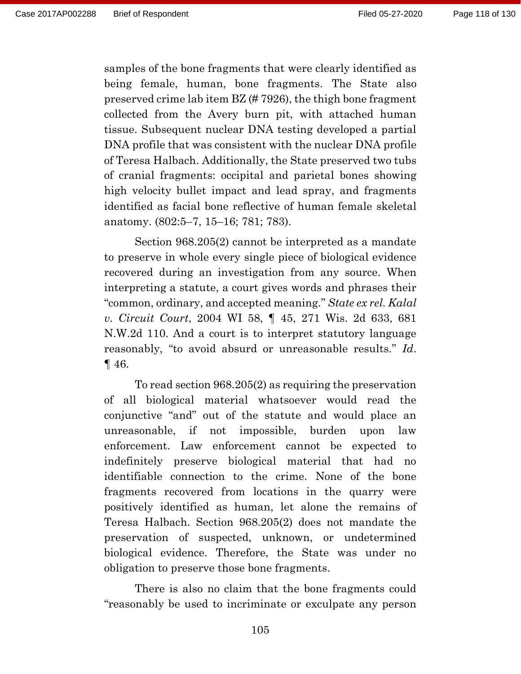samples of the bone fragments that were clearly identified as being female, human, bone fragments. The State also preserved crime lab item BZ (# 7926), the thigh bone fragment collected from the Avery burn pit, with attached human tissue. Subsequent nuclear DNA testing developed a partial DNA profile that was consistent with the nuclear DNA profile of Teresa Halbach. Additionally, the State preserved two tubs of cranial fragments: occipital and parietal bones showing high velocity bullet impact and lead spray, and fragments identified as facial bone reflective of human female skeletal anatomy. (802:5–7, 15–16; 781; 783).

Section 968.205(2) cannot be interpreted as a mandate to preserve in whole every single piece of biological evidence recovered during an investigation from any source. When interpreting a statute, a court gives words and phrases their "common, ordinary, and accepted meaning." *State ex rel. Kalal v. Circuit Court*, 2004 WI 58, ¶ 45, 271 Wis. 2d 633, 681 N.W.2d 110. And a court is to interpret statutory language reasonably, "to avoid absurd or unreasonable results." *Id*. ¶ 46.

To read section 968.205(2) as requiring the preservation of all biological material whatsoever would read the conjunctive "and" out of the statute and would place an unreasonable, if not impossible, burden upon law enforcement. Law enforcement cannot be expected to indefinitely preserve biological material that had no identifiable connection to the crime. None of the bone fragments recovered from locations in the quarry were positively identified as human, let alone the remains of Teresa Halbach. Section 968.205(2) does not mandate the preservation of suspected, unknown, or undetermined biological evidence. Therefore, the State was under no obligation to preserve those bone fragments.

There is also no claim that the bone fragments could "reasonably be used to incriminate or exculpate any person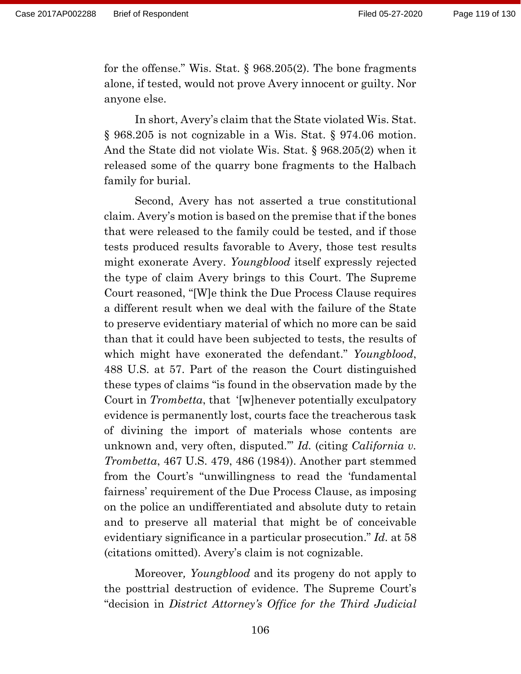for the offense." Wis. Stat. § 968.205(2). The bone fragments alone, if tested, would not prove Avery innocent or guilty. Nor anyone else.

In short, Avery's claim that the State violated Wis. Stat. § 968.205 is not cognizable in a Wis. Stat. § 974.06 motion. And the State did not violate Wis. Stat. § 968.205(2) when it released some of the quarry bone fragments to the Halbach family for burial.

Second, Avery has not asserted a true constitutional claim. Avery's motion is based on the premise that if the bones that were released to the family could be tested, and if those tests produced results favorable to Avery, those test results might exonerate Avery. *Youngblood* itself expressly rejected the type of claim Avery brings to this Court. The Supreme Court reasoned, "[W]e think the Due Process Clause requires a different result when we deal with the failure of the State to preserve evidentiary material of which no more can be said than that it could have been subjected to tests, the results of which might have exonerated the defendant." *Youngblood*, 488 U.S. at 57. Part of the reason the Court distinguished these types of claims "is found in the observation made by the Court in *Trombetta*, that '[w]henever potentially exculpatory evidence is permanently lost, courts face the treacherous task of divining the import of materials whose contents are unknown and, very often, disputed.'" *Id.* (citing *California v. Trombetta*, 467 U.S. 479, 486 (1984)). Another part stemmed from the Court's "unwillingness to read the 'fundamental fairness' requirement of the Due Process Clause, as imposing on the police an undifferentiated and absolute duty to retain and to preserve all material that might be of conceivable evidentiary significance in a particular prosecution." *Id.* at 58 (citations omitted). Avery's claim is not cognizable.

Moreover*, Youngblood* and its progeny do not apply to the posttrial destruction of evidence. The Supreme Court's "decision in *District Attorney's Office for the Third Judicial*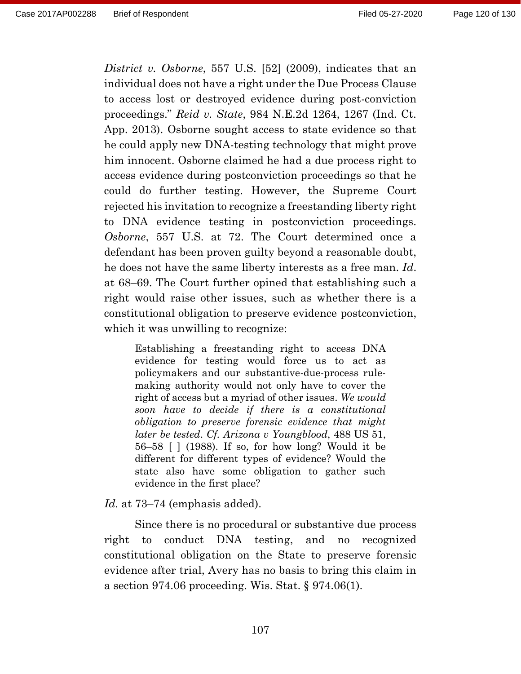*District v. Osborne*, 557 U.S. [52] (2009), indicates that an individual does not have a right under the Due Process Clause to access lost or destroyed evidence during post-conviction proceedings." *Reid v. State*, 984 N.E.2d 1264, 1267 (Ind. Ct. App. 2013). Osborne sought access to state evidence so that he could apply new DNA-testing technology that might prove him innocent. Osborne claimed he had a due process right to access evidence during postconviction proceedings so that he could do further testing. However, the Supreme Court rejected his invitation to recognize a freestanding liberty right to DNA evidence testing in postconviction proceedings. *Osborne*, 557 U.S. at 72. The Court determined once a defendant has been proven guilty beyond a reasonable doubt, he does not have the same liberty interests as a free man. *Id*. at 68–69. The Court further opined that establishing such a right would raise other issues, such as whether there is a constitutional obligation to preserve evidence postconviction, which it was unwilling to recognize:

Establishing a freestanding right to access DNA evidence for testing would force us to act as policymakers and our substantive-due-process rulemaking authority would not only have to cover the right of access but a myriad of other issues. *We would soon have to decide if there is a constitutional obligation to preserve forensic evidence that might later be tested*. *Cf. Arizona v Youngblood*, 488 US 51, 56–58 [ ] (1988). If so, for how long? Would it be different for different types of evidence? Would the state also have some obligation to gather such evidence in the first place?

#### *Id.* at 73–74 (emphasis added).

Since there is no procedural or substantive due process right to conduct DNA testing, and no recognized constitutional obligation on the State to preserve forensic evidence after trial, Avery has no basis to bring this claim in a section 974.06 proceeding. Wis. Stat. § 974.06(1).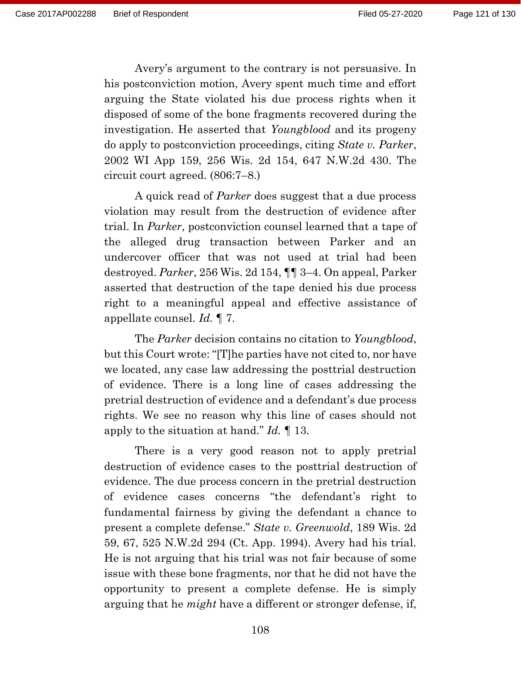Avery's argument to the contrary is not persuasive. In his postconviction motion, Avery spent much time and effort arguing the State violated his due process rights when it disposed of some of the bone fragments recovered during the investigation. He asserted that *Youngblood* and its progeny do apply to postconviction proceedings, citing *State v. Parker*, 2002 WI App 159, 256 Wis. 2d 154, 647 N.W.2d 430. The circuit court agreed. (806:7–8.)

A quick read of *Parker* does suggest that a due process violation may result from the destruction of evidence after trial. In *Parker*, postconviction counsel learned that a tape of the alleged drug transaction between Parker and an undercover officer that was not used at trial had been destroyed. *Parker*, 256 Wis. 2d 154, ¶¶ 3–4. On appeal, Parker asserted that destruction of the tape denied his due process right to a meaningful appeal and effective assistance of appellate counsel. *Id.* ¶ 7.

The *Parker* decision contains no citation to *Youngblood*, but this Court wrote: "[T]he parties have not cited to, nor have we located, any case law addressing the posttrial destruction of evidence. There is a long line of cases addressing the pretrial destruction of evidence and a defendant's due process rights. We see no reason why this line of cases should not apply to the situation at hand." *Id.* ¶ 13.

There is a very good reason not to apply pretrial destruction of evidence cases to the posttrial destruction of evidence. The due process concern in the pretrial destruction of evidence cases concerns "the defendant's right to fundamental fairness by giving the defendant a chance to present a complete defense." *State v. Greenwold*, 189 Wis. 2d 59, 67, 525 N.W.2d 294 (Ct. App. 1994). Avery had his trial. He is not arguing that his trial was not fair because of some issue with these bone fragments, nor that he did not have the opportunity to present a complete defense. He is simply arguing that he *might* have a different or stronger defense, if,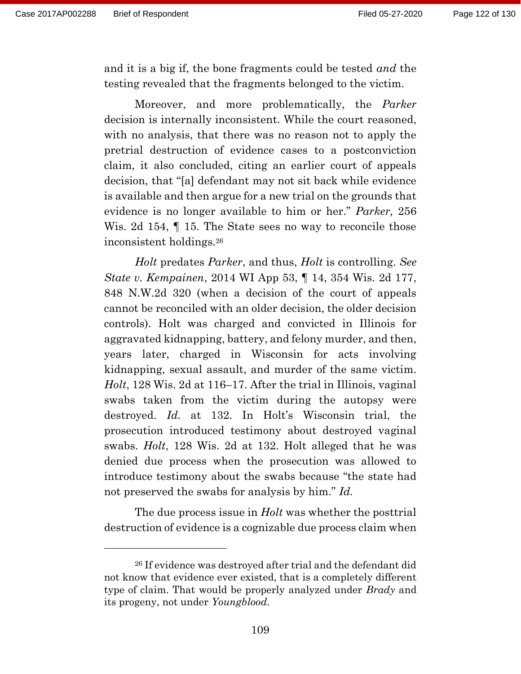and it is a big if, the bone fragments could be tested *and* the testing revealed that the fragments belonged to the victim.

Moreover, and more problematically, the *Parker* decision is internally inconsistent. While the court reasoned, with no analysis, that there was no reason not to apply the pretrial destruction of evidence cases to a postconviction claim, it also concluded, citing an earlier court of appeals decision, that "[a] defendant may not sit back while evidence is available and then argue for a new trial on the grounds that evidence is no longer available to him or her." *Parker,* 256 Wis. 2d 154,  $\parallel$  15. The State sees no way to reconcile those inconsistent holdings.<sup>26</sup>

*Holt* predates *Parker*, and thus, *Holt* is controlling. *See State v. Kempainen*, 2014 WI App 53, ¶ 14, 354 Wis. 2d 177, 848 N.W.2d 320 (when a decision of the court of appeals cannot be reconciled with an older decision, the older decision controls). Holt was charged and convicted in Illinois for aggravated kidnapping, battery, and felony murder, and then, years later, charged in Wisconsin for acts involving kidnapping, sexual assault, and murder of the same victim. *Holt*, 128 Wis. 2d at 116–17. After the trial in Illinois, vaginal swabs taken from the victim during the autopsy were destroyed. *Id.* at 132. In Holt's Wisconsin trial, the prosecution introduced testimony about destroyed vaginal swabs. *Holt*, 128 Wis. 2d at 132. Holt alleged that he was denied due process when the prosecution was allowed to introduce testimony about the swabs because "the state had not preserved the swabs for analysis by him." *Id.*

The due process issue in *Holt* was whether the posttrial destruction of evidence is a cognizable due process claim when

<sup>26</sup> If evidence was destroyed after trial and the defendant did not know that evidence ever existed, that is a completely different type of claim. That would be properly analyzed under *Brady* and its progeny, not under *Youngblood*.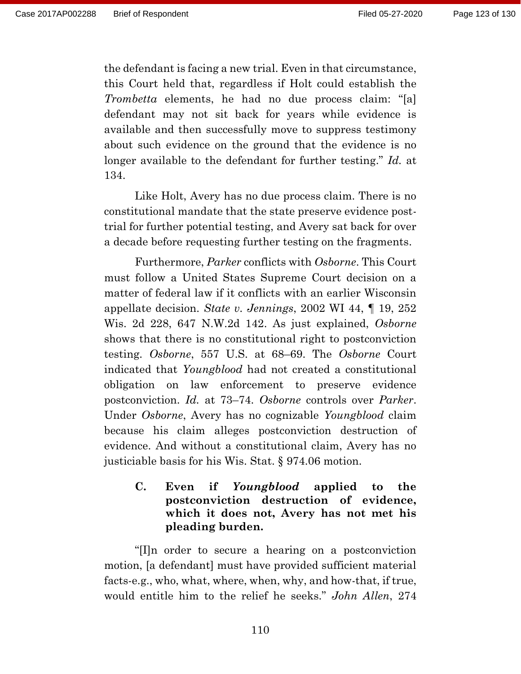the defendant is facing a new trial. Even in that circumstance, this Court held that, regardless if Holt could establish the *Trombetta* elements, he had no due process claim: "[a] defendant may not sit back for years while evidence is available and then successfully move to suppress testimony about such evidence on the ground that the evidence is no longer available to the defendant for further testing." *Id.* at 134.

Like Holt, Avery has no due process claim. There is no constitutional mandate that the state preserve evidence posttrial for further potential testing, and Avery sat back for over a decade before requesting further testing on the fragments.

Furthermore, *Parker* conflicts with *Osborne*. This Court must follow a United States Supreme Court decision on a matter of federal law if it conflicts with an earlier Wisconsin appellate decision. *State v. Jennings*, 2002 WI 44, ¶ 19, 252 Wis. 2d 228, 647 N.W.2d 142. As just explained, *Osborne* shows that there is no constitutional right to postconviction testing. *Osborne*, 557 U.S. at 68–69. The *Osborne* Court indicated that *Youngblood* had not created a constitutional obligation on law enforcement to preserve evidence postconviction. *Id.* at 73–74. *Osborne* controls over *Parker*. Under *Osborne*, Avery has no cognizable *Youngblood* claim because his claim alleges postconviction destruction of evidence. And without a constitutional claim, Avery has no justiciable basis for his Wis. Stat. § 974.06 motion.

## **C. Even if** *Youngblood* **applied to the postconviction destruction of evidence, which it does not, Avery has not met his pleading burden.**

"[I]n order to secure a hearing on a postconviction motion, [a defendant] must have provided sufficient material facts-e.g., who, what, where, when, why, and how-that, if true, would entitle him to the relief he seeks." *John Allen*, 274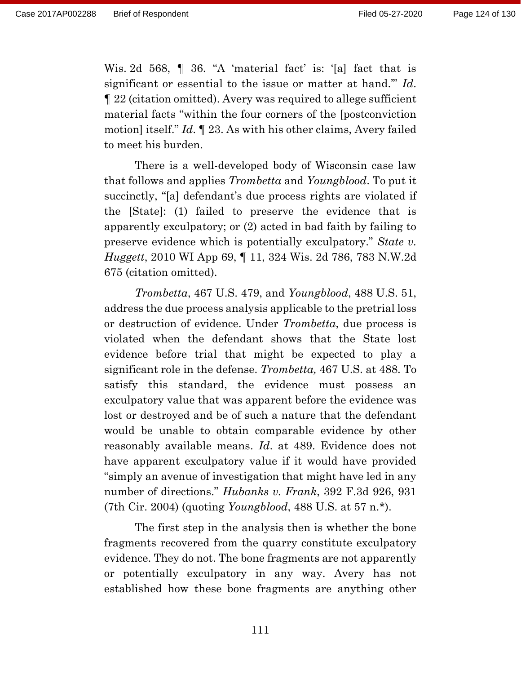Wis. 2d 568, ¶ 36. "A 'material fact' is: '[a] fact that is significant or essential to the issue or matter at hand.'" *Id*. ¶ 22 (citation omitted). Avery was required to allege sufficient material facts "within the four corners of the [postconviction motion] itself." *Id*. ¶ 23. As with his other claims, Avery failed to meet his burden.

There is a well-developed body of Wisconsin case law that follows and applies *Trombetta* and *Youngblood*. To put it succinctly, "[a] defendant's due process rights are violated if the [State]: (1) failed to preserve the evidence that is apparently exculpatory; or (2) acted in bad faith by failing to preserve evidence which is potentially exculpatory." *State v. Huggett*, 2010 WI App 69, ¶ 11, 324 Wis. 2d 786, 783 N.W.2d 675 (citation omitted).

*Trombetta*, 467 U.S. 479, and *Youngblood*, 488 U.S. 51, address the due process analysis applicable to the pretrial loss or destruction of evidence. Under *Trombetta*, due process is violated when the defendant shows that the State lost evidence before trial that might be expected to play a significant role in the defense. *Trombetta,* 467 U.S. at 488. To satisfy this standard, the evidence must possess an exculpatory value that was apparent before the evidence was lost or destroyed and be of such a nature that the defendant would be unable to obtain comparable evidence by other reasonably available means. *Id*. at 489. Evidence does not have apparent exculpatory value if it would have provided "simply an avenue of investigation that might have led in any number of directions." *Hubanks v. Frank*, 392 F.3d 926, 931 (7th Cir. 2004) (quoting *Youngblood*, 488 U.S. at 57 n.\*).

The first step in the analysis then is whether the bone fragments recovered from the quarry constitute exculpatory evidence. They do not. The bone fragments are not apparently or potentially exculpatory in any way. Avery has not established how these bone fragments are anything other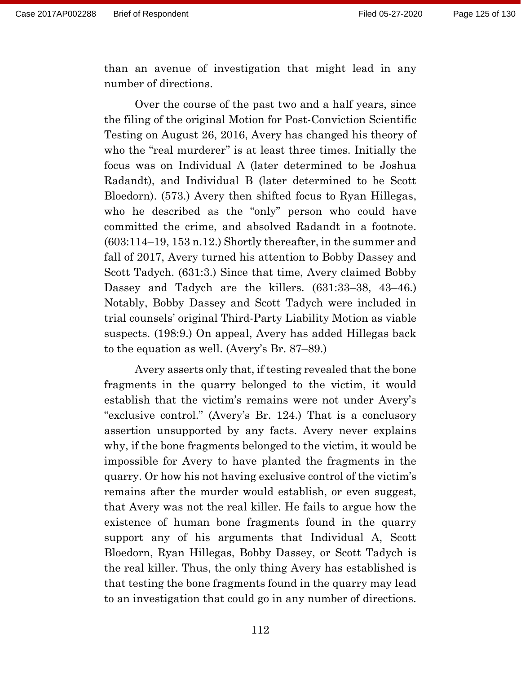than an avenue of investigation that might lead in any number of directions.

Over the course of the past two and a half years, since the filing of the original Motion for Post-Conviction Scientific Testing on August 26, 2016, Avery has changed his theory of who the "real murderer" is at least three times. Initially the focus was on Individual A (later determined to be Joshua Radandt), and Individual B (later determined to be Scott Bloedorn). (573.) Avery then shifted focus to Ryan Hillegas, who he described as the "only" person who could have committed the crime, and absolved Radandt in a footnote. (603:114–19, 153 n.12.) Shortly thereafter, in the summer and fall of 2017, Avery turned his attention to Bobby Dassey and Scott Tadych. (631:3.) Since that time, Avery claimed Bobby Dassey and Tadych are the killers. (631:33–38, 43–46.) Notably, Bobby Dassey and Scott Tadych were included in trial counsels' original Third-Party Liability Motion as viable suspects. (198:9.) On appeal, Avery has added Hillegas back to the equation as well. (Avery's Br. 87–89.)

Avery asserts only that, if testing revealed that the bone fragments in the quarry belonged to the victim, it would establish that the victim's remains were not under Avery's "exclusive control." (Avery's Br. 124.) That is a conclusory assertion unsupported by any facts. Avery never explains why, if the bone fragments belonged to the victim, it would be impossible for Avery to have planted the fragments in the quarry. Or how his not having exclusive control of the victim's remains after the murder would establish, or even suggest, that Avery was not the real killer. He fails to argue how the existence of human bone fragments found in the quarry support any of his arguments that Individual A, Scott Bloedorn, Ryan Hillegas, Bobby Dassey, or Scott Tadych is the real killer. Thus, the only thing Avery has established is that testing the bone fragments found in the quarry may lead to an investigation that could go in any number of directions.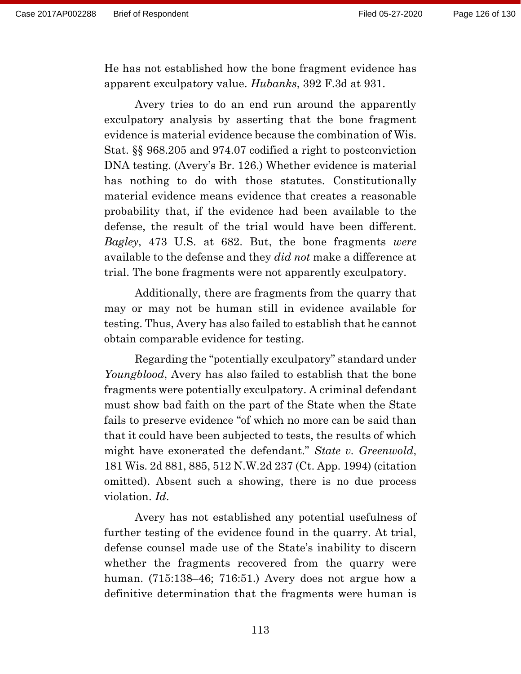He has not established how the bone fragment evidence has apparent exculpatory value. *Hubanks*, 392 F.3d at 931.

Avery tries to do an end run around the apparently exculpatory analysis by asserting that the bone fragment evidence is material evidence because the combination of Wis. Stat. §§ 968.205 and 974.07 codified a right to postconviction DNA testing. (Avery's Br. 126.) Whether evidence is material has nothing to do with those statutes. Constitutionally material evidence means evidence that creates a reasonable probability that, if the evidence had been available to the defense, the result of the trial would have been different. *Bagley*, 473 U.S. at 682. But, the bone fragments *were* available to the defense and they *did not* make a difference at trial. The bone fragments were not apparently exculpatory.

Additionally, there are fragments from the quarry that may or may not be human still in evidence available for testing. Thus, Avery has also failed to establish that he cannot obtain comparable evidence for testing.

Regarding the "potentially exculpatory" standard under *Youngblood*, Avery has also failed to establish that the bone fragments were potentially exculpatory. A criminal defendant must show bad faith on the part of the State when the State fails to preserve evidence "of which no more can be said than that it could have been subjected to tests, the results of which might have exonerated the defendant." *State v. Greenwold*, 181 Wis. 2d 881, 885, 512 N.W.2d 237 (Ct. App. 1994) (citation omitted). Absent such a showing, there is no due process violation. *Id*.

Avery has not established any potential usefulness of further testing of the evidence found in the quarry. At trial, defense counsel made use of the State's inability to discern whether the fragments recovered from the quarry were human. (715:138–46; 716:51.) Avery does not argue how a definitive determination that the fragments were human is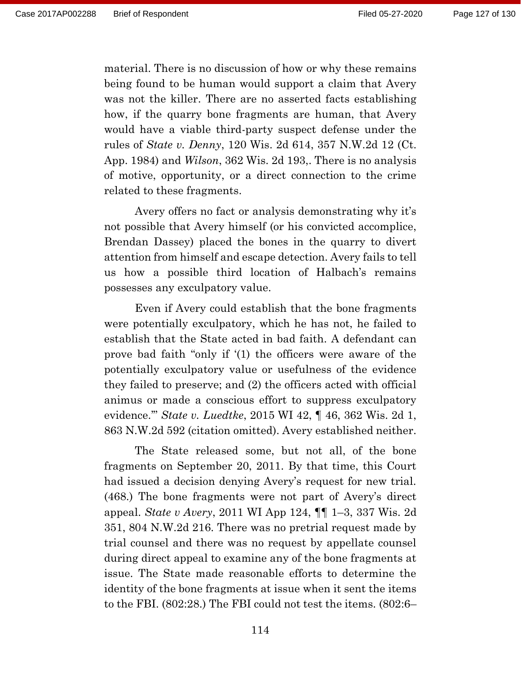material. There is no discussion of how or why these remains being found to be human would support a claim that Avery was not the killer. There are no asserted facts establishing how, if the quarry bone fragments are human, that Avery would have a viable third-party suspect defense under the rules of *State v. Denny*, 120 Wis. 2d 614, 357 N.W.2d 12 (Ct. App. 1984) and *Wilson*, 362 Wis. 2d 193,. There is no analysis of motive, opportunity, or a direct connection to the crime related to these fragments.

Avery offers no fact or analysis demonstrating why it's not possible that Avery himself (or his convicted accomplice, Brendan Dassey) placed the bones in the quarry to divert attention from himself and escape detection. Avery fails to tell us how a possible third location of Halbach's remains possesses any exculpatory value.

Even if Avery could establish that the bone fragments were potentially exculpatory, which he has not, he failed to establish that the State acted in bad faith. A defendant can prove bad faith "only if '(1) the officers were aware of the potentially exculpatory value or usefulness of the evidence they failed to preserve; and (2) the officers acted with official animus or made a conscious effort to suppress exculpatory evidence.'" *State v. Luedtke*, 2015 WI 42, ¶ 46, 362 Wis. 2d 1, 863 N.W.2d 592 (citation omitted). Avery established neither.

The State released some, but not all, of the bone fragments on September 20, 2011. By that time, this Court had issued a decision denying Avery's request for new trial. (468.) The bone fragments were not part of Avery's direct appeal. *State v Avery*, 2011 WI App 124, ¶¶ 1–3, 337 Wis. 2d 351, 804 N.W.2d 216. There was no pretrial request made by trial counsel and there was no request by appellate counsel during direct appeal to examine any of the bone fragments at issue. The State made reasonable efforts to determine the identity of the bone fragments at issue when it sent the items to the FBI. (802:28.) The FBI could not test the items. (802:6–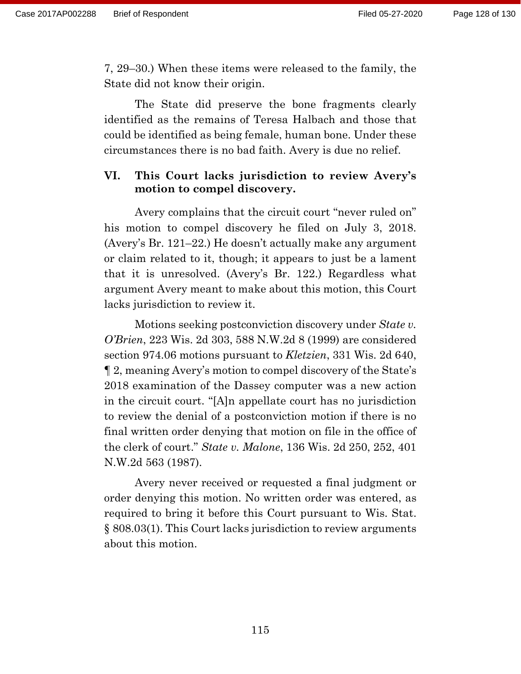7, 29–30.) When these items were released to the family, the State did not know their origin.

The State did preserve the bone fragments clearly identified as the remains of Teresa Halbach and those that could be identified as being female, human bone. Under these circumstances there is no bad faith. Avery is due no relief.

## **VI. This Court lacks jurisdiction to review Avery's motion to compel discovery.**

Avery complains that the circuit court "never ruled on" his motion to compel discovery he filed on July 3, 2018. (Avery's Br. 121–22.) He doesn't actually make any argument or claim related to it, though; it appears to just be a lament that it is unresolved. (Avery's Br. 122.) Regardless what argument Avery meant to make about this motion, this Court lacks jurisdiction to review it.

Motions seeking postconviction discovery under *State v. O'Brien*, 223 Wis. 2d 303, 588 N.W.2d 8 (1999) are considered section 974.06 motions pursuant to *Kletzien*, 331 Wis. 2d 640, ¶ 2, meaning Avery's motion to compel discovery of the State's 2018 examination of the Dassey computer was a new action in the circuit court. "[A]n appellate court has no jurisdiction to review the denial of a postconviction motion if there is no final written order denying that motion on file in the office of the clerk of court." *State v. Malone*, 136 Wis. 2d 250, 252, 401 N.W.2d 563 (1987).

Avery never received or requested a final judgment or order denying this motion. No written order was entered, as required to bring it before this Court pursuant to Wis. Stat. § 808.03(1). This Court lacks jurisdiction to review arguments about this motion.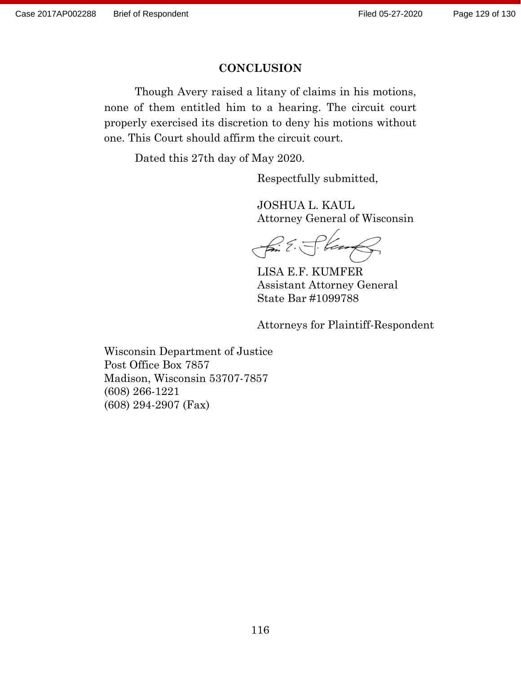### **CONCLUSION**

Though Avery raised a litany of claims in his motions, none of them entitled him to a hearing. The circuit court properly exercised its discretion to deny his motions without one. This Court should affirm the circuit court.

Dated this 27th day of May 2020.

Respectfully submitted,

JOSHUA L. KAUL Attorney General of Wisconsin

fin E. S. Ven

LISA E.F. KUMFER Assistant Attorney General State Bar #1099788

Attorneys for Plaintiff-Respondent

Wisconsin Department of Justice Post Office Box 7857 Madison, Wisconsin 53707-7857 (608) 266-1221 (608) 294-2907 (Fax)